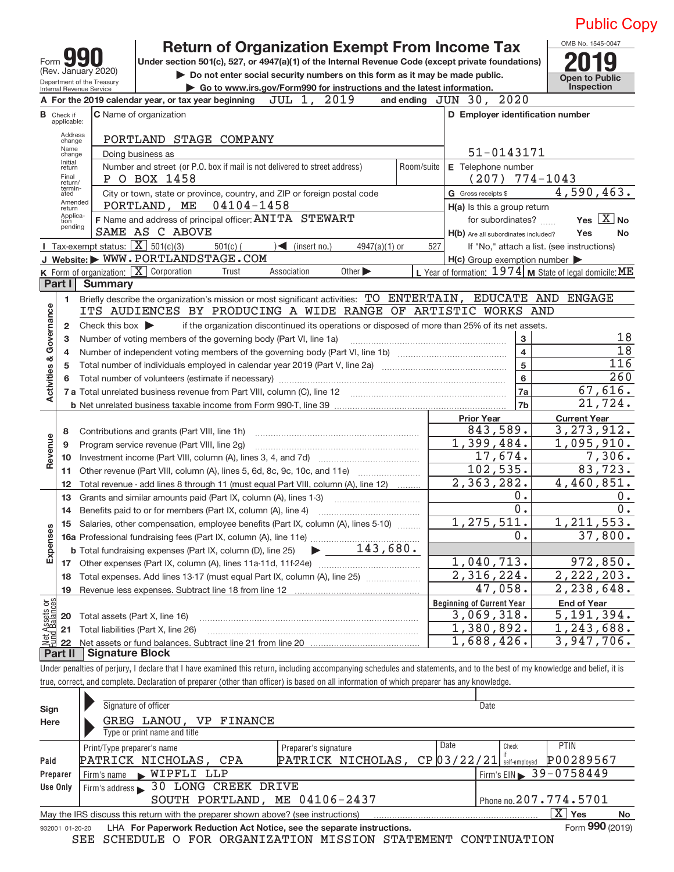|                                                   |                                                   |                                                                             | <b>Return of Organization Exempt From Income Tax</b>                                                                                                                     |                                                           | OMB No. 1545-0047        |  |  |  |  |  |
|---------------------------------------------------|---------------------------------------------------|-----------------------------------------------------------------------------|--------------------------------------------------------------------------------------------------------------------------------------------------------------------------|-----------------------------------------------------------|--------------------------|--|--|--|--|--|
|                                                   | Form 99                                           |                                                                             | Under section 501(c), 527, or 4947(a)(1) of the Internal Revenue Code (except private foundations)                                                                       |                                                           |                          |  |  |  |  |  |
|                                                   | (Rev. January 2020)<br>Department of the Treasury | Do not enter social security numbers on this form as it may be made public. | <b>Open to Public</b>                                                                                                                                                    |                                                           |                          |  |  |  |  |  |
|                                                   | Internal Revenue Service                          |                                                                             | Go to www.irs.gov/Form990 for instructions and the latest information.<br>2019                                                                                           | 2020                                                      | Inspection               |  |  |  |  |  |
|                                                   |                                                   |                                                                             | JUL 1,<br>A For the 2019 calendar year, or tax year beginning                                                                                                            | and ending $JUN$ 30,                                      |                          |  |  |  |  |  |
|                                                   | <b>B</b> Check if<br>applicable:                  |                                                                             | C Name of organization                                                                                                                                                   | D Employer identification number                          |                          |  |  |  |  |  |
|                                                   | Address<br>change                                 |                                                                             | PORTLAND STAGE COMPANY                                                                                                                                                   |                                                           |                          |  |  |  |  |  |
| Name<br>51-0143171<br>Doing business as<br>change |                                                   |                                                                             |                                                                                                                                                                          |                                                           |                          |  |  |  |  |  |
|                                                   | Initial<br>return                                 |                                                                             | Number and street (or P.O. box if mail is not delivered to street address)<br>Room/suite                                                                                 | E Telephone number                                        |                          |  |  |  |  |  |
|                                                   | Final<br>return/<br>termin-                       |                                                                             | P O BOX 1458                                                                                                                                                             | $774 - 1043$<br>(207)                                     |                          |  |  |  |  |  |
|                                                   | ated<br>Amended                                   |                                                                             | City or town, state or province, country, and ZIP or foreign postal code<br>04104-1458<br>PORTLAND, ME                                                                   | G Gross receipts \$                                       | 4,590,463.               |  |  |  |  |  |
|                                                   | return<br>Applica-                                |                                                                             | F Name and address of principal officer: ANITA STEWART                                                                                                                   | H(a) Is this a group return<br>for subordinates?          | Yes $X$ No               |  |  |  |  |  |
|                                                   | tion<br>pending                                   |                                                                             | SAME AS C ABOVE                                                                                                                                                          | H(b) Are all subordinates included?                       | Yes<br>No                |  |  |  |  |  |
|                                                   |                                                   |                                                                             | <b>I</b> Tax-exempt status: $\overline{\mathbf{X}}$ 501(c)(3)<br>$501(c)$ (<br>$\sqrt{\frac{2}{1}}$ (insert no.)<br>$4947(a)(1)$ or<br>527                               | If "No," attach a list. (see instructions)                |                          |  |  |  |  |  |
|                                                   |                                                   |                                                                             | J Website: WWW.PORTLANDSTAGE.COM                                                                                                                                         | $H(c)$ Group exemption number $\blacktriangleright$       |                          |  |  |  |  |  |
|                                                   |                                                   |                                                                             | K Form of organization: X Corporation<br>Other $\blacktriangleright$<br>Association<br>Trust                                                                             | L Year of formation: $1974$ M State of legal domicile: ME |                          |  |  |  |  |  |
|                                                   | Part I                                            | <b>Summary</b>                                                              |                                                                                                                                                                          |                                                           |                          |  |  |  |  |  |
|                                                   | 1.                                                |                                                                             | Briefly describe the organization's mission or most significant activities: TO ENTERTAIN, EDUCATE AND ENGAGE                                                             |                                                           |                          |  |  |  |  |  |
| Governance                                        |                                                   |                                                                             | ITS AUDIENCES BY PRODUCING A WIDE RANGE OF ARTISTIC WORKS AND                                                                                                            |                                                           |                          |  |  |  |  |  |
|                                                   | 2                                                 | Check this box $\blacktriangleright$                                        | if the organization discontinued its operations or disposed of more than 25% of its net assets.                                                                          |                                                           | 18                       |  |  |  |  |  |
|                                                   | з<br>4                                            |                                                                             | Number of voting members of the governing body (Part VI, line 1a)                                                                                                        | 3<br>$\overline{\mathbf{4}}$                              | $\overline{18}$          |  |  |  |  |  |
|                                                   | 5                                                 |                                                                             |                                                                                                                                                                          | 5                                                         | 116                      |  |  |  |  |  |
| ctivities &                                       | 6                                                 |                                                                             |                                                                                                                                                                          | $6\phantom{a}$                                            | 260                      |  |  |  |  |  |
|                                                   |                                                   |                                                                             |                                                                                                                                                                          | 7a                                                        | 67,616.                  |  |  |  |  |  |
|                                                   |                                                   |                                                                             |                                                                                                                                                                          | 7b                                                        | 21,724.                  |  |  |  |  |  |
|                                                   |                                                   |                                                                             |                                                                                                                                                                          | <b>Prior Year</b>                                         | <b>Current Year</b>      |  |  |  |  |  |
|                                                   | 8                                                 |                                                                             | Contributions and grants (Part VIII, line 1h)                                                                                                                            | 843,589.                                                  | 3, 273, 912.             |  |  |  |  |  |
| evenue                                            | 9                                                 |                                                                             | Program service revenue (Part VIII, line 2g)                                                                                                                             | 1,399,484.                                                | 1,095,910.               |  |  |  |  |  |
| ∝                                                 | 10                                                |                                                                             |                                                                                                                                                                          | 17,674.<br>102, 535.                                      | 7,306.<br>83,723.        |  |  |  |  |  |
|                                                   | 11<br>12                                          |                                                                             | Other revenue (Part VIII, column (A), lines 5, 6d, 8c, 9c, 10c, and 11e)<br>Total revenue - add lines 8 through 11 (must equal Part VIII, column (A), line 12)           | 2,363,282.                                                | 4,460,851.               |  |  |  |  |  |
|                                                   | 13                                                |                                                                             | Grants and similar amounts paid (Part IX, column (A), lines 1-3)                                                                                                         | 0.                                                        | 0.                       |  |  |  |  |  |
|                                                   | 14                                                |                                                                             |                                                                                                                                                                          | 0.                                                        | $\overline{0}$ .         |  |  |  |  |  |
|                                                   |                                                   |                                                                             | 15 Salaries, other compensation, employee benefits (Part IX, column (A), lines 5-10)                                                                                     | 275,511.<br>1                                             | 1, 211, 553.             |  |  |  |  |  |
| Expenses                                          |                                                   |                                                                             |                                                                                                                                                                          | $\overline{0}$ .                                          | 37,800.                  |  |  |  |  |  |
|                                                   |                                                   |                                                                             | 143,680.<br><b>b</b> Total fundraising expenses (Part IX, column (D), line 25)<br>$\blacktriangleright$                                                                  |                                                           |                          |  |  |  |  |  |
|                                                   | 17                                                |                                                                             |                                                                                                                                                                          | 1,040,713.                                                | 972,850.                 |  |  |  |  |  |
|                                                   | 18                                                |                                                                             | Total expenses. Add lines 13-17 (must equal Part IX, column (A), line 25) [                                                                                              | 2,316,224.                                                | 2, 222, 203.             |  |  |  |  |  |
|                                                   | 19                                                |                                                                             |                                                                                                                                                                          | 47,058.                                                   | 2,238,648.               |  |  |  |  |  |
| ssets or<br>lalances                              |                                                   |                                                                             |                                                                                                                                                                          | <b>Beginning of Current Year</b>                          | <b>End of Year</b>       |  |  |  |  |  |
|                                                   | 20                                                |                                                                             | Total assets (Part X, line 16)                                                                                                                                           | 3,069,318.<br>1,380,892.                                  | 5,191,394.<br>1,243,688. |  |  |  |  |  |
|                                                   | 21<br>22                                          |                                                                             | Total liabilities (Part X, line 26)                                                                                                                                      | 1,688,426.                                                | 3,947,706.               |  |  |  |  |  |
|                                                   | Part II                                           | <b>Signature Block</b>                                                      |                                                                                                                                                                          |                                                           |                          |  |  |  |  |  |
|                                                   |                                                   |                                                                             | Under penalties of perjury I declare that I have examined this return, including accompanying schedules and totaments, and to the best of my knowledge and belief, it is |                                                           |                          |  |  |  |  |  |

Under penalties of perjury, I declare that I have examined this return, including accompanying schedules and statements, and to the best of my knowledge and belief, it is true, correct, and complete. Declaration of preparer (other than officer) is based on all information of which preparer has any knowledge.

| Sign            | Signature of officer                                                              |                      |            | Date                  |                 |    |  |  |  |  |  |  |
|-----------------|-----------------------------------------------------------------------------------|----------------------|------------|-----------------------|-----------------|----|--|--|--|--|--|--|
| Here            | GREG LANOU, VP FINANCE                                                            |                      |            |                       |                 |    |  |  |  |  |  |  |
|                 | Type or print name and title                                                      |                      |            |                       |                 |    |  |  |  |  |  |  |
|                 | Print/Type preparer's name                                                        | Preparer's signature | Date       | Check                 | <b>PTIN</b>     |    |  |  |  |  |  |  |
| Paid            | PATRICK NICHOLAS, CPA                                                             | PATRICK NICHOLAS,    | CP03/22/21 | self-emploved         | P00289567       |    |  |  |  |  |  |  |
| Preparer        | WIPFLI LLP<br>Firm's name                                                         |                      |            | Firm's EIN 39-0758449 |                 |    |  |  |  |  |  |  |
| Use Only        | Firm's address 30 LONG CREEK DRIVE                                                |                      |            |                       |                 |    |  |  |  |  |  |  |
|                 | Phone no. 207.774.5701<br>SOUTH PORTLAND, ME 04106-2437                           |                      |            |                       |                 |    |  |  |  |  |  |  |
|                 | May the IRS discuss this return with the preparer shown above? (see instructions) |                      |            |                       | X<br>Yes        | No |  |  |  |  |  |  |
| 932001 01-20-20 | LHA For Paperwork Reduction Act Notice, see the separate instructions.            |                      |            |                       | Form 990 (2019) |    |  |  |  |  |  |  |
|                 |                                                                                   |                      |            |                       |                 |    |  |  |  |  |  |  |

SEE SCHEDULE O FOR ORGANIZATION MISSION STATEMENT CONTINUATION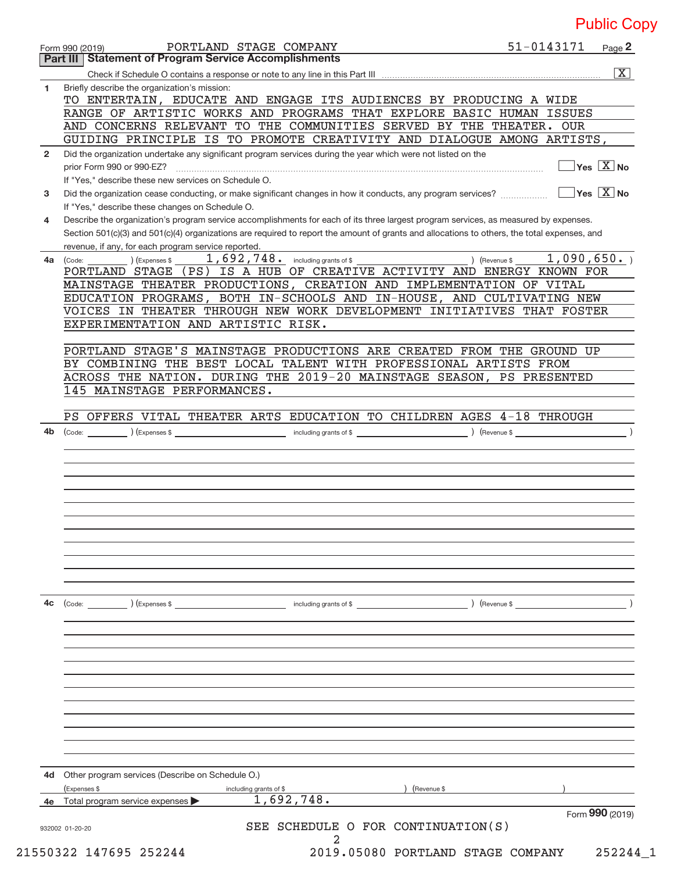|                | PORTLAND STAGE COMPANY<br>Form 990 (2019)                                                                                                                                                                                                                                            | 51-0143171                  | Page 2                                 |
|----------------|--------------------------------------------------------------------------------------------------------------------------------------------------------------------------------------------------------------------------------------------------------------------------------------|-----------------------------|----------------------------------------|
|                | <b>Part III   Statement of Program Service Accomplishments</b>                                                                                                                                                                                                                       |                             |                                        |
|                |                                                                                                                                                                                                                                                                                      |                             | $\overline{\mathbf{X}}$                |
| 1              | Briefly describe the organization's mission:                                                                                                                                                                                                                                         |                             |                                        |
|                | TO ENTERTAIN, EDUCATE AND ENGAGE ITS AUDIENCES BY PRODUCING A WIDE                                                                                                                                                                                                                   |                             |                                        |
|                | RANGE OF ARTISTIC WORKS AND PROGRAMS THAT EXPLORE BASIC HUMAN ISSUES                                                                                                                                                                                                                 |                             |                                        |
|                | AND CONCERNS RELEVANT TO THE COMMUNITIES SERVED BY THE THEATER. OUR                                                                                                                                                                                                                  |                             |                                        |
|                | GUIDING PRINCIPLE IS TO PROMOTE CREATIVITY AND DIALOGUE AMONG ARTISTS,                                                                                                                                                                                                               |                             |                                        |
| $\overline{2}$ | Did the organization undertake any significant program services during the year which were not listed on the                                                                                                                                                                         |                             |                                        |
|                | prior Form 990 or 990-EZ?                                                                                                                                                                                                                                                            |                             | Yes $X$ No                             |
|                | If "Yes," describe these new services on Schedule O.                                                                                                                                                                                                                                 |                             |                                        |
| 3              | Did the organization cease conducting, or make significant changes in how it conducts, any program services?                                                                                                                                                                         |                             | $\sqrt{}$ Yes $\sqrt{}$ X $\sqrt{}$ No |
|                | If "Yes," describe these changes on Schedule O.                                                                                                                                                                                                                                      |                             |                                        |
| 4              | Describe the organization's program service accomplishments for each of its three largest program services, as measured by expenses.<br>Section 501(c)(3) and 501(c)(4) organizations are required to report the amount of grants and allocations to others, the total expenses, and |                             |                                        |
|                | revenue, if any, for each program service reported.                                                                                                                                                                                                                                  |                             |                                        |
| 4a             | $(1)$ (Expenses \$                                                                                                                                                                                                                                                                   | 1,090,650.<br>) (Revenue \$ |                                        |
|                | (Code:<br>PORTLAND STAGE (PS) IS A HUB OF CREATIVE ACTIVITY AND ENERGY KNOWN FOR                                                                                                                                                                                                     |                             |                                        |
|                | MAINSTAGE THEATER PRODUCTIONS, CREATION AND IMPLEMENTATION OF VITAL                                                                                                                                                                                                                  |                             |                                        |
|                | EDUCATION PROGRAMS, BOTH IN-SCHOOLS AND IN-HOUSE, AND CULTIVATING NEW                                                                                                                                                                                                                |                             |                                        |
|                | VOICES IN THEATER THROUGH NEW WORK DEVELOPMENT INITIATIVES THAT FOSTER                                                                                                                                                                                                               |                             |                                        |
|                | EXPERIMENTATION AND ARTISTIC RISK.                                                                                                                                                                                                                                                   |                             |                                        |
|                |                                                                                                                                                                                                                                                                                      |                             |                                        |
|                | PORTLAND STAGE'S MAINSTAGE PRODUCTIONS ARE CREATED FROM THE GROUND UP                                                                                                                                                                                                                |                             |                                        |
|                | BY COMBINING THE BEST LOCAL TALENT WITH PROFESSIONAL ARTISTS FROM                                                                                                                                                                                                                    |                             |                                        |
|                | ACROSS THE NATION. DURING THE 2019-20 MAINSTAGE SEASON, PS PRESENTED                                                                                                                                                                                                                 |                             |                                        |
|                | 145 MAINSTAGE PERFORMANCES.                                                                                                                                                                                                                                                          |                             |                                        |
|                |                                                                                                                                                                                                                                                                                      |                             |                                        |
|                | PS OFFERS VITAL THEATER ARTS EDUCATION TO CHILDREN AGES 4-18 THROUGH                                                                                                                                                                                                                 |                             |                                        |
| 4b             | $\begin{pmatrix} \text{Code:} \\ \end{pmatrix}$ $\begin{pmatrix} \text{Expenses} \ \$ \end{pmatrix}$                                                                                                                                                                                 |                             |                                        |
|                |                                                                                                                                                                                                                                                                                      |                             |                                        |
|                |                                                                                                                                                                                                                                                                                      |                             |                                        |
|                |                                                                                                                                                                                                                                                                                      |                             |                                        |
|                |                                                                                                                                                                                                                                                                                      |                             |                                        |
|                |                                                                                                                                                                                                                                                                                      |                             |                                        |
|                |                                                                                                                                                                                                                                                                                      |                             |                                        |
|                |                                                                                                                                                                                                                                                                                      |                             |                                        |
|                |                                                                                                                                                                                                                                                                                      |                             |                                        |
|                |                                                                                                                                                                                                                                                                                      |                             |                                        |
|                |                                                                                                                                                                                                                                                                                      |                             |                                        |
|                |                                                                                                                                                                                                                                                                                      |                             |                                        |
|                |                                                                                                                                                                                                                                                                                      |                             |                                        |
| 4c             | ) (Expenses \$<br>(Code:<br>including grants of \$                                                                                                                                                                                                                                   | ) (Revenue \$               |                                        |
|                |                                                                                                                                                                                                                                                                                      |                             |                                        |
|                |                                                                                                                                                                                                                                                                                      |                             |                                        |
|                |                                                                                                                                                                                                                                                                                      |                             |                                        |
|                |                                                                                                                                                                                                                                                                                      |                             |                                        |
|                |                                                                                                                                                                                                                                                                                      |                             |                                        |
|                |                                                                                                                                                                                                                                                                                      |                             |                                        |
|                |                                                                                                                                                                                                                                                                                      |                             |                                        |
|                |                                                                                                                                                                                                                                                                                      |                             |                                        |
|                |                                                                                                                                                                                                                                                                                      |                             |                                        |
|                |                                                                                                                                                                                                                                                                                      |                             |                                        |
|                |                                                                                                                                                                                                                                                                                      |                             |                                        |
| 4d             | Other program services (Describe on Schedule O.)                                                                                                                                                                                                                                     |                             |                                        |
|                | (Expenses \$<br>including grants of \$<br>(Revenue \$                                                                                                                                                                                                                                |                             |                                        |
| 4e             | 1,692,748.<br>Total program service expenses                                                                                                                                                                                                                                         |                             |                                        |
|                |                                                                                                                                                                                                                                                                                      |                             | Form 990 (2019)                        |
|                | SEE SCHEDULE O FOR CONTINUATION(S)<br>932002 01-20-20                                                                                                                                                                                                                                |                             |                                        |
|                | 2                                                                                                                                                                                                                                                                                    |                             |                                        |

 <sup>21550322 147695 252244 2019.05080</sup> PORTLAND STAGE COMPANY 252244\_1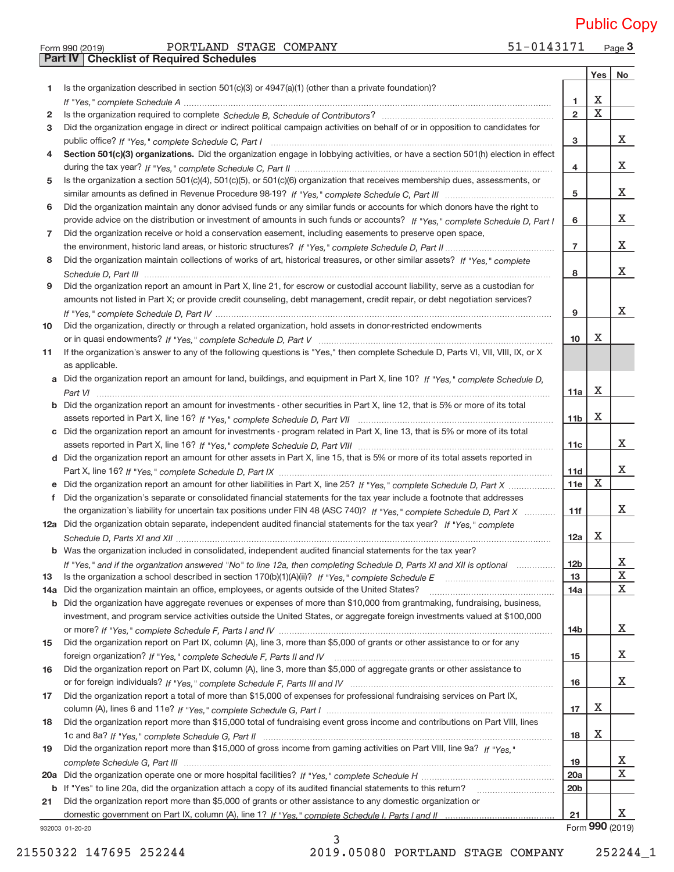Form 990 (2019) PORTLAND STAGE COMPANY 51−0143171 Page 51-0143171 Page 3 PORTLAND STAGE COMPANY 51-0143171 Public Copy

| Yes<br>Is the organization described in section $501(c)(3)$ or $4947(a)(1)$ (other than a private foundation)?<br>1<br>X<br>1<br>$\mathbf X$<br>$\overline{2}$<br>2<br>Did the organization engage in direct or indirect political campaign activities on behalf of or in opposition to candidates for<br>3<br>X<br>з<br>Section 501(c)(3) organizations. Did the organization engage in lobbying activities, or have a section 501(h) election in effect<br>4<br>x<br>4<br>Is the organization a section 501(c)(4), 501(c)(5), or 501(c)(6) organization that receives membership dues, assessments, or<br>5<br>x<br>5<br>Did the organization maintain any donor advised funds or any similar funds or accounts for which donors have the right to<br>6<br>x<br>provide advice on the distribution or investment of amounts in such funds or accounts? If "Yes," complete Schedule D, Part I<br>6<br>Did the organization receive or hold a conservation easement, including easements to preserve open space,<br>7<br>x<br>$\overline{7}$<br>Did the organization maintain collections of works of art, historical treasures, or other similar assets? If "Yes," complete<br>8<br>x<br>8<br>Did the organization report an amount in Part X, line 21, for escrow or custodial account liability, serve as a custodian for<br>9<br>amounts not listed in Part X; or provide credit counseling, debt management, credit repair, or debt negotiation services?<br>x<br>9<br>Did the organization, directly or through a related organization, hold assets in donor-restricted endowments<br>х<br>10 <sup>10</sup><br>If the organization's answer to any of the following questions is "Yes," then complete Schedule D, Parts VI, VII, VIII, IX, or X<br>as applicable.<br>Did the organization report an amount for land, buildings, and equipment in Part X, line 10? If "Yes," complete Schedule D,<br>a<br>X<br>11a<br>Did the organization report an amount for investments - other securities in Part X, line 12, that is 5% or more of its total<br>X<br>11 <sub>b</sub><br>Did the organization report an amount for investments - program related in Part X, line 13, that is 5% or more of its total<br>c<br>X<br>11c<br>d Did the organization report an amount for other assets in Part X, line 15, that is 5% or more of its total assets reported in<br>x<br>11d<br>$\mathbf X$<br>11e<br>Did the organization's separate or consolidated financial statements for the tax year include a footnote that addresses<br>X<br>the organization's liability for uncertain tax positions under FIN 48 (ASC 740)? If "Yes," complete Schedule D, Part X<br>11f<br>12a Did the organization obtain separate, independent audited financial statements for the tax year? If "Yes," complete<br>Х<br>12a<br>b Was the organization included in consolidated, independent audited financial statements for the tax year?<br>х<br>12 <sub>b</sub><br>If "Yes," and if the organization answered "No" to line 12a, then completing Schedule D, Parts XI and XII is optional<br>X<br>13<br>X<br>Did the organization maintain an office, employees, or agents outside of the United States?<br>14a<br>Did the organization have aggregate revenues or expenses of more than \$10,000 from grantmaking, fundraising, business,<br>b<br>investment, and program service activities outside the United States, or aggregate foreign investments valued at \$100,000<br>X.<br>14b<br>Did the organization report on Part IX, column (A), line 3, more than \$5,000 of grants or other assistance to or for any<br>15<br>X.<br>15<br>Did the organization report on Part IX, column (A), line 3, more than \$5,000 of aggregate grants or other assistance to<br>X.<br>16<br>Did the organization report a total of more than \$15,000 of expenses for professional fundraising services on Part IX,<br>х<br>17<br>Did the organization report more than \$15,000 total of fundraising event gross income and contributions on Part VIII, lines<br>х<br>18<br>Did the organization report more than \$15,000 of gross income from gaming activities on Part VIII, line 9a? If "Yes."<br>X<br>19<br>X<br>20a<br>20 <sub>b</sub><br>If "Yes" to line 20a, did the organization attach a copy of its audited financial statements to this return?<br>b<br>Did the organization report more than \$5,000 of grants or other assistance to any domestic organization or<br>21<br>X<br>21<br>Form 990 (2019)<br>932003 01-20-20 |     | Part IV   Checklist of Required Schedules |  |    |
|----------------------------------------------------------------------------------------------------------------------------------------------------------------------------------------------------------------------------------------------------------------------------------------------------------------------------------------------------------------------------------------------------------------------------------------------------------------------------------------------------------------------------------------------------------------------------------------------------------------------------------------------------------------------------------------------------------------------------------------------------------------------------------------------------------------------------------------------------------------------------------------------------------------------------------------------------------------------------------------------------------------------------------------------------------------------------------------------------------------------------------------------------------------------------------------------------------------------------------------------------------------------------------------------------------------------------------------------------------------------------------------------------------------------------------------------------------------------------------------------------------------------------------------------------------------------------------------------------------------------------------------------------------------------------------------------------------------------------------------------------------------------------------------------------------------------------------------------------------------------------------------------------------------------------------------------------------------------------------------------------------------------------------------------------------------------------------------------------------------------------------------------------------------------------------------------------------------------------------------------------------------------------------------------------------------------------------------------------------------------------------------------------------------------------------------------------------------------------------------------------------------------------------------------------------------------------------------------------------------------------------------------------------------------------------------------------------------------------------------------------------------------------------------------------------------------------------------------------------------------------------------------------------------------------------------------------------------------------------------------------------------------------------------------------------------------------------------------------------------------------------------------------------------------------------------------------------------------------------------------------------------------------------------------------------------------------------------------------------------------------------------------------------------------------------------------------------------------------------------------------------------------------------------------------------------------------------------------------------------------------------------------------------------------------------------------------------------------------------------------------------------------------------------------------------------------------------------------------------------------------------------------------------------------------------------------------------------------------------------------------------------------------------------------------------------------------------------------------------------------------------------------------------------------------------------------------------------------------------------------------------------------------------------------------------------------------------------------------------------------------------------------------------------------------------------------------------------------------------------------------------------------|-----|-------------------------------------------|--|----|
|                                                                                                                                                                                                                                                                                                                                                                                                                                                                                                                                                                                                                                                                                                                                                                                                                                                                                                                                                                                                                                                                                                                                                                                                                                                                                                                                                                                                                                                                                                                                                                                                                                                                                                                                                                                                                                                                                                                                                                                                                                                                                                                                                                                                                                                                                                                                                                                                                                                                                                                                                                                                                                                                                                                                                                                                                                                                                                                                                                                                                                                                                                                                                                                                                                                                                                                                                                                                                                                                                                                                                                                                                                                                                                                                                                                                                                                                                                                                                                                                                                                                                                                                                                                                                                                                                                                                                                                                                                                                                                                      |     |                                           |  | No |
|                                                                                                                                                                                                                                                                                                                                                                                                                                                                                                                                                                                                                                                                                                                                                                                                                                                                                                                                                                                                                                                                                                                                                                                                                                                                                                                                                                                                                                                                                                                                                                                                                                                                                                                                                                                                                                                                                                                                                                                                                                                                                                                                                                                                                                                                                                                                                                                                                                                                                                                                                                                                                                                                                                                                                                                                                                                                                                                                                                                                                                                                                                                                                                                                                                                                                                                                                                                                                                                                                                                                                                                                                                                                                                                                                                                                                                                                                                                                                                                                                                                                                                                                                                                                                                                                                                                                                                                                                                                                                                                      |     |                                           |  |    |
|                                                                                                                                                                                                                                                                                                                                                                                                                                                                                                                                                                                                                                                                                                                                                                                                                                                                                                                                                                                                                                                                                                                                                                                                                                                                                                                                                                                                                                                                                                                                                                                                                                                                                                                                                                                                                                                                                                                                                                                                                                                                                                                                                                                                                                                                                                                                                                                                                                                                                                                                                                                                                                                                                                                                                                                                                                                                                                                                                                                                                                                                                                                                                                                                                                                                                                                                                                                                                                                                                                                                                                                                                                                                                                                                                                                                                                                                                                                                                                                                                                                                                                                                                                                                                                                                                                                                                                                                                                                                                                                      |     |                                           |  |    |
|                                                                                                                                                                                                                                                                                                                                                                                                                                                                                                                                                                                                                                                                                                                                                                                                                                                                                                                                                                                                                                                                                                                                                                                                                                                                                                                                                                                                                                                                                                                                                                                                                                                                                                                                                                                                                                                                                                                                                                                                                                                                                                                                                                                                                                                                                                                                                                                                                                                                                                                                                                                                                                                                                                                                                                                                                                                                                                                                                                                                                                                                                                                                                                                                                                                                                                                                                                                                                                                                                                                                                                                                                                                                                                                                                                                                                                                                                                                                                                                                                                                                                                                                                                                                                                                                                                                                                                                                                                                                                                                      |     |                                           |  |    |
|                                                                                                                                                                                                                                                                                                                                                                                                                                                                                                                                                                                                                                                                                                                                                                                                                                                                                                                                                                                                                                                                                                                                                                                                                                                                                                                                                                                                                                                                                                                                                                                                                                                                                                                                                                                                                                                                                                                                                                                                                                                                                                                                                                                                                                                                                                                                                                                                                                                                                                                                                                                                                                                                                                                                                                                                                                                                                                                                                                                                                                                                                                                                                                                                                                                                                                                                                                                                                                                                                                                                                                                                                                                                                                                                                                                                                                                                                                                                                                                                                                                                                                                                                                                                                                                                                                                                                                                                                                                                                                                      |     |                                           |  |    |
|                                                                                                                                                                                                                                                                                                                                                                                                                                                                                                                                                                                                                                                                                                                                                                                                                                                                                                                                                                                                                                                                                                                                                                                                                                                                                                                                                                                                                                                                                                                                                                                                                                                                                                                                                                                                                                                                                                                                                                                                                                                                                                                                                                                                                                                                                                                                                                                                                                                                                                                                                                                                                                                                                                                                                                                                                                                                                                                                                                                                                                                                                                                                                                                                                                                                                                                                                                                                                                                                                                                                                                                                                                                                                                                                                                                                                                                                                                                                                                                                                                                                                                                                                                                                                                                                                                                                                                                                                                                                                                                      |     |                                           |  |    |
|                                                                                                                                                                                                                                                                                                                                                                                                                                                                                                                                                                                                                                                                                                                                                                                                                                                                                                                                                                                                                                                                                                                                                                                                                                                                                                                                                                                                                                                                                                                                                                                                                                                                                                                                                                                                                                                                                                                                                                                                                                                                                                                                                                                                                                                                                                                                                                                                                                                                                                                                                                                                                                                                                                                                                                                                                                                                                                                                                                                                                                                                                                                                                                                                                                                                                                                                                                                                                                                                                                                                                                                                                                                                                                                                                                                                                                                                                                                                                                                                                                                                                                                                                                                                                                                                                                                                                                                                                                                                                                                      |     |                                           |  |    |
|                                                                                                                                                                                                                                                                                                                                                                                                                                                                                                                                                                                                                                                                                                                                                                                                                                                                                                                                                                                                                                                                                                                                                                                                                                                                                                                                                                                                                                                                                                                                                                                                                                                                                                                                                                                                                                                                                                                                                                                                                                                                                                                                                                                                                                                                                                                                                                                                                                                                                                                                                                                                                                                                                                                                                                                                                                                                                                                                                                                                                                                                                                                                                                                                                                                                                                                                                                                                                                                                                                                                                                                                                                                                                                                                                                                                                                                                                                                                                                                                                                                                                                                                                                                                                                                                                                                                                                                                                                                                                                                      |     |                                           |  |    |
|                                                                                                                                                                                                                                                                                                                                                                                                                                                                                                                                                                                                                                                                                                                                                                                                                                                                                                                                                                                                                                                                                                                                                                                                                                                                                                                                                                                                                                                                                                                                                                                                                                                                                                                                                                                                                                                                                                                                                                                                                                                                                                                                                                                                                                                                                                                                                                                                                                                                                                                                                                                                                                                                                                                                                                                                                                                                                                                                                                                                                                                                                                                                                                                                                                                                                                                                                                                                                                                                                                                                                                                                                                                                                                                                                                                                                                                                                                                                                                                                                                                                                                                                                                                                                                                                                                                                                                                                                                                                                                                      |     |                                           |  |    |
|                                                                                                                                                                                                                                                                                                                                                                                                                                                                                                                                                                                                                                                                                                                                                                                                                                                                                                                                                                                                                                                                                                                                                                                                                                                                                                                                                                                                                                                                                                                                                                                                                                                                                                                                                                                                                                                                                                                                                                                                                                                                                                                                                                                                                                                                                                                                                                                                                                                                                                                                                                                                                                                                                                                                                                                                                                                                                                                                                                                                                                                                                                                                                                                                                                                                                                                                                                                                                                                                                                                                                                                                                                                                                                                                                                                                                                                                                                                                                                                                                                                                                                                                                                                                                                                                                                                                                                                                                                                                                                                      |     |                                           |  |    |
|                                                                                                                                                                                                                                                                                                                                                                                                                                                                                                                                                                                                                                                                                                                                                                                                                                                                                                                                                                                                                                                                                                                                                                                                                                                                                                                                                                                                                                                                                                                                                                                                                                                                                                                                                                                                                                                                                                                                                                                                                                                                                                                                                                                                                                                                                                                                                                                                                                                                                                                                                                                                                                                                                                                                                                                                                                                                                                                                                                                                                                                                                                                                                                                                                                                                                                                                                                                                                                                                                                                                                                                                                                                                                                                                                                                                                                                                                                                                                                                                                                                                                                                                                                                                                                                                                                                                                                                                                                                                                                                      |     |                                           |  |    |
|                                                                                                                                                                                                                                                                                                                                                                                                                                                                                                                                                                                                                                                                                                                                                                                                                                                                                                                                                                                                                                                                                                                                                                                                                                                                                                                                                                                                                                                                                                                                                                                                                                                                                                                                                                                                                                                                                                                                                                                                                                                                                                                                                                                                                                                                                                                                                                                                                                                                                                                                                                                                                                                                                                                                                                                                                                                                                                                                                                                                                                                                                                                                                                                                                                                                                                                                                                                                                                                                                                                                                                                                                                                                                                                                                                                                                                                                                                                                                                                                                                                                                                                                                                                                                                                                                                                                                                                                                                                                                                                      |     |                                           |  |    |
|                                                                                                                                                                                                                                                                                                                                                                                                                                                                                                                                                                                                                                                                                                                                                                                                                                                                                                                                                                                                                                                                                                                                                                                                                                                                                                                                                                                                                                                                                                                                                                                                                                                                                                                                                                                                                                                                                                                                                                                                                                                                                                                                                                                                                                                                                                                                                                                                                                                                                                                                                                                                                                                                                                                                                                                                                                                                                                                                                                                                                                                                                                                                                                                                                                                                                                                                                                                                                                                                                                                                                                                                                                                                                                                                                                                                                                                                                                                                                                                                                                                                                                                                                                                                                                                                                                                                                                                                                                                                                                                      |     |                                           |  |    |
|                                                                                                                                                                                                                                                                                                                                                                                                                                                                                                                                                                                                                                                                                                                                                                                                                                                                                                                                                                                                                                                                                                                                                                                                                                                                                                                                                                                                                                                                                                                                                                                                                                                                                                                                                                                                                                                                                                                                                                                                                                                                                                                                                                                                                                                                                                                                                                                                                                                                                                                                                                                                                                                                                                                                                                                                                                                                                                                                                                                                                                                                                                                                                                                                                                                                                                                                                                                                                                                                                                                                                                                                                                                                                                                                                                                                                                                                                                                                                                                                                                                                                                                                                                                                                                                                                                                                                                                                                                                                                                                      |     |                                           |  |    |
|                                                                                                                                                                                                                                                                                                                                                                                                                                                                                                                                                                                                                                                                                                                                                                                                                                                                                                                                                                                                                                                                                                                                                                                                                                                                                                                                                                                                                                                                                                                                                                                                                                                                                                                                                                                                                                                                                                                                                                                                                                                                                                                                                                                                                                                                                                                                                                                                                                                                                                                                                                                                                                                                                                                                                                                                                                                                                                                                                                                                                                                                                                                                                                                                                                                                                                                                                                                                                                                                                                                                                                                                                                                                                                                                                                                                                                                                                                                                                                                                                                                                                                                                                                                                                                                                                                                                                                                                                                                                                                                      |     |                                           |  |    |
|                                                                                                                                                                                                                                                                                                                                                                                                                                                                                                                                                                                                                                                                                                                                                                                                                                                                                                                                                                                                                                                                                                                                                                                                                                                                                                                                                                                                                                                                                                                                                                                                                                                                                                                                                                                                                                                                                                                                                                                                                                                                                                                                                                                                                                                                                                                                                                                                                                                                                                                                                                                                                                                                                                                                                                                                                                                                                                                                                                                                                                                                                                                                                                                                                                                                                                                                                                                                                                                                                                                                                                                                                                                                                                                                                                                                                                                                                                                                                                                                                                                                                                                                                                                                                                                                                                                                                                                                                                                                                                                      |     |                                           |  |    |
|                                                                                                                                                                                                                                                                                                                                                                                                                                                                                                                                                                                                                                                                                                                                                                                                                                                                                                                                                                                                                                                                                                                                                                                                                                                                                                                                                                                                                                                                                                                                                                                                                                                                                                                                                                                                                                                                                                                                                                                                                                                                                                                                                                                                                                                                                                                                                                                                                                                                                                                                                                                                                                                                                                                                                                                                                                                                                                                                                                                                                                                                                                                                                                                                                                                                                                                                                                                                                                                                                                                                                                                                                                                                                                                                                                                                                                                                                                                                                                                                                                                                                                                                                                                                                                                                                                                                                                                                                                                                                                                      |     |                                           |  |    |
|                                                                                                                                                                                                                                                                                                                                                                                                                                                                                                                                                                                                                                                                                                                                                                                                                                                                                                                                                                                                                                                                                                                                                                                                                                                                                                                                                                                                                                                                                                                                                                                                                                                                                                                                                                                                                                                                                                                                                                                                                                                                                                                                                                                                                                                                                                                                                                                                                                                                                                                                                                                                                                                                                                                                                                                                                                                                                                                                                                                                                                                                                                                                                                                                                                                                                                                                                                                                                                                                                                                                                                                                                                                                                                                                                                                                                                                                                                                                                                                                                                                                                                                                                                                                                                                                                                                                                                                                                                                                                                                      |     |                                           |  |    |
|                                                                                                                                                                                                                                                                                                                                                                                                                                                                                                                                                                                                                                                                                                                                                                                                                                                                                                                                                                                                                                                                                                                                                                                                                                                                                                                                                                                                                                                                                                                                                                                                                                                                                                                                                                                                                                                                                                                                                                                                                                                                                                                                                                                                                                                                                                                                                                                                                                                                                                                                                                                                                                                                                                                                                                                                                                                                                                                                                                                                                                                                                                                                                                                                                                                                                                                                                                                                                                                                                                                                                                                                                                                                                                                                                                                                                                                                                                                                                                                                                                                                                                                                                                                                                                                                                                                                                                                                                                                                                                                      | 10  |                                           |  |    |
|                                                                                                                                                                                                                                                                                                                                                                                                                                                                                                                                                                                                                                                                                                                                                                                                                                                                                                                                                                                                                                                                                                                                                                                                                                                                                                                                                                                                                                                                                                                                                                                                                                                                                                                                                                                                                                                                                                                                                                                                                                                                                                                                                                                                                                                                                                                                                                                                                                                                                                                                                                                                                                                                                                                                                                                                                                                                                                                                                                                                                                                                                                                                                                                                                                                                                                                                                                                                                                                                                                                                                                                                                                                                                                                                                                                                                                                                                                                                                                                                                                                                                                                                                                                                                                                                                                                                                                                                                                                                                                                      |     |                                           |  |    |
|                                                                                                                                                                                                                                                                                                                                                                                                                                                                                                                                                                                                                                                                                                                                                                                                                                                                                                                                                                                                                                                                                                                                                                                                                                                                                                                                                                                                                                                                                                                                                                                                                                                                                                                                                                                                                                                                                                                                                                                                                                                                                                                                                                                                                                                                                                                                                                                                                                                                                                                                                                                                                                                                                                                                                                                                                                                                                                                                                                                                                                                                                                                                                                                                                                                                                                                                                                                                                                                                                                                                                                                                                                                                                                                                                                                                                                                                                                                                                                                                                                                                                                                                                                                                                                                                                                                                                                                                                                                                                                                      | 11  |                                           |  |    |
|                                                                                                                                                                                                                                                                                                                                                                                                                                                                                                                                                                                                                                                                                                                                                                                                                                                                                                                                                                                                                                                                                                                                                                                                                                                                                                                                                                                                                                                                                                                                                                                                                                                                                                                                                                                                                                                                                                                                                                                                                                                                                                                                                                                                                                                                                                                                                                                                                                                                                                                                                                                                                                                                                                                                                                                                                                                                                                                                                                                                                                                                                                                                                                                                                                                                                                                                                                                                                                                                                                                                                                                                                                                                                                                                                                                                                                                                                                                                                                                                                                                                                                                                                                                                                                                                                                                                                                                                                                                                                                                      |     |                                           |  |    |
|                                                                                                                                                                                                                                                                                                                                                                                                                                                                                                                                                                                                                                                                                                                                                                                                                                                                                                                                                                                                                                                                                                                                                                                                                                                                                                                                                                                                                                                                                                                                                                                                                                                                                                                                                                                                                                                                                                                                                                                                                                                                                                                                                                                                                                                                                                                                                                                                                                                                                                                                                                                                                                                                                                                                                                                                                                                                                                                                                                                                                                                                                                                                                                                                                                                                                                                                                                                                                                                                                                                                                                                                                                                                                                                                                                                                                                                                                                                                                                                                                                                                                                                                                                                                                                                                                                                                                                                                                                                                                                                      |     |                                           |  |    |
|                                                                                                                                                                                                                                                                                                                                                                                                                                                                                                                                                                                                                                                                                                                                                                                                                                                                                                                                                                                                                                                                                                                                                                                                                                                                                                                                                                                                                                                                                                                                                                                                                                                                                                                                                                                                                                                                                                                                                                                                                                                                                                                                                                                                                                                                                                                                                                                                                                                                                                                                                                                                                                                                                                                                                                                                                                                                                                                                                                                                                                                                                                                                                                                                                                                                                                                                                                                                                                                                                                                                                                                                                                                                                                                                                                                                                                                                                                                                                                                                                                                                                                                                                                                                                                                                                                                                                                                                                                                                                                                      |     |                                           |  |    |
|                                                                                                                                                                                                                                                                                                                                                                                                                                                                                                                                                                                                                                                                                                                                                                                                                                                                                                                                                                                                                                                                                                                                                                                                                                                                                                                                                                                                                                                                                                                                                                                                                                                                                                                                                                                                                                                                                                                                                                                                                                                                                                                                                                                                                                                                                                                                                                                                                                                                                                                                                                                                                                                                                                                                                                                                                                                                                                                                                                                                                                                                                                                                                                                                                                                                                                                                                                                                                                                                                                                                                                                                                                                                                                                                                                                                                                                                                                                                                                                                                                                                                                                                                                                                                                                                                                                                                                                                                                                                                                                      |     |                                           |  |    |
|                                                                                                                                                                                                                                                                                                                                                                                                                                                                                                                                                                                                                                                                                                                                                                                                                                                                                                                                                                                                                                                                                                                                                                                                                                                                                                                                                                                                                                                                                                                                                                                                                                                                                                                                                                                                                                                                                                                                                                                                                                                                                                                                                                                                                                                                                                                                                                                                                                                                                                                                                                                                                                                                                                                                                                                                                                                                                                                                                                                                                                                                                                                                                                                                                                                                                                                                                                                                                                                                                                                                                                                                                                                                                                                                                                                                                                                                                                                                                                                                                                                                                                                                                                                                                                                                                                                                                                                                                                                                                                                      |     |                                           |  |    |
|                                                                                                                                                                                                                                                                                                                                                                                                                                                                                                                                                                                                                                                                                                                                                                                                                                                                                                                                                                                                                                                                                                                                                                                                                                                                                                                                                                                                                                                                                                                                                                                                                                                                                                                                                                                                                                                                                                                                                                                                                                                                                                                                                                                                                                                                                                                                                                                                                                                                                                                                                                                                                                                                                                                                                                                                                                                                                                                                                                                                                                                                                                                                                                                                                                                                                                                                                                                                                                                                                                                                                                                                                                                                                                                                                                                                                                                                                                                                                                                                                                                                                                                                                                                                                                                                                                                                                                                                                                                                                                                      |     |                                           |  |    |
|                                                                                                                                                                                                                                                                                                                                                                                                                                                                                                                                                                                                                                                                                                                                                                                                                                                                                                                                                                                                                                                                                                                                                                                                                                                                                                                                                                                                                                                                                                                                                                                                                                                                                                                                                                                                                                                                                                                                                                                                                                                                                                                                                                                                                                                                                                                                                                                                                                                                                                                                                                                                                                                                                                                                                                                                                                                                                                                                                                                                                                                                                                                                                                                                                                                                                                                                                                                                                                                                                                                                                                                                                                                                                                                                                                                                                                                                                                                                                                                                                                                                                                                                                                                                                                                                                                                                                                                                                                                                                                                      |     |                                           |  |    |
|                                                                                                                                                                                                                                                                                                                                                                                                                                                                                                                                                                                                                                                                                                                                                                                                                                                                                                                                                                                                                                                                                                                                                                                                                                                                                                                                                                                                                                                                                                                                                                                                                                                                                                                                                                                                                                                                                                                                                                                                                                                                                                                                                                                                                                                                                                                                                                                                                                                                                                                                                                                                                                                                                                                                                                                                                                                                                                                                                                                                                                                                                                                                                                                                                                                                                                                                                                                                                                                                                                                                                                                                                                                                                                                                                                                                                                                                                                                                                                                                                                                                                                                                                                                                                                                                                                                                                                                                                                                                                                                      |     |                                           |  |    |
|                                                                                                                                                                                                                                                                                                                                                                                                                                                                                                                                                                                                                                                                                                                                                                                                                                                                                                                                                                                                                                                                                                                                                                                                                                                                                                                                                                                                                                                                                                                                                                                                                                                                                                                                                                                                                                                                                                                                                                                                                                                                                                                                                                                                                                                                                                                                                                                                                                                                                                                                                                                                                                                                                                                                                                                                                                                                                                                                                                                                                                                                                                                                                                                                                                                                                                                                                                                                                                                                                                                                                                                                                                                                                                                                                                                                                                                                                                                                                                                                                                                                                                                                                                                                                                                                                                                                                                                                                                                                                                                      |     |                                           |  |    |
|                                                                                                                                                                                                                                                                                                                                                                                                                                                                                                                                                                                                                                                                                                                                                                                                                                                                                                                                                                                                                                                                                                                                                                                                                                                                                                                                                                                                                                                                                                                                                                                                                                                                                                                                                                                                                                                                                                                                                                                                                                                                                                                                                                                                                                                                                                                                                                                                                                                                                                                                                                                                                                                                                                                                                                                                                                                                                                                                                                                                                                                                                                                                                                                                                                                                                                                                                                                                                                                                                                                                                                                                                                                                                                                                                                                                                                                                                                                                                                                                                                                                                                                                                                                                                                                                                                                                                                                                                                                                                                                      |     |                                           |  |    |
|                                                                                                                                                                                                                                                                                                                                                                                                                                                                                                                                                                                                                                                                                                                                                                                                                                                                                                                                                                                                                                                                                                                                                                                                                                                                                                                                                                                                                                                                                                                                                                                                                                                                                                                                                                                                                                                                                                                                                                                                                                                                                                                                                                                                                                                                                                                                                                                                                                                                                                                                                                                                                                                                                                                                                                                                                                                                                                                                                                                                                                                                                                                                                                                                                                                                                                                                                                                                                                                                                                                                                                                                                                                                                                                                                                                                                                                                                                                                                                                                                                                                                                                                                                                                                                                                                                                                                                                                                                                                                                                      |     |                                           |  |    |
|                                                                                                                                                                                                                                                                                                                                                                                                                                                                                                                                                                                                                                                                                                                                                                                                                                                                                                                                                                                                                                                                                                                                                                                                                                                                                                                                                                                                                                                                                                                                                                                                                                                                                                                                                                                                                                                                                                                                                                                                                                                                                                                                                                                                                                                                                                                                                                                                                                                                                                                                                                                                                                                                                                                                                                                                                                                                                                                                                                                                                                                                                                                                                                                                                                                                                                                                                                                                                                                                                                                                                                                                                                                                                                                                                                                                                                                                                                                                                                                                                                                                                                                                                                                                                                                                                                                                                                                                                                                                                                                      |     |                                           |  |    |
|                                                                                                                                                                                                                                                                                                                                                                                                                                                                                                                                                                                                                                                                                                                                                                                                                                                                                                                                                                                                                                                                                                                                                                                                                                                                                                                                                                                                                                                                                                                                                                                                                                                                                                                                                                                                                                                                                                                                                                                                                                                                                                                                                                                                                                                                                                                                                                                                                                                                                                                                                                                                                                                                                                                                                                                                                                                                                                                                                                                                                                                                                                                                                                                                                                                                                                                                                                                                                                                                                                                                                                                                                                                                                                                                                                                                                                                                                                                                                                                                                                                                                                                                                                                                                                                                                                                                                                                                                                                                                                                      |     |                                           |  |    |
|                                                                                                                                                                                                                                                                                                                                                                                                                                                                                                                                                                                                                                                                                                                                                                                                                                                                                                                                                                                                                                                                                                                                                                                                                                                                                                                                                                                                                                                                                                                                                                                                                                                                                                                                                                                                                                                                                                                                                                                                                                                                                                                                                                                                                                                                                                                                                                                                                                                                                                                                                                                                                                                                                                                                                                                                                                                                                                                                                                                                                                                                                                                                                                                                                                                                                                                                                                                                                                                                                                                                                                                                                                                                                                                                                                                                                                                                                                                                                                                                                                                                                                                                                                                                                                                                                                                                                                                                                                                                                                                      |     |                                           |  |    |
|                                                                                                                                                                                                                                                                                                                                                                                                                                                                                                                                                                                                                                                                                                                                                                                                                                                                                                                                                                                                                                                                                                                                                                                                                                                                                                                                                                                                                                                                                                                                                                                                                                                                                                                                                                                                                                                                                                                                                                                                                                                                                                                                                                                                                                                                                                                                                                                                                                                                                                                                                                                                                                                                                                                                                                                                                                                                                                                                                                                                                                                                                                                                                                                                                                                                                                                                                                                                                                                                                                                                                                                                                                                                                                                                                                                                                                                                                                                                                                                                                                                                                                                                                                                                                                                                                                                                                                                                                                                                                                                      |     |                                           |  |    |
|                                                                                                                                                                                                                                                                                                                                                                                                                                                                                                                                                                                                                                                                                                                                                                                                                                                                                                                                                                                                                                                                                                                                                                                                                                                                                                                                                                                                                                                                                                                                                                                                                                                                                                                                                                                                                                                                                                                                                                                                                                                                                                                                                                                                                                                                                                                                                                                                                                                                                                                                                                                                                                                                                                                                                                                                                                                                                                                                                                                                                                                                                                                                                                                                                                                                                                                                                                                                                                                                                                                                                                                                                                                                                                                                                                                                                                                                                                                                                                                                                                                                                                                                                                                                                                                                                                                                                                                                                                                                                                                      | 13  |                                           |  |    |
|                                                                                                                                                                                                                                                                                                                                                                                                                                                                                                                                                                                                                                                                                                                                                                                                                                                                                                                                                                                                                                                                                                                                                                                                                                                                                                                                                                                                                                                                                                                                                                                                                                                                                                                                                                                                                                                                                                                                                                                                                                                                                                                                                                                                                                                                                                                                                                                                                                                                                                                                                                                                                                                                                                                                                                                                                                                                                                                                                                                                                                                                                                                                                                                                                                                                                                                                                                                                                                                                                                                                                                                                                                                                                                                                                                                                                                                                                                                                                                                                                                                                                                                                                                                                                                                                                                                                                                                                                                                                                                                      | 14a |                                           |  |    |
|                                                                                                                                                                                                                                                                                                                                                                                                                                                                                                                                                                                                                                                                                                                                                                                                                                                                                                                                                                                                                                                                                                                                                                                                                                                                                                                                                                                                                                                                                                                                                                                                                                                                                                                                                                                                                                                                                                                                                                                                                                                                                                                                                                                                                                                                                                                                                                                                                                                                                                                                                                                                                                                                                                                                                                                                                                                                                                                                                                                                                                                                                                                                                                                                                                                                                                                                                                                                                                                                                                                                                                                                                                                                                                                                                                                                                                                                                                                                                                                                                                                                                                                                                                                                                                                                                                                                                                                                                                                                                                                      |     |                                           |  |    |
|                                                                                                                                                                                                                                                                                                                                                                                                                                                                                                                                                                                                                                                                                                                                                                                                                                                                                                                                                                                                                                                                                                                                                                                                                                                                                                                                                                                                                                                                                                                                                                                                                                                                                                                                                                                                                                                                                                                                                                                                                                                                                                                                                                                                                                                                                                                                                                                                                                                                                                                                                                                                                                                                                                                                                                                                                                                                                                                                                                                                                                                                                                                                                                                                                                                                                                                                                                                                                                                                                                                                                                                                                                                                                                                                                                                                                                                                                                                                                                                                                                                                                                                                                                                                                                                                                                                                                                                                                                                                                                                      |     |                                           |  |    |
|                                                                                                                                                                                                                                                                                                                                                                                                                                                                                                                                                                                                                                                                                                                                                                                                                                                                                                                                                                                                                                                                                                                                                                                                                                                                                                                                                                                                                                                                                                                                                                                                                                                                                                                                                                                                                                                                                                                                                                                                                                                                                                                                                                                                                                                                                                                                                                                                                                                                                                                                                                                                                                                                                                                                                                                                                                                                                                                                                                                                                                                                                                                                                                                                                                                                                                                                                                                                                                                                                                                                                                                                                                                                                                                                                                                                                                                                                                                                                                                                                                                                                                                                                                                                                                                                                                                                                                                                                                                                                                                      |     |                                           |  |    |
|                                                                                                                                                                                                                                                                                                                                                                                                                                                                                                                                                                                                                                                                                                                                                                                                                                                                                                                                                                                                                                                                                                                                                                                                                                                                                                                                                                                                                                                                                                                                                                                                                                                                                                                                                                                                                                                                                                                                                                                                                                                                                                                                                                                                                                                                                                                                                                                                                                                                                                                                                                                                                                                                                                                                                                                                                                                                                                                                                                                                                                                                                                                                                                                                                                                                                                                                                                                                                                                                                                                                                                                                                                                                                                                                                                                                                                                                                                                                                                                                                                                                                                                                                                                                                                                                                                                                                                                                                                                                                                                      |     |                                           |  |    |
|                                                                                                                                                                                                                                                                                                                                                                                                                                                                                                                                                                                                                                                                                                                                                                                                                                                                                                                                                                                                                                                                                                                                                                                                                                                                                                                                                                                                                                                                                                                                                                                                                                                                                                                                                                                                                                                                                                                                                                                                                                                                                                                                                                                                                                                                                                                                                                                                                                                                                                                                                                                                                                                                                                                                                                                                                                                                                                                                                                                                                                                                                                                                                                                                                                                                                                                                                                                                                                                                                                                                                                                                                                                                                                                                                                                                                                                                                                                                                                                                                                                                                                                                                                                                                                                                                                                                                                                                                                                                                                                      | 16  |                                           |  |    |
|                                                                                                                                                                                                                                                                                                                                                                                                                                                                                                                                                                                                                                                                                                                                                                                                                                                                                                                                                                                                                                                                                                                                                                                                                                                                                                                                                                                                                                                                                                                                                                                                                                                                                                                                                                                                                                                                                                                                                                                                                                                                                                                                                                                                                                                                                                                                                                                                                                                                                                                                                                                                                                                                                                                                                                                                                                                                                                                                                                                                                                                                                                                                                                                                                                                                                                                                                                                                                                                                                                                                                                                                                                                                                                                                                                                                                                                                                                                                                                                                                                                                                                                                                                                                                                                                                                                                                                                                                                                                                                                      |     |                                           |  |    |
|                                                                                                                                                                                                                                                                                                                                                                                                                                                                                                                                                                                                                                                                                                                                                                                                                                                                                                                                                                                                                                                                                                                                                                                                                                                                                                                                                                                                                                                                                                                                                                                                                                                                                                                                                                                                                                                                                                                                                                                                                                                                                                                                                                                                                                                                                                                                                                                                                                                                                                                                                                                                                                                                                                                                                                                                                                                                                                                                                                                                                                                                                                                                                                                                                                                                                                                                                                                                                                                                                                                                                                                                                                                                                                                                                                                                                                                                                                                                                                                                                                                                                                                                                                                                                                                                                                                                                                                                                                                                                                                      | 17  |                                           |  |    |
|                                                                                                                                                                                                                                                                                                                                                                                                                                                                                                                                                                                                                                                                                                                                                                                                                                                                                                                                                                                                                                                                                                                                                                                                                                                                                                                                                                                                                                                                                                                                                                                                                                                                                                                                                                                                                                                                                                                                                                                                                                                                                                                                                                                                                                                                                                                                                                                                                                                                                                                                                                                                                                                                                                                                                                                                                                                                                                                                                                                                                                                                                                                                                                                                                                                                                                                                                                                                                                                                                                                                                                                                                                                                                                                                                                                                                                                                                                                                                                                                                                                                                                                                                                                                                                                                                                                                                                                                                                                                                                                      |     |                                           |  |    |
|                                                                                                                                                                                                                                                                                                                                                                                                                                                                                                                                                                                                                                                                                                                                                                                                                                                                                                                                                                                                                                                                                                                                                                                                                                                                                                                                                                                                                                                                                                                                                                                                                                                                                                                                                                                                                                                                                                                                                                                                                                                                                                                                                                                                                                                                                                                                                                                                                                                                                                                                                                                                                                                                                                                                                                                                                                                                                                                                                                                                                                                                                                                                                                                                                                                                                                                                                                                                                                                                                                                                                                                                                                                                                                                                                                                                                                                                                                                                                                                                                                                                                                                                                                                                                                                                                                                                                                                                                                                                                                                      | 18  |                                           |  |    |
|                                                                                                                                                                                                                                                                                                                                                                                                                                                                                                                                                                                                                                                                                                                                                                                                                                                                                                                                                                                                                                                                                                                                                                                                                                                                                                                                                                                                                                                                                                                                                                                                                                                                                                                                                                                                                                                                                                                                                                                                                                                                                                                                                                                                                                                                                                                                                                                                                                                                                                                                                                                                                                                                                                                                                                                                                                                                                                                                                                                                                                                                                                                                                                                                                                                                                                                                                                                                                                                                                                                                                                                                                                                                                                                                                                                                                                                                                                                                                                                                                                                                                                                                                                                                                                                                                                                                                                                                                                                                                                                      |     |                                           |  |    |
|                                                                                                                                                                                                                                                                                                                                                                                                                                                                                                                                                                                                                                                                                                                                                                                                                                                                                                                                                                                                                                                                                                                                                                                                                                                                                                                                                                                                                                                                                                                                                                                                                                                                                                                                                                                                                                                                                                                                                                                                                                                                                                                                                                                                                                                                                                                                                                                                                                                                                                                                                                                                                                                                                                                                                                                                                                                                                                                                                                                                                                                                                                                                                                                                                                                                                                                                                                                                                                                                                                                                                                                                                                                                                                                                                                                                                                                                                                                                                                                                                                                                                                                                                                                                                                                                                                                                                                                                                                                                                                                      | 19  |                                           |  |    |
|                                                                                                                                                                                                                                                                                                                                                                                                                                                                                                                                                                                                                                                                                                                                                                                                                                                                                                                                                                                                                                                                                                                                                                                                                                                                                                                                                                                                                                                                                                                                                                                                                                                                                                                                                                                                                                                                                                                                                                                                                                                                                                                                                                                                                                                                                                                                                                                                                                                                                                                                                                                                                                                                                                                                                                                                                                                                                                                                                                                                                                                                                                                                                                                                                                                                                                                                                                                                                                                                                                                                                                                                                                                                                                                                                                                                                                                                                                                                                                                                                                                                                                                                                                                                                                                                                                                                                                                                                                                                                                                      |     |                                           |  |    |
|                                                                                                                                                                                                                                                                                                                                                                                                                                                                                                                                                                                                                                                                                                                                                                                                                                                                                                                                                                                                                                                                                                                                                                                                                                                                                                                                                                                                                                                                                                                                                                                                                                                                                                                                                                                                                                                                                                                                                                                                                                                                                                                                                                                                                                                                                                                                                                                                                                                                                                                                                                                                                                                                                                                                                                                                                                                                                                                                                                                                                                                                                                                                                                                                                                                                                                                                                                                                                                                                                                                                                                                                                                                                                                                                                                                                                                                                                                                                                                                                                                                                                                                                                                                                                                                                                                                                                                                                                                                                                                                      | 20a |                                           |  |    |
|                                                                                                                                                                                                                                                                                                                                                                                                                                                                                                                                                                                                                                                                                                                                                                                                                                                                                                                                                                                                                                                                                                                                                                                                                                                                                                                                                                                                                                                                                                                                                                                                                                                                                                                                                                                                                                                                                                                                                                                                                                                                                                                                                                                                                                                                                                                                                                                                                                                                                                                                                                                                                                                                                                                                                                                                                                                                                                                                                                                                                                                                                                                                                                                                                                                                                                                                                                                                                                                                                                                                                                                                                                                                                                                                                                                                                                                                                                                                                                                                                                                                                                                                                                                                                                                                                                                                                                                                                                                                                                                      |     |                                           |  |    |
|                                                                                                                                                                                                                                                                                                                                                                                                                                                                                                                                                                                                                                                                                                                                                                                                                                                                                                                                                                                                                                                                                                                                                                                                                                                                                                                                                                                                                                                                                                                                                                                                                                                                                                                                                                                                                                                                                                                                                                                                                                                                                                                                                                                                                                                                                                                                                                                                                                                                                                                                                                                                                                                                                                                                                                                                                                                                                                                                                                                                                                                                                                                                                                                                                                                                                                                                                                                                                                                                                                                                                                                                                                                                                                                                                                                                                                                                                                                                                                                                                                                                                                                                                                                                                                                                                                                                                                                                                                                                                                                      |     |                                           |  |    |
|                                                                                                                                                                                                                                                                                                                                                                                                                                                                                                                                                                                                                                                                                                                                                                                                                                                                                                                                                                                                                                                                                                                                                                                                                                                                                                                                                                                                                                                                                                                                                                                                                                                                                                                                                                                                                                                                                                                                                                                                                                                                                                                                                                                                                                                                                                                                                                                                                                                                                                                                                                                                                                                                                                                                                                                                                                                                                                                                                                                                                                                                                                                                                                                                                                                                                                                                                                                                                                                                                                                                                                                                                                                                                                                                                                                                                                                                                                                                                                                                                                                                                                                                                                                                                                                                                                                                                                                                                                                                                                                      |     |                                           |  |    |

932003 01‐20‐20

3 21550322 147695 252244 2019.05080 PORTLAND STAGE COMPANY 252244\_1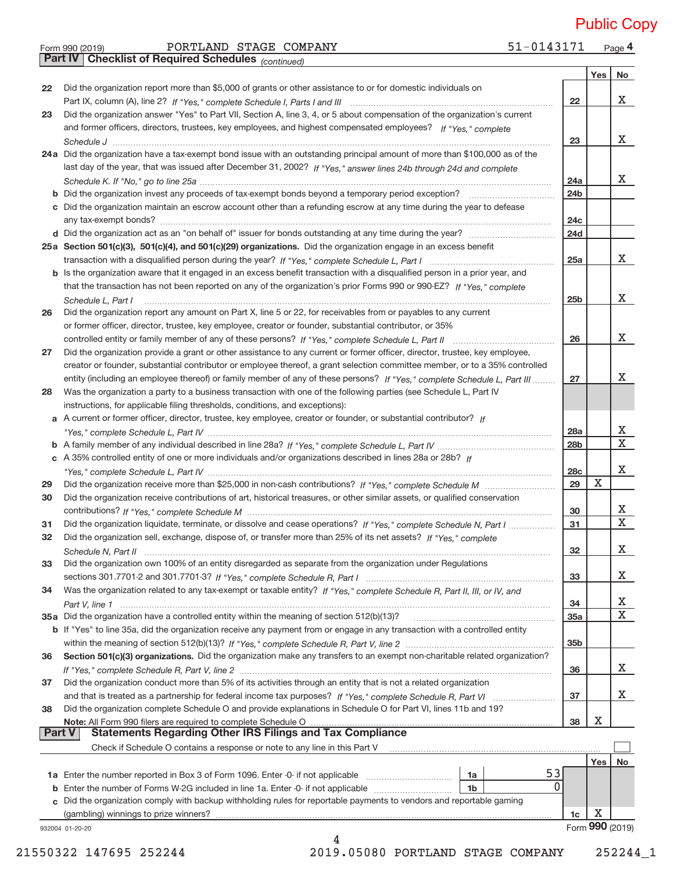#### Form 990 (2019) PORTLAND STAGE COMPANY 51−0143171 Page 51-0143171 Page 4 PORTLAND STAGE COMPANY 51-0143171 Public Copy

|               | Part IV   Checklist of Required Schedules (continued)                                                                        |                 |             |                 |
|---------------|------------------------------------------------------------------------------------------------------------------------------|-----------------|-------------|-----------------|
|               |                                                                                                                              |                 | Yes         | No              |
| 22            | Did the organization report more than \$5,000 of grants or other assistance to or for domestic individuals on                |                 |             |                 |
|               |                                                                                                                              | 22              |             | X               |
| 23            | Did the organization answer "Yes" to Part VII, Section A, line 3, 4, or 5 about compensation of the organization's current   |                 |             |                 |
|               | and former officers, directors, trustees, key employees, and highest compensated employees? If "Yes," complete               |                 |             |                 |
|               |                                                                                                                              | 23              |             | X               |
|               | 24a Did the organization have a tax-exempt bond issue with an outstanding principal amount of more than \$100,000 as of the  |                 |             |                 |
|               | last day of the year, that was issued after December 31, 2002? If "Yes," answer lines 24b through 24d and complete           |                 |             |                 |
|               |                                                                                                                              | 24a             |             | x               |
|               |                                                                                                                              | 24 <sub>b</sub> |             |                 |
|               | c Did the organization maintain an escrow account other than a refunding escrow at any time during the year to defease       |                 |             |                 |
|               |                                                                                                                              | 24 <sub>c</sub> |             |                 |
|               |                                                                                                                              | <b>24d</b>      |             |                 |
|               |                                                                                                                              |                 |             |                 |
|               | 25a Section 501(c)(3), 501(c)(4), and 501(c)(29) organizations. Did the organization engage in an excess benefit             |                 |             | X               |
|               |                                                                                                                              | 25a             |             |                 |
|               | b Is the organization aware that it engaged in an excess benefit transaction with a disqualified person in a prior year, and |                 |             |                 |
|               | that the transaction has not been reported on any of the organization's prior Forms 990 or 990-EZ? If "Yes," complete        |                 |             | X               |
|               | Schedule L, Part I                                                                                                           | 25 <sub>b</sub> |             |                 |
| 26            | Did the organization report any amount on Part X, line 5 or 22, for receivables from or payables to any current              |                 |             |                 |
|               | or former officer, director, trustee, key employee, creator or founder, substantial contributor, or 35%                      |                 |             |                 |
|               | controlled entity or family member of any of these persons? If "Yes," complete Schedule L, Part II                           | 26              |             | X               |
| 27            | Did the organization provide a grant or other assistance to any current or former officer, director, trustee, key employee,  |                 |             |                 |
|               | creator or founder, substantial contributor or employee thereof, a grant selection committee member, or to a 35% controlled  |                 |             |                 |
|               | entity (including an employee thereof) or family member of any of these persons? If "Yes," complete Schedule L, Part III     | 27              |             | Χ               |
| 28            | Was the organization a party to a business transaction with one of the following parties (see Schedule L, Part IV            |                 |             |                 |
|               | instructions, for applicable filing thresholds, conditions, and exceptions):                                                 |                 |             |                 |
|               | a A current or former officer, director, trustee, key employee, creator or founder, or substantial contributor? If           |                 |             |                 |
|               |                                                                                                                              | 28a             |             | Х               |
|               |                                                                                                                              | 28 <sub>b</sub> |             | $\mathbf X$     |
|               | c A 35% controlled entity of one or more individuals and/or organizations described in lines 28a or 28b? If                  |                 |             |                 |
|               |                                                                                                                              | 28c             |             | X               |
| 29            |                                                                                                                              | 29              | $\mathbf X$ |                 |
| 30            | Did the organization receive contributions of art, historical treasures, or other similar assets, or qualified conservation  |                 |             |                 |
|               |                                                                                                                              | 30              |             | х               |
| 31            | Did the organization liquidate, terminate, or dissolve and cease operations? If "Yes," complete Schedule N, Part I           | 31              |             | X               |
| 32            | Did the organization sell, exchange, dispose of, or transfer more than 25% of its net assets? If "Yes," complete             |                 |             |                 |
|               |                                                                                                                              | 32              |             | Χ               |
| 33            | Did the organization own 100% of an entity disregarded as separate from the organization under Regulations                   |                 |             |                 |
|               |                                                                                                                              | 33              |             | х               |
| 34            | Was the organization related to any tax-exempt or taxable entity? If "Yes," complete Schedule R, Part II, III, or IV, and    |                 |             |                 |
|               |                                                                                                                              | 34              |             | х               |
|               | 35a Did the organization have a controlled entity within the meaning of section 512(b)(13)?                                  | 35a             |             | X               |
|               | b If "Yes" to line 35a, did the organization receive any payment from or engage in any transaction with a controlled entity  |                 |             |                 |
|               |                                                                                                                              | 35 <sub>b</sub> |             |                 |
| 36            | Section 501(c)(3) organizations. Did the organization make any transfers to an exempt non-charitable related organization?   |                 |             |                 |
|               |                                                                                                                              | 36              |             | х               |
| 37            | Did the organization conduct more than 5% of its activities through an entity that is not a related organization             |                 |             |                 |
|               |                                                                                                                              | 37              |             | х               |
| 38            | Did the organization complete Schedule O and provide explanations in Schedule O for Part VI, lines 11b and 19?               |                 |             |                 |
|               | Note: All Form 990 filers are required to complete Schedule O                                                                | 38              | X           |                 |
| <b>Part V</b> | Statements Regarding Other IRS Filings and Tax Compliance                                                                    |                 |             |                 |
|               | Check if Schedule O contains a response or note to any line in this Part V                                                   |                 |             |                 |
|               |                                                                                                                              |                 | <b>Yes</b>  | No              |
|               | 53<br>1a Enter the number reported in Box 3 of Form 1096. Enter -0- if not applicable<br>1a                                  |                 |             |                 |
|               | $\Omega$<br>Enter the number of Forms W-2G included in line 1a. Enter -0- if not applicable<br>1 <sub>b</sub>                |                 |             |                 |
|               | c Did the organization comply with backup withholding rules for reportable payments to vendors and reportable gaming         |                 |             |                 |
|               | (gambling) winnings to prize winners?                                                                                        | 1c              | х           |                 |
|               | 932004 01-20-20                                                                                                              |                 |             | Form 990 (2019) |
|               | 4                                                                                                                            |                 |             |                 |
|               |                                                                                                                              |                 |             |                 |

21550322 147695 252244 2019.05080 PORTLAND STAGE COMPANY 252244\_1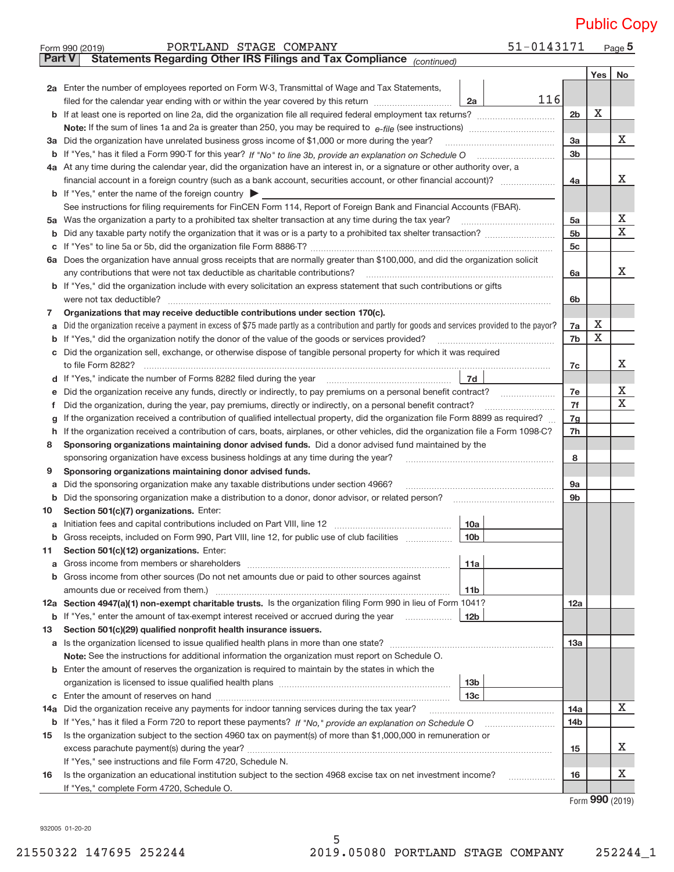|                                                                                                                                         | PORTLAND STAGE COMPANY<br>Form 990 (2019)                                                                                                       | 51-0143171      |                |     | Page $5$ |  |  |  |  |  |
|-----------------------------------------------------------------------------------------------------------------------------------------|-------------------------------------------------------------------------------------------------------------------------------------------------|-----------------|----------------|-----|----------|--|--|--|--|--|
| <b>Part V</b>                                                                                                                           | Statements Regarding Other IRS Filings and Tax Compliance (continued)                                                                           |                 |                |     |          |  |  |  |  |  |
|                                                                                                                                         |                                                                                                                                                 |                 |                | Yes | No       |  |  |  |  |  |
|                                                                                                                                         | 2a Enter the number of employees reported on Form W-3, Transmittal of Wage and Tax Statements,                                                  |                 |                |     |          |  |  |  |  |  |
|                                                                                                                                         | filed for the calendar year ending with or within the year covered by this return                                                               | 116<br>2a       |                |     |          |  |  |  |  |  |
|                                                                                                                                         |                                                                                                                                                 |                 |                |     |          |  |  |  |  |  |
|                                                                                                                                         |                                                                                                                                                 |                 |                |     |          |  |  |  |  |  |
|                                                                                                                                         | 3a Did the organization have unrelated business gross income of \$1,000 or more during the year?                                                |                 |                |     |          |  |  |  |  |  |
|                                                                                                                                         | b If "Yes," has it filed a Form 990-T for this year? If "No" to line 3b, provide an explanation on Schedule O                                   |                 |                |     |          |  |  |  |  |  |
|                                                                                                                                         | 4a At any time during the calendar year, did the organization have an interest in, or a signature or other authority over, a                    |                 |                |     |          |  |  |  |  |  |
|                                                                                                                                         | financial account in a foreign country (such as a bank account, securities account, or other financial account)?                                |                 |                |     |          |  |  |  |  |  |
|                                                                                                                                         | <b>b</b> If "Yes," enter the name of the foreign country $\triangleright$                                                                       |                 |                |     |          |  |  |  |  |  |
|                                                                                                                                         | See instructions for filing requirements for FinCEN Form 114, Report of Foreign Bank and Financial Accounts (FBAR).                             |                 |                |     |          |  |  |  |  |  |
|                                                                                                                                         | 5a Was the organization a party to a prohibited tax shelter transaction at any time during the tax year?                                        |                 | 5a             |     | х        |  |  |  |  |  |
| b                                                                                                                                       |                                                                                                                                                 |                 | 5 <sub>b</sub> |     | X        |  |  |  |  |  |
| С                                                                                                                                       |                                                                                                                                                 |                 | 5 <sub>c</sub> |     |          |  |  |  |  |  |
|                                                                                                                                         | 6a Does the organization have annual gross receipts that are normally greater than \$100,000, and did the organization solicit                  |                 |                |     |          |  |  |  |  |  |
|                                                                                                                                         | any contributions that were not tax deductible as charitable contributions?                                                                     |                 | 6a             |     | X        |  |  |  |  |  |
|                                                                                                                                         | b If "Yes," did the organization include with every solicitation an express statement that such contributions or gifts                          |                 |                |     |          |  |  |  |  |  |
|                                                                                                                                         | were not tax deductible?                                                                                                                        |                 | 6b             |     |          |  |  |  |  |  |
| 7                                                                                                                                       | Organizations that may receive deductible contributions under section 170(c).                                                                   |                 |                |     |          |  |  |  |  |  |
| а                                                                                                                                       | Did the organization receive a payment in excess of \$75 made partly as a contribution and partly for goods and services provided to the payor? |                 | 7a             | х   |          |  |  |  |  |  |
| b                                                                                                                                       | If "Yes," did the organization notify the donor of the value of the goods or services provided?                                                 |                 | 7b             | X   |          |  |  |  |  |  |
| с                                                                                                                                       | Did the organization sell, exchange, or otherwise dispose of tangible personal property for which it was required                               |                 |                |     |          |  |  |  |  |  |
|                                                                                                                                         | to file Form 8282?                                                                                                                              |                 | 7c             |     | x        |  |  |  |  |  |
| d                                                                                                                                       | 7d<br>If "Yes," indicate the number of Forms 8282 filed during the year                                                                         |                 |                |     |          |  |  |  |  |  |
| е                                                                                                                                       | Did the organization receive any funds, directly or indirectly, to pay premiums on a personal benefit contract?                                 |                 |                |     |          |  |  |  |  |  |
| Ť.                                                                                                                                      | Did the organization, during the year, pay premiums, directly or indirectly, on a personal benefit contract?                                    |                 |                |     |          |  |  |  |  |  |
| g                                                                                                                                       | If the organization received a contribution of qualified intellectual property, did the organization file Form 8899 as required?                |                 |                |     |          |  |  |  |  |  |
| If the organization received a contribution of cars, boats, airplanes, or other vehicles, did the organization file a Form 1098-C?<br>h |                                                                                                                                                 |                 |                |     |          |  |  |  |  |  |
|                                                                                                                                         | Sponsoring organizations maintaining donor advised funds. Did a donor advised fund maintained by the<br>8                                       |                 |                |     |          |  |  |  |  |  |
|                                                                                                                                         | sponsoring organization have excess business holdings at any time during the year?                                                              |                 |                |     |          |  |  |  |  |  |
| 9                                                                                                                                       | Sponsoring organizations maintaining donor advised funds.                                                                                       |                 |                |     |          |  |  |  |  |  |
| а                                                                                                                                       | Did the sponsoring organization make any taxable distributions under section 4966?                                                              |                 | <b>9a</b>      |     |          |  |  |  |  |  |
| b                                                                                                                                       | Did the sponsoring organization make a distribution to a donor, donor advisor, or related person?                                               |                 | 9b             |     |          |  |  |  |  |  |
| 10                                                                                                                                      | Section 501(c)(7) organizations. Enter:                                                                                                         |                 |                |     |          |  |  |  |  |  |
|                                                                                                                                         | Gross receipts, included on Form 990, Part VIII, line 12, for public use of club facilities                                                     | 10a<br>10b      |                |     |          |  |  |  |  |  |
| b<br>11                                                                                                                                 | Section 501(c)(12) organizations. Enter:                                                                                                        |                 |                |     |          |  |  |  |  |  |
| a                                                                                                                                       |                                                                                                                                                 | 11a             |                |     |          |  |  |  |  |  |
| b                                                                                                                                       | Gross income from other sources (Do not net amounts due or paid to other sources against                                                        |                 |                |     |          |  |  |  |  |  |
|                                                                                                                                         | amounts due or received from them.)                                                                                                             | 11b             |                |     |          |  |  |  |  |  |
|                                                                                                                                         | 12a Section 4947(a)(1) non-exempt charitable trusts. Is the organization filing Form 990 in lieu of Form 1041?                                  |                 | 12a            |     |          |  |  |  |  |  |
|                                                                                                                                         | <b>b</b> If "Yes," enter the amount of tax-exempt interest received or accrued during the year                                                  | 12 <sub>b</sub> |                |     |          |  |  |  |  |  |
| 13                                                                                                                                      | Section 501(c)(29) qualified nonprofit health insurance issuers.                                                                                |                 |                |     |          |  |  |  |  |  |
|                                                                                                                                         | <b>a</b> Is the organization licensed to issue qualified health plans in more than one state?                                                   |                 | 13a            |     |          |  |  |  |  |  |
|                                                                                                                                         | Note: See the instructions for additional information the organization must report on Schedule O.                                               |                 |                |     |          |  |  |  |  |  |
|                                                                                                                                         | <b>b</b> Enter the amount of reserves the organization is required to maintain by the states in which the                                       |                 |                |     |          |  |  |  |  |  |
|                                                                                                                                         |                                                                                                                                                 | 13 <sub>b</sub> |                |     |          |  |  |  |  |  |
| С                                                                                                                                       |                                                                                                                                                 | 13с             |                |     |          |  |  |  |  |  |
| 14a                                                                                                                                     | Did the organization receive any payments for indoor tanning services during the tax year?                                                      |                 | <b>14a</b>     |     | X        |  |  |  |  |  |
|                                                                                                                                         |                                                                                                                                                 |                 | 14b            |     |          |  |  |  |  |  |
| 15                                                                                                                                      | Is the organization subject to the section 4960 tax on payment(s) of more than \$1,000,000 in remuneration or                                   |                 |                |     |          |  |  |  |  |  |
|                                                                                                                                         |                                                                                                                                                 |                 | 15             |     | х        |  |  |  |  |  |
|                                                                                                                                         | If "Yes," see instructions and file Form 4720, Schedule N.                                                                                      |                 |                |     |          |  |  |  |  |  |
| 16                                                                                                                                      | Is the organization an educational institution subject to the section 4968 excise tax on net investment income?                                 |                 | 16             |     | х        |  |  |  |  |  |
|                                                                                                                                         | If "Yes," complete Form 4720, Schedule O.                                                                                                       |                 |                |     |          |  |  |  |  |  |
|                                                                                                                                         |                                                                                                                                                 |                 |                | റററ |          |  |  |  |  |  |

Form (2019) **990**

932005 01‐20‐20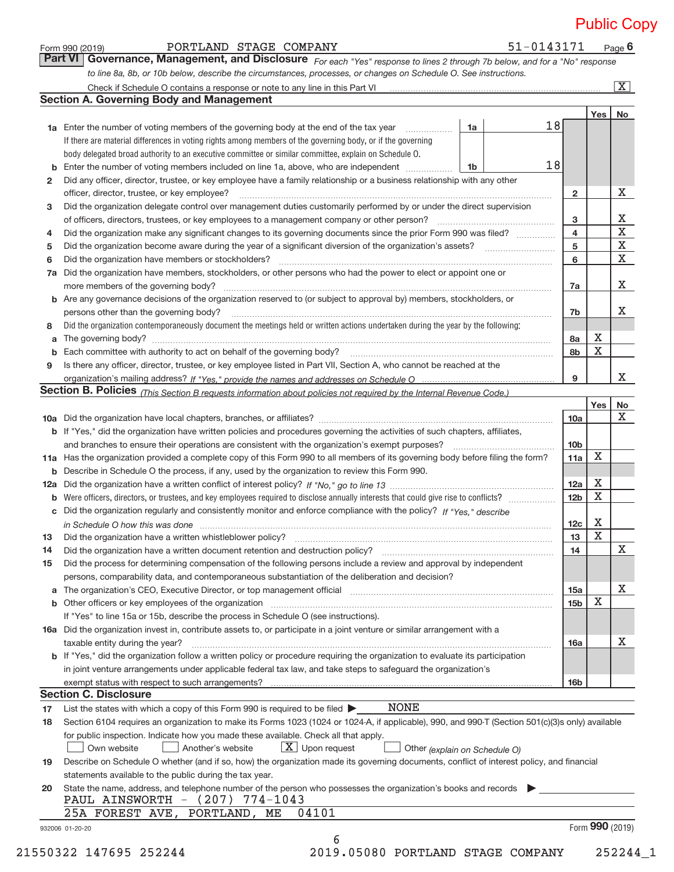51-0143171 Page 6

|    | Part VI   Governance, Management, and Disclosure For each "Yes" response to lines 2 through 7b below, and for a "No" response                                                                                                  |    |    |                 |                 |                         |  |  |  |  |  |
|----|--------------------------------------------------------------------------------------------------------------------------------------------------------------------------------------------------------------------------------|----|----|-----------------|-----------------|-------------------------|--|--|--|--|--|
|    | to line 8a, 8b, or 10b below, describe the circumstances, processes, or changes on Schedule O. See instructions.                                                                                                               |    |    |                 |                 |                         |  |  |  |  |  |
|    |                                                                                                                                                                                                                                |    |    |                 |                 | $\overline{\mathbf{X}}$ |  |  |  |  |  |
|    | <b>Section A. Governing Body and Management</b>                                                                                                                                                                                |    |    |                 |                 |                         |  |  |  |  |  |
|    |                                                                                                                                                                                                                                |    |    |                 | Yes             | No                      |  |  |  |  |  |
|    | <b>1a</b> Enter the number of voting members of the governing body at the end of the tax year                                                                                                                                  | 1a | 18 |                 |                 |                         |  |  |  |  |  |
|    | If there are material differences in voting rights among members of the governing body, or if the governing                                                                                                                    |    |    |                 |                 |                         |  |  |  |  |  |
|    | body delegated broad authority to an executive committee or similar committee, explain on Schedule O.                                                                                                                          |    |    |                 |                 |                         |  |  |  |  |  |
|    | Enter the number of voting members included on line 1a, above, who are independent                                                                                                                                             | 1b | 18 |                 |                 |                         |  |  |  |  |  |
| 2  | Did any officer, director, trustee, or key employee have a family relationship or a business relationship with any other                                                                                                       |    |    |                 |                 |                         |  |  |  |  |  |
|    | officer, director, trustee, or key employee?                                                                                                                                                                                   |    |    |                 |                 |                         |  |  |  |  |  |
| 3  | Did the organization delegate control over management duties customarily performed by or under the direct supervision                                                                                                          |    |    |                 |                 | Х                       |  |  |  |  |  |
|    |                                                                                                                                                                                                                                |    |    |                 |                 |                         |  |  |  |  |  |
| 4  |                                                                                                                                                                                                                                |    |    |                 |                 |                         |  |  |  |  |  |
| 5  |                                                                                                                                                                                                                                |    |    | 4<br>5          |                 | X<br>X                  |  |  |  |  |  |
| 6  | Did the organization have members or stockholders?                                                                                                                                                                             |    |    | 6               |                 | X                       |  |  |  |  |  |
|    | Did the organization have members, stockholders, or other persons who had the power to elect or appoint one or                                                                                                                 |    |    |                 |                 |                         |  |  |  |  |  |
| 7a |                                                                                                                                                                                                                                |    |    |                 |                 | Χ                       |  |  |  |  |  |
|    |                                                                                                                                                                                                                                |    |    | 7a              |                 |                         |  |  |  |  |  |
|    | <b>b</b> Are any governance decisions of the organization reserved to (or subject to approval by) members, stockholders, or                                                                                                    |    |    |                 |                 | x                       |  |  |  |  |  |
|    | persons other than the governing body?                                                                                                                                                                                         |    |    | 7b              |                 |                         |  |  |  |  |  |
| 8  | Did the organization contemporaneously document the meetings held or written actions undertaken during the year by the following:                                                                                              |    |    |                 |                 |                         |  |  |  |  |  |
| a  |                                                                                                                                                                                                                                |    |    | 8a              | Х               |                         |  |  |  |  |  |
|    | Each committee with authority to act on behalf of the governing body? [11] manufacture manufacture with authority to act on behalf of the governing body? [11] manufacture with authority of act on behalf of the governing bo |    |    | 8b              | $\mathbf X$     |                         |  |  |  |  |  |
| 9  | Is there any officer, director, trustee, or key employee listed in Part VII, Section A, who cannot be reached at the                                                                                                           |    |    |                 |                 |                         |  |  |  |  |  |
|    |                                                                                                                                                                                                                                |    |    | 9               |                 | X                       |  |  |  |  |  |
|    | Section B. Policies (This Section B requests information about policies not required by the Internal Revenue Code.)                                                                                                            |    |    |                 |                 |                         |  |  |  |  |  |
|    |                                                                                                                                                                                                                                |    |    |                 | Yes             | No                      |  |  |  |  |  |
|    |                                                                                                                                                                                                                                |    |    | 10a             |                 | x                       |  |  |  |  |  |
|    | <b>b</b> If "Yes," did the organization have written policies and procedures governing the activities of such chapters, affiliates,                                                                                            |    |    |                 |                 |                         |  |  |  |  |  |
|    |                                                                                                                                                                                                                                |    |    | 10 <sub>b</sub> |                 |                         |  |  |  |  |  |
|    | 11a Has the organization provided a complete copy of this Form 990 to all members of its governing body before filing the form?                                                                                                |    |    | 11a             | Χ               |                         |  |  |  |  |  |
|    | <b>b</b> Describe in Schedule O the process, if any, used by the organization to review this Form 990.                                                                                                                         |    |    |                 |                 |                         |  |  |  |  |  |
|    |                                                                                                                                                                                                                                |    |    | 12a             | Х               |                         |  |  |  |  |  |
|    | <b>b</b> Were officers, directors, or trustees, and key employees required to disclose annually interests that could give rise to conflicts?                                                                                   |    |    | 12 <sub>b</sub> | $\mathbf X$     |                         |  |  |  |  |  |
|    | c Did the organization regularly and consistently monitor and enforce compliance with the policy? If "Yes," describe                                                                                                           |    |    |                 |                 |                         |  |  |  |  |  |
|    | in Schedule O how this was done <i>manual content of the content of the state of the state of the state of the state</i>                                                                                                       |    |    | 12 <sub>c</sub> | Х               |                         |  |  |  |  |  |
| 13 |                                                                                                                                                                                                                                |    |    | 13              | X               |                         |  |  |  |  |  |
| 14 | Did the organization have a written document retention and destruction policy? [111] [12] manument contains an                                                                                                                 |    |    | 14              |                 | X                       |  |  |  |  |  |
| 15 | Did the process for determining compensation of the following persons include a review and approval by independent                                                                                                             |    |    |                 |                 |                         |  |  |  |  |  |
|    | persons, comparability data, and contemporaneous substantiation of the deliberation and decision?                                                                                                                              |    |    |                 |                 |                         |  |  |  |  |  |
|    |                                                                                                                                                                                                                                |    |    | 15a             |                 | х                       |  |  |  |  |  |
|    | <b>b</b> Other officers or key employees of the organization                                                                                                                                                                   |    |    | 15 <sub>b</sub> | $\mathbf X$     |                         |  |  |  |  |  |
|    | If "Yes" to line 15a or 15b, describe the process in Schedule O (see instructions).                                                                                                                                            |    |    |                 |                 |                         |  |  |  |  |  |
|    | 16a Did the organization invest in, contribute assets to, or participate in a joint venture or similar arrangement with a                                                                                                      |    |    |                 |                 |                         |  |  |  |  |  |
|    | taxable entity during the year?                                                                                                                                                                                                |    |    | <b>16a</b>      |                 | х                       |  |  |  |  |  |
|    | b If "Yes," did the organization follow a written policy or procedure requiring the organization to evaluate its participation                                                                                                 |    |    |                 |                 |                         |  |  |  |  |  |
|    | in joint venture arrangements under applicable federal tax law, and take steps to safeguard the organization's                                                                                                                 |    |    |                 |                 |                         |  |  |  |  |  |
|    |                                                                                                                                                                                                                                |    |    | 16 <sub>b</sub> |                 |                         |  |  |  |  |  |
|    | <b>Section C. Disclosure</b>                                                                                                                                                                                                   |    |    |                 |                 |                         |  |  |  |  |  |
| 17 | NONE<br>List the states with which a copy of this Form 990 is required to be filed $\blacktriangleright$                                                                                                                       |    |    |                 |                 |                         |  |  |  |  |  |
|    |                                                                                                                                                                                                                                |    |    |                 |                 |                         |  |  |  |  |  |
| 18 | Section 6104 requires an organization to make its Forms 1023 (1024 or 1024-A, if applicable), 990, and 990-T (Section 501(c)(3)s only) available                                                                               |    |    |                 |                 |                         |  |  |  |  |  |
|    | for public inspection. Indicate how you made these available. Check all that apply.                                                                                                                                            |    |    |                 |                 |                         |  |  |  |  |  |
|    | $X$ Upon request<br>Another's website<br>Own website<br>Other (explain on Schedule O)                                                                                                                                          |    |    |                 |                 |                         |  |  |  |  |  |
| 19 | Describe on Schedule O whether (and if so, how) the organization made its governing documents, conflict of interest policy, and financial                                                                                      |    |    |                 |                 |                         |  |  |  |  |  |
|    | statements available to the public during the tax year.                                                                                                                                                                        |    |    |                 |                 |                         |  |  |  |  |  |
| 20 | State the name, address, and telephone number of the person who possesses the organization's books and records                                                                                                                 |    |    |                 |                 |                         |  |  |  |  |  |
|    | PAUL AINSWORTH - (207) 774-1043                                                                                                                                                                                                |    |    |                 |                 |                         |  |  |  |  |  |
|    | 25A FOREST AVE, PORTLAND, ME<br>04101                                                                                                                                                                                          |    |    |                 |                 |                         |  |  |  |  |  |
|    | 932006 01-20-20                                                                                                                                                                                                                |    |    |                 | Form 990 (2019) |                         |  |  |  |  |  |
|    | 6                                                                                                                                                                                                                              |    |    |                 |                 |                         |  |  |  |  |  |

Form 990 (2019) Page PORTLAND STAGE COMPANY 51‐0143171

21550322 147695 252244 2019.05080 PORTLAND STAGE COMPANY 252244\_1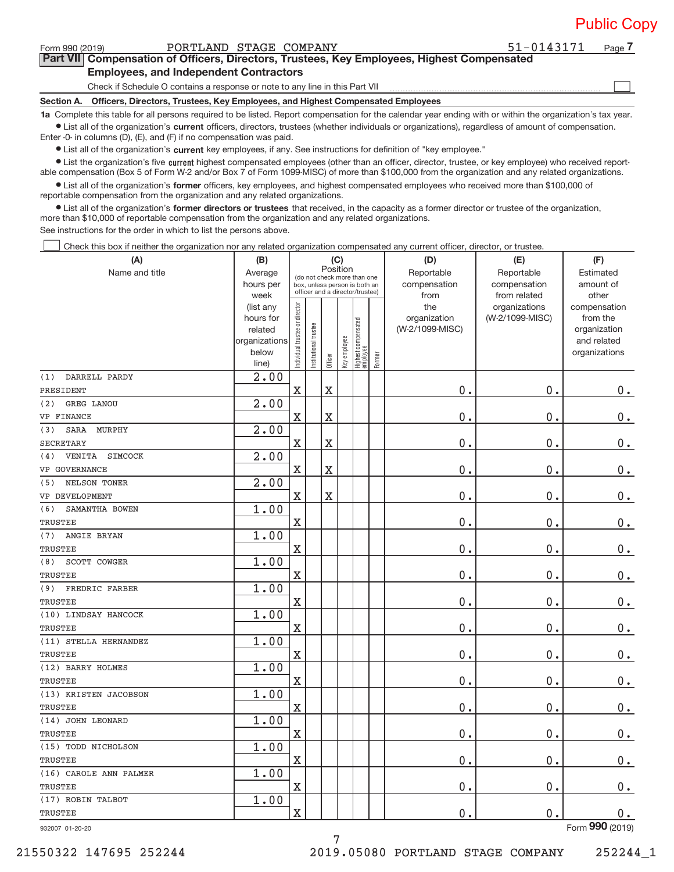| <b>Public Copy</b> |  |  |
|--------------------|--|--|
|                    |  |  |

**7**

 $\begin{array}{c} \hline \end{array}$ 

| Form 990 (2019) | PORTLAND STAGE COMPANY |  |
|-----------------|------------------------|--|

**Part VII Compensation of Officers, Directors, Trustees, Key Employees, Highest Compensated Employees, and Independent Contractors** 51-0143171

Check if Schedule O contains a response or note to any line in this Part VII

**Section A. Officers, Directors, Trustees, Key Employees, and Highest Compensated Employees**

**1a**  Complete this table for all persons required to be listed. Report compensation for the calendar year ending with or within the organization's tax year. **•** List all of the organization's current officers, directors, trustees (whether individuals or organizations), regardless of amount of compensation.

Enter ‐0‐ in columns (D), (E), and (F) if no compensation was paid.

**•** List all of the organization's current key employees, if any. See instructions for definition of "key employee."

● List the organization's five current highest compensated employees (other than an officer, director, trustee, or key employee) who received report‐ able compensation (Box 5 of Form W‐2 and/or Box 7 of Form 1099‐MISC) of more than \$100,000 from the organization and any related organizations.

 $\bullet$  List all of the organization's former officers, key employees, and highest compensated employees who received more than \$100,000 of reportable compensation from the organization and any related organizations.

**•** List all of the organization's former directors or trustees that received, in the capacity as a former director or trustee of the organization, more than \$10,000 of reportable compensation from the organization and any related organizations.

See instructions for the order in which to list the persons above.

Check this box if neither the organization nor any related organization compensated any current officer, director, or trustee.  $\Box$ 

| (A)                             | (B)                    |                                |                                                                  |                       | (C)          |                                  |        | (D)             | (E)                              | (F)                      |
|---------------------------------|------------------------|--------------------------------|------------------------------------------------------------------|-----------------------|--------------|----------------------------------|--------|-----------------|----------------------------------|--------------------------|
| Name and title                  | Average                |                                | (do not check more than one                                      |                       | Position     |                                  |        | Reportable      | Reportable                       | Estimated                |
|                                 | hours per              |                                | box, unless person is both an<br>officer and a director/trustee) |                       |              |                                  |        | compensation    | compensation                     | amount of                |
|                                 | week                   |                                |                                                                  |                       |              |                                  |        | from<br>the     | from related                     | other                    |
|                                 | (list any<br>hours for |                                |                                                                  |                       |              |                                  |        | organization    | organizations<br>(W-2/1099-MISC) | compensation<br>from the |
|                                 | related                |                                |                                                                  |                       |              |                                  |        | (W-2/1099-MISC) |                                  | organization             |
|                                 | organizations          |                                |                                                                  |                       |              |                                  |        |                 |                                  | and related              |
|                                 | below                  | Individual trustee or director | Institutional trustee                                            |                       | Key employee |                                  |        |                 |                                  | organizations            |
|                                 | line)                  |                                |                                                                  | Officer               |              | Highest compensated<br> employee | Former |                 |                                  |                          |
| (1)<br>DARRELL PARDY            | 2.00                   |                                |                                                                  |                       |              |                                  |        |                 |                                  |                          |
| PRESIDENT                       |                        | $\rm X$                        |                                                                  | $\overline{\text{X}}$ |              |                                  |        | 0.              | 0.                               | $0_{.}$                  |
| (2)<br>GREG LANOU               | 2.00                   |                                |                                                                  |                       |              |                                  |        |                 |                                  |                          |
| VP FINANCE                      |                        | X                              |                                                                  | X                     |              |                                  |        | 0.              | 0.                               | $0$ .                    |
| MURPHY<br>SARA<br>(3)           | 2.00                   |                                |                                                                  |                       |              |                                  |        |                 |                                  |                          |
| <b>SECRETARY</b>                |                        | X                              |                                                                  | X                     |              |                                  |        | 0.              | 0.                               | $0$ .                    |
| VENITA<br><b>SIMCOCK</b><br>(4) | 2.00                   |                                |                                                                  |                       |              |                                  |        |                 |                                  |                          |
| VP GOVERNANCE                   |                        | X                              |                                                                  | $\overline{\text{X}}$ |              |                                  |        | 0.              | 0.                               | $\mathbf 0$ .            |
| NELSON TONER<br>(5)             | 2.00                   |                                |                                                                  |                       |              |                                  |        |                 |                                  |                          |
| VP DEVELOPMENT                  |                        | X                              |                                                                  | X                     |              |                                  |        | 0.              | 0.                               | $0_{\cdot}$              |
| (6)<br>SAMANTHA BOWEN           | 1.00                   |                                |                                                                  |                       |              |                                  |        |                 |                                  |                          |
| TRUSTEE                         |                        | X                              |                                                                  |                       |              |                                  |        | 0.              | 0.                               | $0_{\cdot}$              |
| ANGIE BRYAN<br>(7)              | 1.00                   |                                |                                                                  |                       |              |                                  |        |                 |                                  |                          |
| TRUSTEE                         |                        | X                              |                                                                  |                       |              |                                  |        | 0.              | 0.                               | $0$ .                    |
| SCOTT COWGER<br>(8)             | 1.00                   |                                |                                                                  |                       |              |                                  |        |                 |                                  |                          |
| TRUSTEE                         |                        | X                              |                                                                  |                       |              |                                  |        | 0.              | 0.                               | $0_{\cdot}$              |
| (9)<br>FREDRIC FARBER           | 1.00                   |                                |                                                                  |                       |              |                                  |        |                 |                                  |                          |
| TRUSTEE                         |                        | $\overline{\text{X}}$          |                                                                  |                       |              |                                  |        | 0.              | 0.                               | $\mathbf 0$ .            |
| (10) LINDSAY HANCOCK            | 1.00                   |                                |                                                                  |                       |              |                                  |        |                 |                                  |                          |
| TRUSTEE                         |                        | X                              |                                                                  |                       |              |                                  |        | 0.              | 0.                               | $0 \cdot$                |
| (11) STELLA HERNANDEZ           | 1.00                   |                                |                                                                  |                       |              |                                  |        |                 |                                  |                          |
| TRUSTEE                         |                        | X                              |                                                                  |                       |              |                                  |        | 0.              | 0.                               | $0_{.}$                  |
| (12) BARRY HOLMES               | 1.00                   |                                |                                                                  |                       |              |                                  |        |                 |                                  |                          |
| <b>TRUSTEE</b>                  |                        | X                              |                                                                  |                       |              |                                  |        | 0.              | 0.                               | $0$ .                    |
| (13) KRISTEN JACOBSON           | 1.00                   |                                |                                                                  |                       |              |                                  |        |                 |                                  |                          |
| TRUSTEE                         |                        | X                              |                                                                  |                       |              |                                  |        | 0.              | 0.                               | 0.                       |
| (14) JOHN LEONARD               | 1.00                   |                                |                                                                  |                       |              |                                  |        |                 |                                  |                          |
| TRUSTEE                         |                        | X                              |                                                                  |                       |              |                                  |        | 0.              | 0.                               | 0.                       |
| (15) TODD NICHOLSON             | 1.00                   |                                |                                                                  |                       |              |                                  |        |                 |                                  |                          |
| TRUSTEE                         |                        | X                              |                                                                  |                       |              |                                  |        | 0.              | 0.                               | $0$ .                    |
| (16) CAROLE ANN PALMER          | 1.00                   |                                |                                                                  |                       |              |                                  |        |                 |                                  |                          |
| <b>TRUSTEE</b>                  |                        | X                              |                                                                  |                       |              |                                  |        | 0.              | 0.                               | 0.                       |
| (17) ROBIN TALBOT               | 1.00                   |                                |                                                                  |                       |              |                                  |        |                 |                                  |                          |
| TRUSTEE                         |                        | X                              |                                                                  |                       |              |                                  |        | 0.              | 0.                               | 0.                       |
|                                 |                        |                                |                                                                  |                       |              |                                  |        |                 |                                  | $\overline{2}$           |

7

932007 01‐20‐20

Form (2019) **990**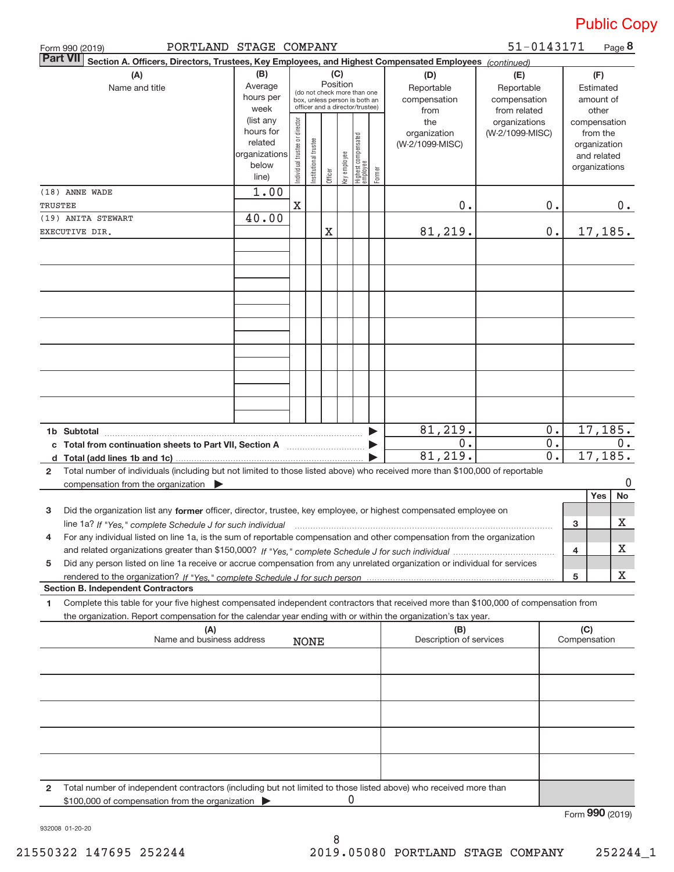| PORTLAND STAGE COMPANY<br>Form 990 (2019)                                                                                                    |                      |                                                                                                 |                       |          |              |                                 |        |                                | 51-0143171      |                  |                     | Page 8                      |
|----------------------------------------------------------------------------------------------------------------------------------------------|----------------------|-------------------------------------------------------------------------------------------------|-----------------------|----------|--------------|---------------------------------|--------|--------------------------------|-----------------|------------------|---------------------|-----------------------------|
| <b>Part VII</b><br>Section A. Officers, Directors, Trustees, Key Employees, and Highest Compensated Employees (continued)                    |                      |                                                                                                 |                       |          |              |                                 |        |                                |                 |                  |                     |                             |
| (B)<br>(C)<br>(A)<br>(D)<br>(E)                                                                                                              |                      |                                                                                                 |                       |          |              |                                 |        |                                |                 |                  | (F)                 |                             |
| Name and title                                                                                                                               | Average              |                                                                                                 |                       | Position |              |                                 |        | Reportable                     | Reportable      |                  |                     | Estimated                   |
|                                                                                                                                              | hours per            | (do not check more than one<br>box, unless person is both an<br>officer and a director/trustee) |                       |          |              |                                 |        | compensation                   | compensation    |                  |                     | amount of                   |
|                                                                                                                                              | week                 |                                                                                                 |                       |          |              |                                 |        | from                           | from related    |                  |                     | other                       |
|                                                                                                                                              | (list any            |                                                                                                 |                       |          |              |                                 |        | the                            | organizations   |                  |                     | compensation                |
|                                                                                                                                              | hours for<br>related |                                                                                                 |                       |          |              |                                 |        | organization                   | (W-2/1099-MISC) |                  |                     | from the                    |
|                                                                                                                                              | organizations        |                                                                                                 |                       |          |              |                                 |        | (W-2/1099-MISC)                |                 |                  |                     | organization<br>and related |
|                                                                                                                                              | below                |                                                                                                 |                       |          |              |                                 |        |                                |                 |                  |                     | organizations               |
|                                                                                                                                              | line)                | Individual trustee or director                                                                  | Institutional trustee | Officer  | Key employee | Highest compensated<br>employee | Former |                                |                 |                  |                     |                             |
| (18) ANNE WADE                                                                                                                               | 1.00                 |                                                                                                 |                       |          |              |                                 |        |                                |                 |                  |                     |                             |
| TRUSTEE                                                                                                                                      |                      | $\mathbf X$                                                                                     |                       |          |              |                                 |        | 0.                             |                 | 0.               |                     | 0.                          |
| (19) ANITA STEWART                                                                                                                           | 40.00                |                                                                                                 |                       |          |              |                                 |        |                                |                 |                  |                     |                             |
| EXECUTIVE DIR.                                                                                                                               |                      |                                                                                                 |                       | Χ        |              |                                 |        | 81,219.                        |                 | $0$ .            |                     | 17,185.                     |
|                                                                                                                                              |                      |                                                                                                 |                       |          |              |                                 |        |                                |                 |                  |                     |                             |
|                                                                                                                                              |                      |                                                                                                 |                       |          |              |                                 |        |                                |                 |                  |                     |                             |
|                                                                                                                                              |                      |                                                                                                 |                       |          |              |                                 |        |                                |                 |                  |                     |                             |
|                                                                                                                                              |                      |                                                                                                 |                       |          |              |                                 |        |                                |                 |                  |                     |                             |
|                                                                                                                                              |                      |                                                                                                 |                       |          |              |                                 |        |                                |                 |                  |                     |                             |
|                                                                                                                                              |                      |                                                                                                 |                       |          |              |                                 |        |                                |                 |                  |                     |                             |
|                                                                                                                                              |                      |                                                                                                 |                       |          |              |                                 |        |                                |                 |                  |                     |                             |
|                                                                                                                                              |                      |                                                                                                 |                       |          |              |                                 |        |                                |                 |                  |                     |                             |
|                                                                                                                                              |                      |                                                                                                 |                       |          |              |                                 |        |                                |                 |                  |                     |                             |
|                                                                                                                                              |                      |                                                                                                 |                       |          |              |                                 |        |                                |                 |                  |                     |                             |
|                                                                                                                                              |                      |                                                                                                 |                       |          |              |                                 |        |                                |                 |                  |                     |                             |
|                                                                                                                                              |                      |                                                                                                 |                       |          |              |                                 |        |                                |                 |                  |                     |                             |
|                                                                                                                                              |                      |                                                                                                 |                       |          |              |                                 |        |                                |                 |                  |                     |                             |
| 1b Subtotal                                                                                                                                  |                      |                                                                                                 |                       |          |              |                                 |        | 81,219.                        |                 | 0.               |                     | 17,185.                     |
| c Total from continuation sheets to Part VII, Section A [111] [11] Contains the Total from Ref.                                              |                      |                                                                                                 |                       |          |              |                                 |        | 0.                             |                 | 0.               |                     | 0.                          |
|                                                                                                                                              |                      |                                                                                                 |                       |          |              |                                 |        | 81,219.                        |                 | $\overline{0}$ . |                     | 17, 185.                    |
| Total number of individuals (including but not limited to those listed above) who received more than \$100,000 of reportable<br>$\mathbf{2}$ |                      |                                                                                                 |                       |          |              |                                 |        |                                |                 |                  |                     |                             |
| compensation from the organization                                                                                                           |                      |                                                                                                 |                       |          |              |                                 |        |                                |                 |                  |                     | 0                           |
|                                                                                                                                              |                      |                                                                                                 |                       |          |              |                                 |        |                                |                 |                  |                     | No<br>Yes                   |
| Did the organization list any former officer, director, trustee, key employee, or highest compensated employee on<br>3                       |                      |                                                                                                 |                       |          |              |                                 |        |                                |                 |                  |                     |                             |
| line 1a? If "Yes," complete Schedule J for such individual manufactured contained and the Yes," complete Schedule J for such individual      |                      |                                                                                                 |                       |          |              |                                 |        |                                |                 |                  | 3                   | Х                           |
| 4<br>For any individual listed on line 1a, is the sum of reportable compensation and other compensation from the organization                |                      |                                                                                                 |                       |          |              |                                 |        |                                |                 |                  |                     |                             |
|                                                                                                                                              |                      |                                                                                                 |                       |          |              |                                 |        |                                |                 |                  | 4                   | х                           |
| Did any person listed on line 1a receive or accrue compensation from any unrelated organization or individual for services<br>5              |                      |                                                                                                 |                       |          |              |                                 |        |                                |                 |                  |                     |                             |
|                                                                                                                                              |                      |                                                                                                 |                       |          |              |                                 |        |                                |                 |                  | 5                   | х                           |
| <b>Section B. Independent Contractors</b>                                                                                                    |                      |                                                                                                 |                       |          |              |                                 |        |                                |                 |                  |                     |                             |
| Complete this table for your five highest compensated independent contractors that received more than \$100,000 of compensation from<br>1    |                      |                                                                                                 |                       |          |              |                                 |        |                                |                 |                  |                     |                             |
| the organization. Report compensation for the calendar year ending with or within the organization's tax year.                               |                      |                                                                                                 |                       |          |              |                                 |        |                                |                 |                  |                     |                             |
| (A)<br>Name and business address                                                                                                             |                      |                                                                                                 |                       |          |              |                                 |        | (B)<br>Description of services |                 |                  | (C)<br>Compensation |                             |
|                                                                                                                                              |                      |                                                                                                 | <b>NONE</b>           |          |              |                                 |        |                                |                 |                  |                     |                             |
|                                                                                                                                              |                      |                                                                                                 |                       |          |              |                                 |        |                                |                 |                  |                     |                             |
|                                                                                                                                              |                      |                                                                                                 |                       |          |              |                                 |        |                                |                 |                  |                     |                             |
|                                                                                                                                              |                      |                                                                                                 |                       |          |              |                                 |        |                                |                 |                  |                     |                             |
|                                                                                                                                              |                      |                                                                                                 |                       |          |              |                                 |        |                                |                 |                  |                     |                             |
|                                                                                                                                              |                      |                                                                                                 |                       |          |              |                                 |        |                                |                 |                  |                     |                             |
|                                                                                                                                              |                      |                                                                                                 |                       |          |              |                                 |        |                                |                 |                  |                     |                             |
|                                                                                                                                              |                      |                                                                                                 |                       |          |              |                                 |        |                                |                 |                  |                     |                             |
|                                                                                                                                              |                      |                                                                                                 |                       |          |              |                                 |        |                                |                 |                  |                     |                             |
|                                                                                                                                              |                      |                                                                                                 |                       |          |              |                                 |        |                                |                 |                  |                     |                             |
| Total number of independent contractors (including but not limited to those listed above) who received more than<br>2                        |                      |                                                                                                 |                       |          |              |                                 |        |                                |                 |                  |                     |                             |
| \$100,000 of compensation from the organization                                                                                              |                      |                                                                                                 |                       |          | 0            |                                 |        |                                |                 |                  |                     |                             |

Form (2019) **990**

932008 01‐20‐20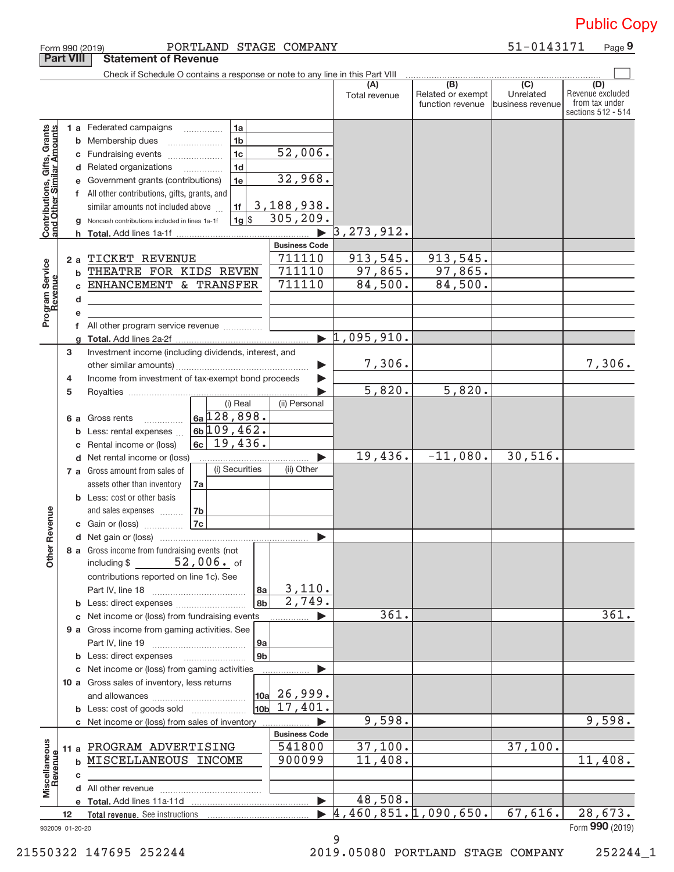|                                                           |                   |    | Form 990 (2019)                                                               | PORTLAND STAGE COMPANY  |                             |                                  |                                                           | 51-0143171                                        | Page 9                                                          |
|-----------------------------------------------------------|-------------------|----|-------------------------------------------------------------------------------|-------------------------|-----------------------------|----------------------------------|-----------------------------------------------------------|---------------------------------------------------|-----------------------------------------------------------------|
|                                                           | <b>Part VIII</b>  |    | <b>Statement of Revenue</b>                                                   |                         |                             |                                  |                                                           |                                                   |                                                                 |
|                                                           |                   |    | Check if Schedule O contains a response or note to any line in this Part VIII |                         |                             |                                  |                                                           |                                                   |                                                                 |
|                                                           |                   |    |                                                                               |                         |                             | (A)<br>Total revenue             | $\overline{(B)}$<br>Related or exempt<br>function revenue | $\overline{(C)}$<br>Unrelated<br>business revenue | (D)<br>Revenue excluded<br>from tax under<br>sections 512 - 514 |
|                                                           |                   |    | 1 a Federated campaigns                                                       | 1a                      |                             |                                  |                                                           |                                                   |                                                                 |
|                                                           |                   |    | <b>b</b> Membership dues                                                      | 1 <sub>b</sub>          |                             |                                  |                                                           |                                                   |                                                                 |
|                                                           |                   |    | c Fundraising events                                                          | 1 <sub>c</sub>          | 52,006.                     |                                  |                                                           |                                                   |                                                                 |
|                                                           |                   |    | d Related organizations                                                       | 1 <sub>d</sub><br>.     |                             |                                  |                                                           |                                                   |                                                                 |
|                                                           |                   |    | e Government grants (contributions)                                           | 1e                      | 32,968.                     |                                  |                                                           |                                                   |                                                                 |
|                                                           |                   |    | f All other contributions, gifts, grants, and                                 |                         |                             |                                  |                                                           |                                                   |                                                                 |
|                                                           |                   |    | similar amounts not included above                                            | 1f                      | 3,188,938.                  |                                  |                                                           |                                                   |                                                                 |
| Contributions, Gifts, Grants<br>and Other Similar Amounts |                   |    | Noncash contributions included in lines 1a-1f                                 | $1g$ \$                 | 305, 209.                   |                                  |                                                           |                                                   |                                                                 |
|                                                           |                   | h  |                                                                               |                         |                             | 3, 273, 912.                     |                                                           |                                                   |                                                                 |
|                                                           |                   |    |                                                                               |                         | <b>Business Code</b>        |                                  |                                                           |                                                   |                                                                 |
|                                                           |                   | 2a | TICKET REVENUE                                                                |                         | 711110                      | 913, 545.                        | 913,545.                                                  |                                                   |                                                                 |
| Program Service                                           |                   | b  | THEATRE FOR KIDS REVEN                                                        |                         | 711110                      | 97,865.                          | 97,865.                                                   |                                                   |                                                                 |
|                                                           |                   | C  | ENHANCEMENT & TRANSFER                                                        |                         | 711110                      | 84,500.                          | 84,500.                                                   |                                                   |                                                                 |
|                                                           |                   | d  |                                                                               |                         |                             |                                  |                                                           |                                                   |                                                                 |
|                                                           |                   |    |                                                                               |                         |                             |                                  |                                                           |                                                   |                                                                 |
|                                                           |                   |    | f All other program service revenue                                           |                         |                             |                                  |                                                           |                                                   |                                                                 |
|                                                           |                   |    |                                                                               |                         |                             | $\blacktriangleright$ 1,095,910. |                                                           |                                                   |                                                                 |
|                                                           | з                 |    | Investment income (including dividends, interest, and                         |                         |                             |                                  |                                                           |                                                   |                                                                 |
|                                                           |                   |    |                                                                               |                         |                             | 7,306.                           |                                                           |                                                   | 7,306.                                                          |
|                                                           | 4                 |    | Income from investment of tax-exempt bond proceeds                            |                         |                             |                                  |                                                           |                                                   |                                                                 |
|                                                           | 5                 |    |                                                                               |                         |                             | 5,820.                           | 5,820.                                                    |                                                   |                                                                 |
|                                                           |                   |    |                                                                               | (i) Real                | (ii) Personal               |                                  |                                                           |                                                   |                                                                 |
|                                                           |                   |    | 6 a Gross rents                                                               | $6a$ 128,898.           |                             |                                  |                                                           |                                                   |                                                                 |
|                                                           |                   |    | <b>b</b> Less: rental expenses                                                | $6b$ 109, 462.          |                             |                                  |                                                           |                                                   |                                                                 |
|                                                           |                   |    | Rental income or (loss)                                                       | $\overline{6c}$ 19,436. |                             |                                  |                                                           |                                                   |                                                                 |
|                                                           |                   |    | d Net rental income or (loss)                                                 |                         |                             | 19,436.                          | $-11,080.$                                                | 30, 516.                                          |                                                                 |
|                                                           |                   |    | 7 a Gross amount from sales of                                                | (i) Securities          | (ii) Other                  |                                  |                                                           |                                                   |                                                                 |
|                                                           |                   |    | assets other than inventory                                                   | 7a                      |                             |                                  |                                                           |                                                   |                                                                 |
|                                                           |                   |    | <b>b</b> Less: cost or other basis                                            |                         |                             |                                  |                                                           |                                                   |                                                                 |
|                                                           |                   |    | and sales expenses                                                            | 7b                      |                             |                                  |                                                           |                                                   |                                                                 |
| evenue                                                    |                   |    | c Gain or (loss)                                                              | 7c                      |                             |                                  |                                                           |                                                   |                                                                 |
|                                                           |                   |    |                                                                               |                         |                             |                                  |                                                           |                                                   |                                                                 |
| Other R                                                   |                   |    | 8 a Gross income from fundraising events (not<br>including $$52,006.$ of      |                         |                             |                                  |                                                           |                                                   |                                                                 |
|                                                           |                   |    | contributions reported on line 1c). See                                       |                         |                             |                                  |                                                           |                                                   |                                                                 |
|                                                           |                   |    |                                                                               | 8а                      | 3,110.                      |                                  |                                                           |                                                   |                                                                 |
|                                                           |                   |    | <b>b</b> Less: direct expenses <i></i>                                        | 8b                      | 2,749.                      |                                  |                                                           |                                                   |                                                                 |
|                                                           |                   |    | c Net income or (loss) from fundraising events                                |                         |                             | 361.                             |                                                           |                                                   | 361.                                                            |
|                                                           |                   |    | 9 a Gross income from gaming activities. See                                  |                         |                             |                                  |                                                           |                                                   |                                                                 |
|                                                           |                   |    |                                                                               | <b>9a</b>               |                             |                                  |                                                           |                                                   |                                                                 |
|                                                           |                   |    | <b>b</b> Less: direct expenses <b>manually</b>                                | 9 <sub>b</sub>          |                             |                                  |                                                           |                                                   |                                                                 |
|                                                           |                   |    | c Net income or (loss) from gaming activities                                 |                         |                             |                                  |                                                           |                                                   |                                                                 |
|                                                           |                   |    | 10 a Gross sales of inventory, less returns                                   |                         |                             |                                  |                                                           |                                                   |                                                                 |
|                                                           |                   |    |                                                                               |                         | $\vert$ 10a 26,999.         |                                  |                                                           |                                                   |                                                                 |
|                                                           |                   |    | <b>b</b> Less: cost of goods sold                                             |                         | $\vert$ 10b $\vert$ 17,401. |                                  |                                                           |                                                   |                                                                 |
|                                                           |                   |    | c Net income or (loss) from sales of inventory                                |                         |                             | 9,598.                           |                                                           |                                                   | 9,598.                                                          |
|                                                           |                   |    |                                                                               |                         | <b>Business Code</b>        |                                  |                                                           |                                                   |                                                                 |
|                                                           |                   |    | 11 a PROGRAM ADVERTISING                                                      |                         | 541800                      | 37,100.                          |                                                           | 37,100.                                           |                                                                 |
| Miscellaneous                                             |                   |    | <b>b MISCELLANEOUS INCOME</b>                                                 |                         | 900099                      | 11,408.                          |                                                           |                                                   | 11,408.                                                         |
| Revenue                                                   |                   | с  |                                                                               |                         |                             |                                  |                                                           |                                                   |                                                                 |
|                                                           |                   |    |                                                                               |                         |                             |                                  |                                                           |                                                   |                                                                 |
|                                                           |                   |    |                                                                               |                         | $\blacktriangleright$       | 48,508.                          |                                                           |                                                   |                                                                 |
|                                                           | $12 \overline{ }$ |    |                                                                               |                         |                             | 4,460,851.1,090,650.             |                                                           | 67,616.                                           | 28,673.                                                         |
| 932009 01-20-20                                           |                   |    |                                                                               |                         |                             |                                  |                                                           |                                                   | Form 990 (2019)                                                 |

9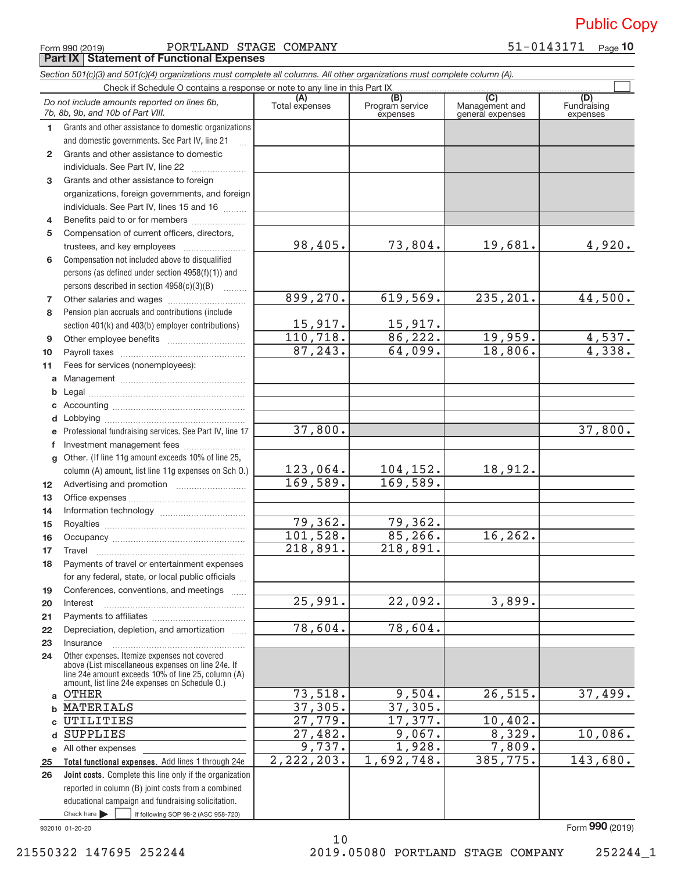Form 990 (2019) Page PORTLAND STAGE COMPANY 51‐0143171 **Part IX Statement of Functional Expenses**

*Section 501(c)(3) and 501(c)(4) organizations must complete all columns. All other organizations must complete column (A).*

**Total functional expenses.**  Add lines 1 through 24e **Joint costs.** Complete this line only if the organization **(A) (B) (C) (D) 1 2 3 4 5 6 7 8 9 10 11 a b c d e f g 12 13 14 15 16 17 18 19 20 21 22 23 24 a b c d e** All other expenses **25 26** Grants and other assistance to domestic organizations and domestic governments. See Part IV, line 21 Compensation not included above to disqualified persons (as defined under section 4958(f)(1)) and persons described in section  $4958(c)(3)(B)$  ......... Pension plan accruals and contributions (include section 401(k) and 403(b) employer contributions) Professional fundraising services. See Part IV, line 17 Other. (If line 11g amount exceeds 10% of line 25, column (A) amount, list line 11g expenses on Sch O.) Other expenses. Itemize expenses not covered above (List miscellaneous expenses on line 24e. If line 24e amount exceeds 10% of line 25, column (A) amount, list line 24e expenses on Schedule O.) reported in column (B) joint costs from a combined educational campaign and fundraising solicitation. Check if Schedule O contains a response or note to any line in this Part IX (C) (C) (C) (C) (C) (C) (A) (B)<br>Total expenses Program service expenses Management and general expenses Fundraising expenses ~<br>… Grants and other assistance to domestic  $individuals. See Part IV, line 22   $l_{1}, l_{2}, l_{3}$$ Grants and other assistance to foreign organizations, foreign governments, and foreign individuals. See Part IV, lines 15 and 16  $\ldots$ Benefits paid to or for members ..................... Compensation of current officers, directors, trustees, and key employees ~~~~~~~~ Other salaries and wages ~~~~~~~~~~ Other employee benefits ~~~~~~~~~~ Payroll taxes ~~~~~~~~~~~~~~~~ Fees for services (nonemployees): Management ~~~~~~~~~~~~~~~~ Legal ~~~~~~~~~~~~~~~~~~~~ Accounting ~~~~~~~~~~~~~~~~~ Lobbying ~~~~~~~~~~~~~~~~~~ Investment management fees ........................ Advertising and promotion *www.community.com* Office expenses ~~~~~~~~~~~~~~~ Information technology ~~~~~~~~~~~ Royalties ~~~~~~~~~~~~~~~~~~ Occupancy ~~~~~~~~~~~~~~~~~ Travel ~~~~~~~~~~~~~~~~~~~ Payments of travel or entertainment expenses for any federal, state, or local public officials ... Conferences, conventions, and meetings Interest Payments to affiliates ~~~~~~~~~~~~ ~~~~~~~~~~~~~~~~~~ Depreciation, depletion, and amortization ...... Insurance ~~~~~~~~~~~~~~~~~ *Do not include amounts reported on lines 6b, 7b, 8b, 9b, and 10b of Part VIII.*  $\boxed{\phantom{1}}$ 98,405. 899,270. 15,917. 110,718. 87,243. 37,800. 123,064. 169,589. 79,362. 101,528. 218,891. 25,991. 78,604. 73,518. 37,305. 27,779. 27,482. 9,737. 2,222,203. 73,804. 19,681. 4,920. 619,569. 235,201. 44,500. 15,917. 86,222. 19,959. 4,537. 64,099. 18,806. 4,338. 37,800. 104,152. 18,912. 169,589. 79,362. 85,266. 16,262. 218,891. 22,092. 3,899. 78,604. 9,504. 26,515. 37,499. 37,305. 17,377. 10,402.<br>9,067. 8,329. 10,086. 1,928. 7,809. 1,692,748. 385,775. 143,680. **OTHER** MATERIALS UTILITIES SUPPLIES

932010 01‐20‐20

 $\blacktriangleright$   $\sqcup$ 

 $\frac{1}{2}$  if following SOP 98-2 (ASC 958-720)

Form (2019) **990**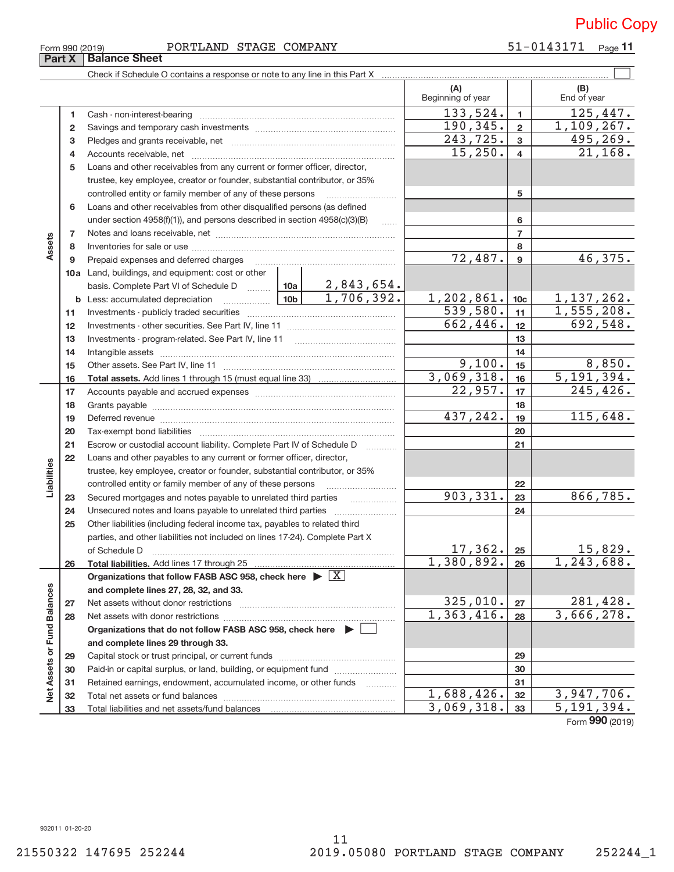| Form 990 (2019) |                               | PORTLAND | STAGE COMPANY | 51-0143171 | Page |
|-----------------|-------------------------------|----------|---------------|------------|------|
|                 | <b>Part X   Balance Sheet</b> |          |               |            |      |

|                             |                 |                                                                                       |                 |            | (A)<br>Beginning of year |                  | (B)<br>End of year                |
|-----------------------------|-----------------|---------------------------------------------------------------------------------------|-----------------|------------|--------------------------|------------------|-----------------------------------|
|                             | 1               |                                                                                       |                 |            | 133,524.                 | $\mathbf{1}$     | 125,447.                          |
|                             | $\mathbf{2}$    |                                                                                       |                 |            | 190,345.                 | $\mathbf{2}$     | 1,109,267.                        |
|                             | 3               |                                                                                       |                 |            | 243,725.                 | 3                | 495, 269.                         |
|                             | 4               |                                                                                       |                 |            | 15,250.                  | $\overline{4}$   | 21, 168.                          |
|                             | 5               | Loans and other receivables from any current or former officer, director,             |                 |            |                          |                  |                                   |
|                             |                 | trustee, key employee, creator or founder, substantial contributor, or 35%            |                 |            |                          |                  |                                   |
|                             |                 | controlled entity or family member of any of these persons                            |                 |            |                          | 5                |                                   |
|                             | 6               | Loans and other receivables from other disqualified persons (as defined               |                 |            |                          |                  |                                   |
|                             |                 | under section 4958(f)(1)), and persons described in section 4958(c)(3)(B)             |                 | 1.1.1.1    |                          | 6                |                                   |
|                             | 7               |                                                                                       |                 |            |                          | $\overline{7}$   |                                   |
| Assets                      | 8               |                                                                                       |                 |            |                          | 8                |                                   |
|                             | 9               | Prepaid expenses and deferred charges                                                 |                 |            | 72,487.                  | $\boldsymbol{9}$ | 46,375.                           |
|                             |                 | 10a Land, buildings, and equipment: cost or other                                     |                 |            |                          |                  |                                   |
|                             |                 | basis. Complete Part VI of Schedule D  10a   2,843,654.                               |                 |            |                          |                  |                                   |
|                             |                 |                                                                                       | 10 <sub>b</sub> | 1,706,392. | 1,202,861.               | 10 <sub>c</sub>  | 1, 137, 262.                      |
|                             | 11              |                                                                                       |                 |            | 539,580.                 | 11               | 1,555,208.<br>692,548.            |
|                             | 12 <sup>2</sup> |                                                                                       |                 |            | 662,446.                 | 12               |                                   |
|                             | 13              |                                                                                       |                 |            | 13                       |                  |                                   |
|                             | 14              |                                                                                       |                 |            | 9,100.                   | 14               | 8,850.                            |
|                             | 15              |                                                                                       |                 |            | 3,069,318.               | 15               | 5, 191, 394.                      |
|                             | 16              |                                                                                       |                 |            | 22,957.                  | 16<br>17         | 245,426.                          |
|                             | 17<br>18        |                                                                                       |                 |            |                          | 18               |                                   |
|                             | 19              |                                                                                       |                 |            | 437,242.                 | 19               | 115,648.                          |
|                             | 20              |                                                                                       |                 |            |                          | 20               |                                   |
|                             | 21              | Escrow or custodial account liability. Complete Part IV of Schedule D                 |                 |            |                          | 21               |                                   |
|                             | 22              | Loans and other payables to any current or former officer, director,                  |                 |            |                          |                  |                                   |
| Liabilities                 |                 | trustee, key employee, creator or founder, substantial contributor, or 35%            |                 |            |                          |                  |                                   |
|                             |                 | controlled entity or family member of any of these persons                            |                 |            |                          | 22               |                                   |
|                             | 23              | Secured mortgages and notes payable to unrelated third parties                        |                 |            | 903,331.                 | 23               | 866,785.                          |
|                             | 24              |                                                                                       |                 |            |                          | 24               |                                   |
|                             | 25              | Other liabilities (including federal income tax, payables to related third            |                 |            |                          |                  |                                   |
|                             |                 | parties, and other liabilities not included on lines 17-24). Complete Part X          |                 |            |                          |                  |                                   |
|                             |                 |                                                                                       |                 |            | 17, 362.                 | 25               | 15,829.                           |
|                             | 26              |                                                                                       |                 |            | 1,380,892.               | 26               | 1, 243, 688.                      |
|                             |                 | Organizations that follow FASB ASC 958, check here $\triangleright \lfloor X \rfloor$ |                 |            |                          |                  |                                   |
|                             |                 | and complete lines 27, 28, 32, and 33.                                                |                 |            |                          |                  |                                   |
|                             | 27              |                                                                                       |                 |            | 325,010.                 | 27               | 281,428.                          |
|                             | 28              |                                                                                       |                 |            | 1,363,416.               | 28               | 3,666,278.                        |
|                             |                 | Organizations that do not follow FASB ASC 958, check here $\blacktriangleright$       |                 |            |                          |                  |                                   |
|                             |                 | and complete lines 29 through 33.                                                     |                 |            |                          |                  |                                   |
| Net Assets or Fund Balances | 29              |                                                                                       |                 |            |                          | 29               |                                   |
|                             | 30              | Paid-in or capital surplus, or land, building, or equipment fund                      |                 |            |                          | 30               |                                   |
|                             | 31              | Retained earnings, endowment, accumulated income, or other funds                      |                 |            |                          | 31               |                                   |
|                             | 32              |                                                                                       |                 |            | 1,688,426.               | 32               | 3,947,706.                        |
|                             | 33              |                                                                                       |                 |            | 3,069,318.               | 33               | 5,191,394.<br>$000 \text{ years}$ |

Form (2019) **990**

932011 01‐20‐20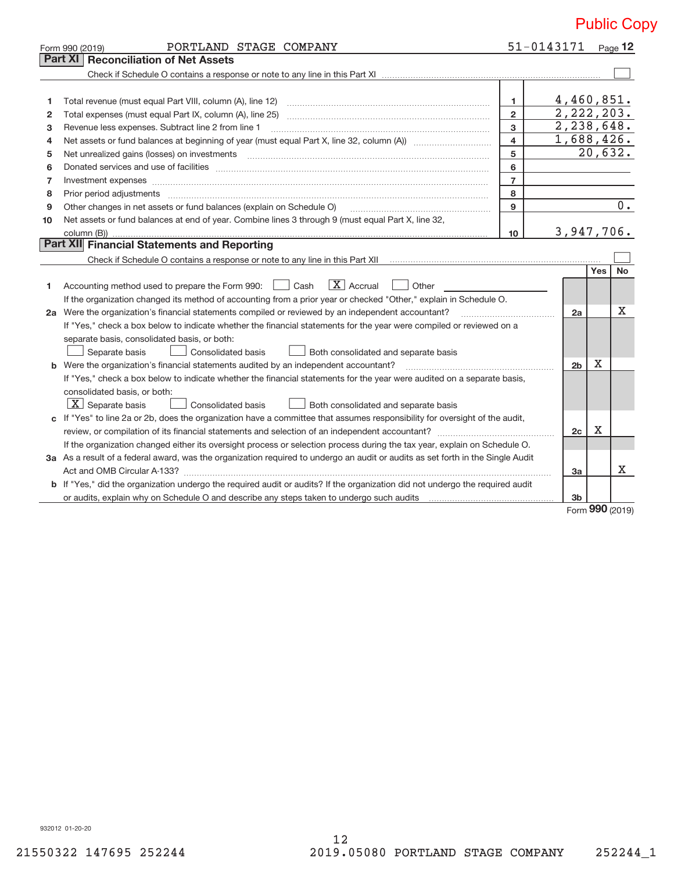|    | PORTLAND STAGE COMPANY<br>Form 990 (2019)                                                                                                                                                                                      | 51-0143171      |                |            | Page $12$        |  |
|----|--------------------------------------------------------------------------------------------------------------------------------------------------------------------------------------------------------------------------------|-----------------|----------------|------------|------------------|--|
|    | <b>Reconciliation of Net Assets</b><br>Part XI                                                                                                                                                                                 |                 |                |            |                  |  |
|    |                                                                                                                                                                                                                                |                 |                |            |                  |  |
|    |                                                                                                                                                                                                                                |                 |                |            |                  |  |
| 1  | Total revenue (must equal Part VIII, column (A), line 12)                                                                                                                                                                      | $\mathbf 1$     | 4,460,851.     |            |                  |  |
| 2  |                                                                                                                                                                                                                                | $\overline{2}$  | 2, 222, 203.   |            |                  |  |
| з  | 2,238,648.<br>$\overline{3}$<br>Revenue less expenses. Subtract line 2 from line 1                                                                                                                                             |                 |                |            |                  |  |
| 4  | 1,688,426.<br>$\overline{4}$                                                                                                                                                                                                   |                 |                |            |                  |  |
| 5  | Net unrealized gains (losses) on investments with an accommunity and accommunity of the state of the state of                                                                                                                  | 5               |                | 20,632.    |                  |  |
| 6  | Donated services and use of facilities [111] processes and the service of facilities [11] processes and use of facilities [11] processes and the service of facilities [11] processes and the service of the service of the se | 6               |                |            |                  |  |
| 7  |                                                                                                                                                                                                                                | $\overline{7}$  |                |            |                  |  |
| 8  |                                                                                                                                                                                                                                | 8               |                |            |                  |  |
| 9  | Other changes in net assets or fund balances (explain on Schedule O)                                                                                                                                                           | $\mathbf{9}$    |                |            | $\overline{0}$ . |  |
| 10 | Net assets or fund balances at end of year. Combine lines 3 through 9 (must equal Part X, line 32,                                                                                                                             |                 |                |            |                  |  |
|    |                                                                                                                                                                                                                                | 10 <sup>1</sup> | 3,947,706.     |            |                  |  |
|    | Part XII Financial Statements and Reporting                                                                                                                                                                                    |                 |                |            |                  |  |
|    |                                                                                                                                                                                                                                |                 |                |            |                  |  |
|    |                                                                                                                                                                                                                                |                 |                | <b>Yes</b> | No               |  |
| 1  | $ X $ Accrual<br>Accounting method used to prepare the Form 990: <u>I</u> Cash<br>Other                                                                                                                                        |                 |                |            |                  |  |
|    | If the organization changed its method of accounting from a prior year or checked "Other," explain in Schedule O.                                                                                                              |                 |                |            |                  |  |
|    | 2a Were the organization's financial statements compiled or reviewed by an independent accountant?                                                                                                                             |                 | 2a             |            | X                |  |
|    | If "Yes," check a box below to indicate whether the financial statements for the year were compiled or reviewed on a                                                                                                           |                 |                |            |                  |  |
|    | separate basis, consolidated basis, or both:                                                                                                                                                                                   |                 |                |            |                  |  |
|    | Separate basis<br>Consolidated basis<br>Both consolidated and separate basis                                                                                                                                                   |                 |                |            |                  |  |
|    | <b>b</b> Were the organization's financial statements audited by an independent accountant?                                                                                                                                    |                 | 2 <sub>b</sub> | X          |                  |  |
|    | If "Yes," check a box below to indicate whether the financial statements for the year were audited on a separate basis,                                                                                                        |                 |                |            |                  |  |
|    | consolidated basis, or both:                                                                                                                                                                                                   |                 |                |            |                  |  |
|    | $\boxed{\text{X}}$ Separate basis<br><b>Consolidated basis</b><br>Both consolidated and separate basis                                                                                                                         |                 |                |            |                  |  |
|    | c If "Yes" to line 2a or 2b, does the organization have a committee that assumes responsibility for oversight of the audit,                                                                                                    |                 |                |            |                  |  |
|    |                                                                                                                                                                                                                                |                 | 2c             | X          |                  |  |
|    | If the organization changed either its oversight process or selection process during the tax year, explain on Schedule O.                                                                                                      |                 |                |            |                  |  |
|    | 3a As a result of a federal award, was the organization required to undergo an audit or audits as set forth in the Single Audit                                                                                                |                 |                |            |                  |  |
|    |                                                                                                                                                                                                                                |                 | За             |            | x                |  |
|    | b If "Yes," did the organization undergo the required audit or audits? If the organization did not undergo the required audit                                                                                                  |                 |                |            |                  |  |
|    |                                                                                                                                                                                                                                |                 | 3 <sub>b</sub> |            |                  |  |
|    |                                                                                                                                                                                                                                |                 |                |            |                  |  |

Form (2019) **990**

932012 01‐20‐20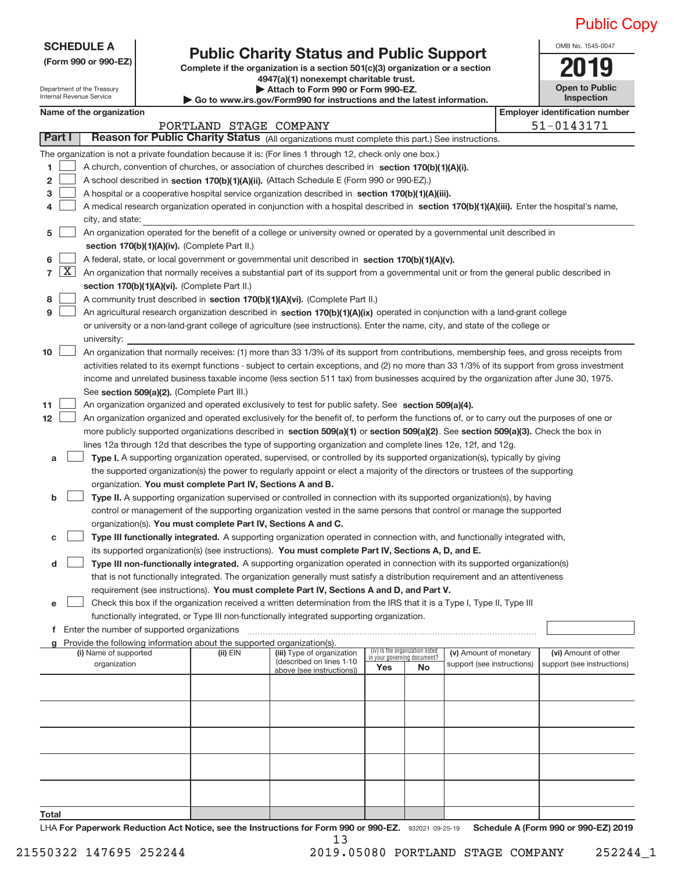OMB No. 1545‐0047

**Open to Public Inspection**

| <b>SCHEDULE A</b> |
|-------------------|
|-------------------|

### **(Form 990 or 990‐EZ) Complete if the organization is a section 501(c)(3) organization or a section Public Charity Status and Public Support**<br> **Expansive Status** on the organization is a section 501(c)(3) organization or a section

Department of the Treasury

| Internal Revenue Service |  |
|--------------------------|--|
|                          |  |
|                          |  |
|                          |  |

**4947(a)(1) nonexempt charitable trust. | Attach to Form 990 or Form 990‐EZ.** 

**| Go to www.irs.gov/Form990 for instructions and the latest information.**

|       |            | Name of the organization                                                                                                                      |                        |                                                        |                             |                                 |                            | <b>Employer identification number</b> |
|-------|------------|-----------------------------------------------------------------------------------------------------------------------------------------------|------------------------|--------------------------------------------------------|-----------------------------|---------------------------------|----------------------------|---------------------------------------|
|       |            |                                                                                                                                               | PORTLAND STAGE COMPANY |                                                        |                             |                                 |                            | 51-0143171                            |
|       | Part I     | Reason for Public Charity Status (All organizations must complete this part.) See instructions.                                               |                        |                                                        |                             |                                 |                            |                                       |
|       |            | The organization is not a private foundation because it is: (For lines 1 through 12, check only one box.)                                     |                        |                                                        |                             |                                 |                            |                                       |
| 1.    |            | A church, convention of churches, or association of churches described in section 170(b)(1)(A)(i).                                            |                        |                                                        |                             |                                 |                            |                                       |
| 2     |            | A school described in section 170(b)(1)(A)(ii). (Attach Schedule E (Form 990 or 990-EZ).)                                                     |                        |                                                        |                             |                                 |                            |                                       |
| З     |            | A hospital or a cooperative hospital service organization described in section 170(b)(1)(A)(iii).                                             |                        |                                                        |                             |                                 |                            |                                       |
| 4     |            | A medical research organization operated in conjunction with a hospital described in section 170(b)(1)(A)(iii). Enter the hospital's name,    |                        |                                                        |                             |                                 |                            |                                       |
|       |            | city, and state:                                                                                                                              |                        |                                                        |                             |                                 |                            |                                       |
| 5     |            | An organization operated for the benefit of a college or university owned or operated by a governmental unit described in                     |                        |                                                        |                             |                                 |                            |                                       |
|       |            | section 170(b)(1)(A)(iv). (Complete Part II.)                                                                                                 |                        |                                                        |                             |                                 |                            |                                       |
| 6     |            | A federal, state, or local government or governmental unit described in section 170(b)(1)(A)(v).                                              |                        |                                                        |                             |                                 |                            |                                       |
|       | $7 \times$ | An organization that normally receives a substantial part of its support from a governmental unit or from the general public described in     |                        |                                                        |                             |                                 |                            |                                       |
|       |            | section 170(b)(1)(A)(vi). (Complete Part II.)                                                                                                 |                        |                                                        |                             |                                 |                            |                                       |
| 8     |            | A community trust described in section 170(b)(1)(A)(vi). (Complete Part II.)                                                                  |                        |                                                        |                             |                                 |                            |                                       |
| 9     |            | An agricultural research organization described in section 170(b)(1)(A)(ix) operated in conjunction with a land-grant college                 |                        |                                                        |                             |                                 |                            |                                       |
|       |            | or university or a non-land-grant college of agriculture (see instructions). Enter the name, city, and state of the college or                |                        |                                                        |                             |                                 |                            |                                       |
|       |            | university:                                                                                                                                   |                        |                                                        |                             |                                 |                            |                                       |
| 10    |            | An organization that normally receives: (1) more than 33 1/3% of its support from contributions, membership fees, and gross receipts from     |                        |                                                        |                             |                                 |                            |                                       |
|       |            | activities related to its exempt functions - subject to certain exceptions, and (2) no more than 33 1/3% of its support from gross investment |                        |                                                        |                             |                                 |                            |                                       |
|       |            |                                                                                                                                               |                        |                                                        |                             |                                 |                            |                                       |
|       |            | income and unrelated business taxable income (less section 511 tax) from businesses acquired by the organization after June 30, 1975.         |                        |                                                        |                             |                                 |                            |                                       |
|       |            | See section 509(a)(2). (Complete Part III.)                                                                                                   |                        |                                                        |                             |                                 |                            |                                       |
| 11    |            | An organization organized and operated exclusively to test for public safety. See section 509(a)(4).                                          |                        |                                                        |                             |                                 |                            |                                       |
| 12    |            | An organization organized and operated exclusively for the benefit of, to perform the functions of, or to carry out the purposes of one or    |                        |                                                        |                             |                                 |                            |                                       |
|       |            | more publicly supported organizations described in section 509(a)(1) or section 509(a)(2). See section 509(a)(3). Check the box in            |                        |                                                        |                             |                                 |                            |                                       |
|       |            | lines 12a through 12d that describes the type of supporting organization and complete lines 12e, 12f, and 12g.                                |                        |                                                        |                             |                                 |                            |                                       |
| а     |            | Type I. A supporting organization operated, supervised, or controlled by its supported organization(s), typically by giving                   |                        |                                                        |                             |                                 |                            |                                       |
|       |            | the supported organization(s) the power to regularly appoint or elect a majority of the directors or trustees of the supporting               |                        |                                                        |                             |                                 |                            |                                       |
|       |            | organization. You must complete Part IV, Sections A and B.                                                                                    |                        |                                                        |                             |                                 |                            |                                       |
| b     |            | Type II. A supporting organization supervised or controlled in connection with its supported organization(s), by having                       |                        |                                                        |                             |                                 |                            |                                       |
|       |            | control or management of the supporting organization vested in the same persons that control or manage the supported                          |                        |                                                        |                             |                                 |                            |                                       |
|       |            | organization(s). You must complete Part IV, Sections A and C.                                                                                 |                        |                                                        |                             |                                 |                            |                                       |
| с     |            | Type III functionally integrated. A supporting organization operated in connection with, and functionally integrated with,                    |                        |                                                        |                             |                                 |                            |                                       |
|       |            | its supported organization(s) (see instructions). You must complete Part IV, Sections A, D, and E.                                            |                        |                                                        |                             |                                 |                            |                                       |
| d     |            | Type III non-functionally integrated. A supporting organization operated in connection with its supported organization(s)                     |                        |                                                        |                             |                                 |                            |                                       |
|       |            | that is not functionally integrated. The organization generally must satisfy a distribution requirement and an attentiveness                  |                        |                                                        |                             |                                 |                            |                                       |
|       |            | requirement (see instructions). You must complete Part IV, Sections A and D, and Part V.                                                      |                        |                                                        |                             |                                 |                            |                                       |
|       |            | Check this box if the organization received a written determination from the IRS that it is a Type I, Type II, Type III                       |                        |                                                        |                             |                                 |                            |                                       |
|       |            | functionally integrated, or Type III non-functionally integrated supporting organization.                                                     |                        |                                                        |                             |                                 |                            |                                       |
|       |            | f Enter the number of supported organizations                                                                                                 |                        |                                                        |                             |                                 |                            |                                       |
|       |            | g Provide the following information about the supported organization(s).                                                                      |                        |                                                        |                             |                                 |                            |                                       |
|       |            | (i) Name of supported                                                                                                                         | $(ii)$ EIN             | (iii) Type of organization<br>(described on lines 1-10 | in your governing document? | (iv) Is the organization listed | (v) Amount of monetary     | (vi) Amount of other                  |
|       |            | organization                                                                                                                                  |                        | above (see instructions))                              | <b>Yes</b>                  | No                              | support (see instructions) | support (see instructions)            |
|       |            |                                                                                                                                               |                        |                                                        |                             |                                 |                            |                                       |
|       |            |                                                                                                                                               |                        |                                                        |                             |                                 |                            |                                       |
|       |            |                                                                                                                                               |                        |                                                        |                             |                                 |                            |                                       |
|       |            |                                                                                                                                               |                        |                                                        |                             |                                 |                            |                                       |
|       |            |                                                                                                                                               |                        |                                                        |                             |                                 |                            |                                       |
|       |            |                                                                                                                                               |                        |                                                        |                             |                                 |                            |                                       |
|       |            |                                                                                                                                               |                        |                                                        |                             |                                 |                            |                                       |
|       |            |                                                                                                                                               |                        |                                                        |                             |                                 |                            |                                       |
|       |            |                                                                                                                                               |                        |                                                        |                             |                                 |                            |                                       |
|       |            |                                                                                                                                               |                        |                                                        |                             |                                 |                            |                                       |
| Total |            |                                                                                                                                               |                        |                                                        |                             |                                 |                            |                                       |
|       |            |                                                                                                                                               |                        |                                                        |                             |                                 |                            |                                       |

932021 09‐25‐19 **For Paperwork Reduction Act Notice, see the Instructions for Form 990 or 990‐EZ. Schedule A (Form 990 or 990‐EZ) 2019** LHA 13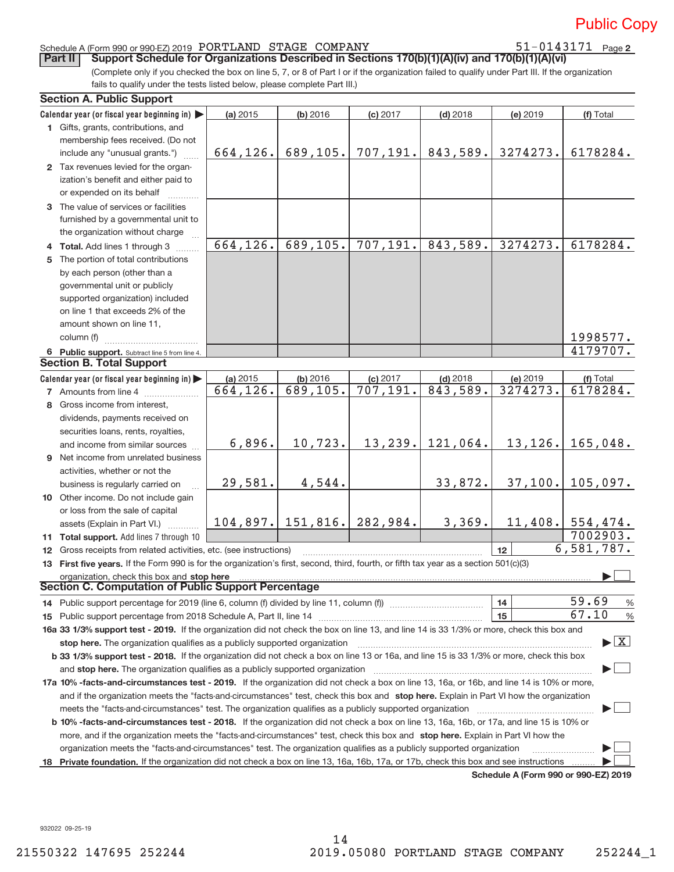# 51-0143171 Page 2

### Schedule A (Form 990 or 990‐EZ) 2019 Page PORTLAND STAGE COMPANY 51‐0143171

**Part II** Support Schedule for Organizations Described in Sections 170(b)(1)(A)(iv) and 170(b)(1)(A)(vi)

(Complete only if you checked the box on line 5, 7, or 8 of Part I or if the organization failed to qualify under Part III. If the organization fails to qualify under the tests listed below, please complete Part III.)

|    | <b>Section A. Public Support</b>                                                                                                               |           |                     |            |            |                                             |                                 |
|----|------------------------------------------------------------------------------------------------------------------------------------------------|-----------|---------------------|------------|------------|---------------------------------------------|---------------------------------|
|    | Calendar year (or fiscal year beginning in)                                                                                                    | (a) 2015  | (b) 2016            | $(c)$ 2017 | $(d)$ 2018 | (e) 2019                                    | (f) Total                       |
|    | 1 Gifts, grants, contributions, and                                                                                                            |           |                     |            |            |                                             |                                 |
|    | membership fees received. (Do not                                                                                                              |           |                     |            |            |                                             |                                 |
|    | include any "unusual grants.")                                                                                                                 | 664,126.  | 689,105.            | 707, 191.  | 843,589.   | 3274273.                                    | 6178284.                        |
|    | 2 Tax revenues levied for the organ-                                                                                                           |           |                     |            |            |                                             |                                 |
|    | ization's benefit and either paid to                                                                                                           |           |                     |            |            |                                             |                                 |
|    | or expended on its behalf                                                                                                                      |           |                     |            |            |                                             |                                 |
|    | 3 The value of services or facilities                                                                                                          |           |                     |            |            |                                             |                                 |
|    | furnished by a governmental unit to                                                                                                            |           |                     |            |            |                                             |                                 |
|    | the organization without charge                                                                                                                |           |                     |            |            |                                             |                                 |
|    | 4 Total. Add lines 1 through 3                                                                                                                 | 664, 126. | 689, 105.           | 707, 191.  | 843,589.   | 3274273.                                    | 6178284.                        |
| 5. | The portion of total contributions                                                                                                             |           |                     |            |            |                                             |                                 |
|    | by each person (other than a                                                                                                                   |           |                     |            |            |                                             |                                 |
|    | governmental unit or publicly                                                                                                                  |           |                     |            |            |                                             |                                 |
|    | supported organization) included                                                                                                               |           |                     |            |            |                                             |                                 |
|    | on line 1 that exceeds 2% of the                                                                                                               |           |                     |            |            |                                             |                                 |
|    | amount shown on line 11,                                                                                                                       |           |                     |            |            |                                             |                                 |
|    | column (f)                                                                                                                                     |           |                     |            |            |                                             | 1998577.                        |
|    | 6 Public support. Subtract line 5 from line 4.                                                                                                 |           |                     |            |            |                                             | 4179707.                        |
|    | <b>Section B. Total Support</b>                                                                                                                |           |                     |            |            |                                             |                                 |
|    | Calendar year (or fiscal year beginning in)                                                                                                    | (a) 2015  | (b) 2016            | $(c)$ 2017 | $(d)$ 2018 | (e) 2019                                    | (f) Total                       |
|    | <b>7</b> Amounts from line 4                                                                                                                   | 664,126.  | 689, 105.           | 707, 191.  | 843,589.   | 3274273.                                    | 6178284.                        |
|    | 8 Gross income from interest,                                                                                                                  |           |                     |            |            |                                             |                                 |
|    |                                                                                                                                                |           |                     |            |            |                                             |                                 |
|    | dividends, payments received on                                                                                                                |           |                     |            |            |                                             |                                 |
|    | securities loans, rents, royalties,                                                                                                            |           | 10,723.             | 13, 239.   | 121,064.   | 13,126.                                     |                                 |
|    | and income from similar sources                                                                                                                | 6,896.    |                     |            |            |                                             | 165,048.                        |
|    | <b>9</b> Net income from unrelated business                                                                                                    |           |                     |            |            |                                             |                                 |
|    | activities, whether or not the                                                                                                                 |           |                     |            |            |                                             |                                 |
|    | business is regularly carried on                                                                                                               | 29,581.   | 4,544.              |            | 33,872.    | 37,100.                                     | 105,097.                        |
|    | 10 Other income. Do not include gain                                                                                                           |           |                     |            |            |                                             |                                 |
|    | or loss from the sale of capital                                                                                                               |           |                     |            |            |                                             |                                 |
|    | assets (Explain in Part VI.)                                                                                                                   |           | $104,897.$ 151,816. | 282,984.   | 3,369.     |                                             | $11,408.$ 554,474.              |
|    | 11 Total support. Add lines 7 through 10                                                                                                       |           |                     |            |            |                                             | 7002903.                        |
|    | 12 Gross receipts from related activities, etc. (see instructions)                                                                             |           |                     |            |            | 12                                          | 6,581,787.                      |
|    | 13 First five years. If the Form 990 is for the organization's first, second, third, fourth, or fifth tax year as a section 501(c)(3)          |           |                     |            |            |                                             |                                 |
|    | organization, check this box and stop here manufactured and state and state and state and state and stop here                                  |           |                     |            |            |                                             |                                 |
|    | <b>Section C. Computation of Public Support Percentage</b>                                                                                     |           |                     |            |            |                                             |                                 |
|    | 14 Public support percentage for 2019 (line 6, column (f) divided by line 11, column (f) <i>mummumumum</i>                                     |           |                     |            |            | 14                                          | 59.69<br>$\frac{0}{6}$          |
|    |                                                                                                                                                |           |                     |            |            | 15                                          | 67.10<br>$\frac{0}{0}$          |
|    | 16a 33 1/3% support test - 2019. If the organization did not check the box on line 13, and line 14 is 33 1/3% or more, check this box and      |           |                     |            |            |                                             |                                 |
|    | stop here. The organization qualifies as a publicly supported organization                                                                     |           |                     |            |            |                                             | $\blacktriangleright$ $\vert$ X |
|    | b 33 1/3% support test - 2018. If the organization did not check a box on line 13 or 16a, and line 15 is 33 1/3% or more, check this box       |           |                     |            |            |                                             |                                 |
|    | and stop here. The organization qualifies as a publicly supported organization                                                                 |           |                     |            |            |                                             |                                 |
|    | 17a 10% -facts-and-circumstances test - 2019. If the organization did not check a box on line 13, 16a, or 16b, and line 14 is 10% or more,     |           |                     |            |            |                                             |                                 |
|    | and if the organization meets the "facts-and-circumstances" test, check this box and stop here. Explain in Part VI how the organization        |           |                     |            |            |                                             |                                 |
|    | meets the "facts-and-circumstances" test. The organization qualifies as a publicly supported organization                                      |           |                     |            |            |                                             |                                 |
|    | <b>b 10% -facts-and-circumstances test - 2018.</b> If the organization did not check a box on line 13, 16a, 16b, or 17a, and line 15 is 10% or |           |                     |            |            |                                             |                                 |
|    | more, and if the organization meets the "facts-and-circumstances" test, check this box and stop here. Explain in Part VI how the               |           |                     |            |            |                                             |                                 |
|    | organization meets the "facts-and-circumstances" test. The organization qualifies as a publicly supported organization                         |           |                     |            |            |                                             |                                 |
| 18 | Private foundation. If the organization did not check a box on line 13, 16a, 16b, 17a, or 17b, check this box and see instructions             |           |                     |            |            |                                             |                                 |
|    |                                                                                                                                                |           |                     |            |            | <b>Cabadula A (Faum 000 av 000 EZ) 0040</b> |                                 |

**Schedule A (Form 990 or 990‐EZ) 2019**

932022 09‐25‐19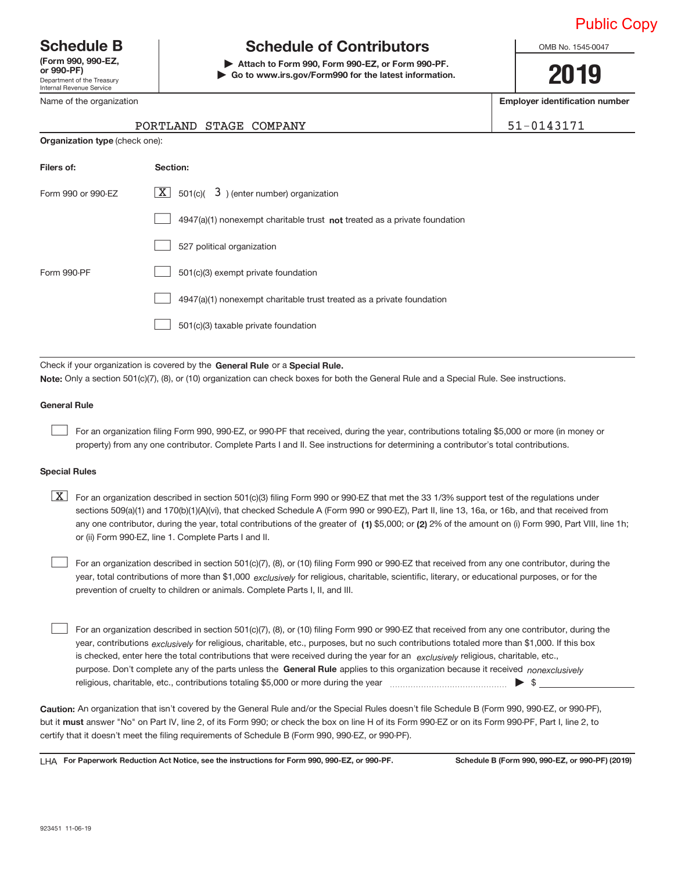Department of the Treasury Internal Revenue Service **(Form 990, 990‐EZ,**

#### Name of the organization

## **Schedule B Schedule of Contributors**

**or 990‐PF) | Attach to Form 990, Form 990‐EZ, or Form 990‐PF. | Go to www.irs.gov/Form990 for the latest information.** OMB No. 1545-0047

**2019**

**Employer identification number**

51-0143171

|  | PORTLAND STAGE COMPANY |  |  |
|--|------------------------|--|--|
|--|------------------------|--|--|

| <b>Organization type (check one):</b> |                                                                                    |
|---------------------------------------|------------------------------------------------------------------------------------|
| Filers of:                            | Section:                                                                           |
| Form 990 or 990-EZ                    | $\lfloor x \rfloor$ 501(c)( 3) (enter number) organization                         |
|                                       | $4947(a)(1)$ nonexempt charitable trust <b>not</b> treated as a private foundation |
|                                       | 527 political organization                                                         |
| Form 990-PF                           | 501(c)(3) exempt private foundation                                                |
|                                       | 4947(a)(1) nonexempt charitable trust treated as a private foundation              |
|                                       | 501(c)(3) taxable private foundation                                               |
|                                       |                                                                                    |

Check if your organization is covered by the General Rule or a Special Rule. **Note:**  Only a section 501(c)(7), (8), or (10) organization can check boxes for both the General Rule and a Special Rule. See instructions.

### **General Rule**

 $\begin{array}{c} \hline \end{array}$ 

For an organization filing Form 990, 990‐EZ, or 990‐PF that received, during the year, contributions totaling \$5,000 or more (in money or property) from any one contributor. Complete Parts I and II. See instructions for determining a contributor's total contributions.

#### **Special Rules**

any one contributor, during the year, total contributions of the greater of  $\,$  (1) \$5,000; or (2) 2% of the amount on (i) Form 990, Part VIII, line 1h;  $\boxed{\text{X}}$  For an organization described in section 501(c)(3) filing Form 990 or 990-EZ that met the 33 1/3% support test of the regulations under sections 509(a)(1) and 170(b)(1)(A)(vi), that checked Schedule A (Form 990 or 990-EZ), Part II, line 13, 16a, or 16b, and that received from or (ii) Form 990‐EZ, line 1. Complete Parts I and II.

year, total contributions of more than \$1,000 *exclusively* for religious, charitable, scientific, literary, or educational purposes, or for the For an organization described in section 501(c)(7), (8), or (10) filing Form 990 or 990‐EZ that received from any one contributor, during the prevention of cruelty to children or animals. Complete Parts I, II, and III.  $\begin{array}{c} \hline \end{array}$ 

purpose. Don't complete any of the parts unless the General Rule applies to this organization because it received nonexclusively year, contributions <sub>exclusively</sub> for religious, charitable, etc., purposes, but no such contributions totaled more than \$1,000. If this box is checked, enter here the total contributions that were received during the year for an *exclusively* religious, charitable, etc., For an organization described in section 501(c)(7), (8), or (10) filing Form 990 or 990‐EZ that received from any one contributor, during the religious, charitable, etc., contributions totaling \$5,000 or more during the year  $\Box$ — $\Box$   $\Box$  $\begin{array}{c} \hline \end{array}$ 

**Caution:**  An organization that isn't covered by the General Rule and/or the Special Rules doesn't file Schedule B (Form 990, 990‐EZ, or 990‐PF),  **must** but it answer "No" on Part IV, line 2, of its Form 990; or check the box on line H of its Form 990‐EZ or on its Form 990‐PF, Part I, line 2, to certify that it doesn't meet the filing requirements of Schedule B (Form 990, 990‐EZ, or 990‐PF).

**For Paperwork Reduction Act Notice, see the instructions for Form 990, 990-EZ, or 990-PF. Schedule B (Form 990, 990-EZ, or 990-PF) (2019)** LHA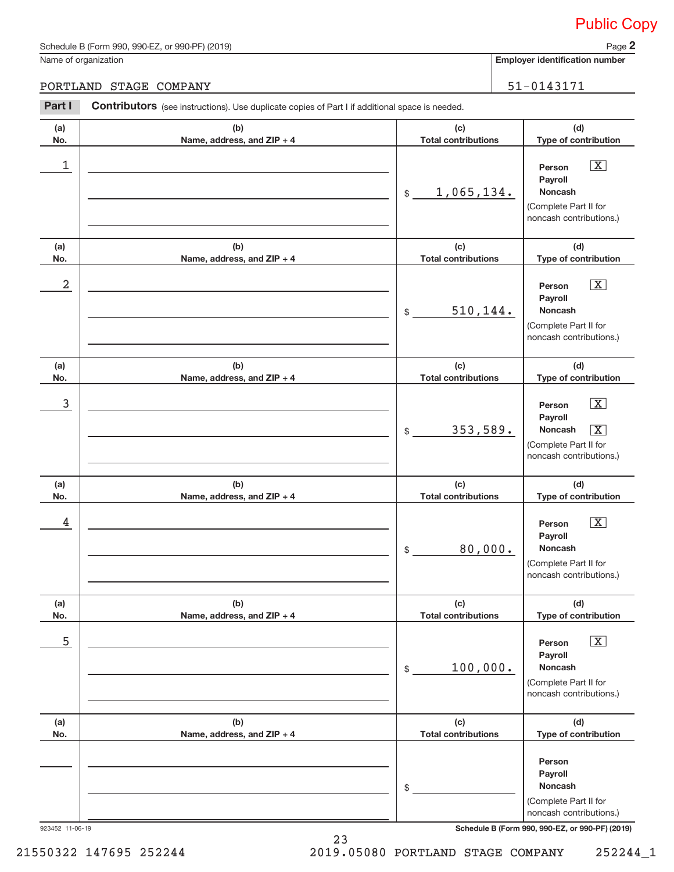Name of organization

**2**

**Employer identification number**

#### PORTLAND STAGE COMPANY 51–0143171

**(a) No. (b) Name, address, and ZIP + 4 (c) Total contributions (d) Type of contribution Person Payroll Noncash (a) No. (b) Name, address, and ZIP + 4 (c) Total contributions (d) Type of contribution Person Payroll Noncash (a) No. (b) Name, address, and ZIP + 4 (c) Total contributions (d) Type of contribution Person Payroll Noncash (a) No. (b) Name, address, and ZIP + 4 (c) Total contributions (d) Type of contribution Person Payroll Noncash (a) No. (b) Name, address, and ZIP + 4 (c) Total contributions (d) Type of contribution Person Payroll Noncash (a) No. (b) Name, address, and ZIP + 4 (c) Total contributions (d) Type of contribution Person Payroll Noncash** Part I Contributors (see instructions). Use duplicate copies of Part I if additional space is needed. \$ (Complete Part II for noncash contributions.) \$ (Complete Part II for noncash contributions.) \$ (Complete Part II for noncash contributions.) \$ (Complete Part II for noncash contributions.) \$ (Complete Part II for noncash contributions.) \$ (Complete Part II for noncash contributions.)  $\lfloor x \rfloor$  $\boxed{\text{X}}$  $\sqrt{X}$  $\lfloor x \rfloor$  $\sqrt{X}$  $\boxed{\text{X}}$ 1 X 1,065,134.  $2$  Person  $\overline{\text{X}}$ 510,144. 3 X 353,589. X  $\begin{array}{|c|c|c|c|c|c|}\hline \text{4} & \text{Person} & \overline{\text{X}}\ \hline \end{array}$ 80,000.  $\overline{\phantom{a}}$  5  $\overline{\phantom{a}}$  Person  $\overline{\phantom{a}}$   $\overline{\phantom{a}}$ 100,000.

923452 11‐06‐19 **Schedule B (Form 990, 990-EZ, or 990-PF) (2019)**

23 21550322 147695 252244 2019.05080 PORTLAND STAGE COMPANY 252244\_1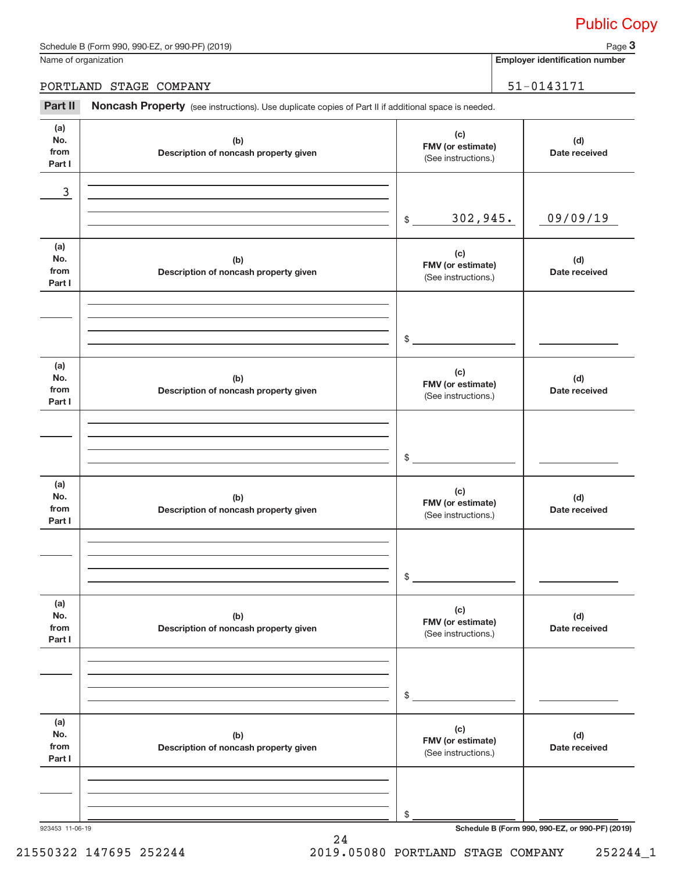Name of organization

**3**

**Employer identification number**

#### PORTLAND STAGE COMPANY 51–0143171

Part II Noncash Property (see instructions). Use duplicate copies of Part II if additional space is needed.

**(a) No. from Part I (c) FMV (or estimate) (b) Description of noncash property given (d) Date received (a) No. from Part I (c) FMV (or estimate) (b) Description of noncash property given (d) Date received (a) No. from Part I (c) FMV (or estimate) (b) Description of noncash property given (d) Date received (a) No. from Part I (c) FMV (or estimate) (b) Description of noncash property given (d) Date received (a) No. from Part I (c) FMV (or estimate) (b) Description of noncash property given (d) Date received (a) No. from Part I (c) FMV (or estimate) (b) Description of noncash property given (d) Date received** (See instructions.)  $\frac{1}{2}$ (See instructions.) \$ (See instructions.) \$ (See instructions.) \$ (See instructions.) \$ (See instructions.) \$ 3 302,945. 09/09/19

24

923453 11‐06‐19 **Schedule B (Form 990, 990-EZ, or 990-PF) (2019)**

21550322 147695 252244 2019.05080 PORTLAND STAGE COMPANY 252244\_1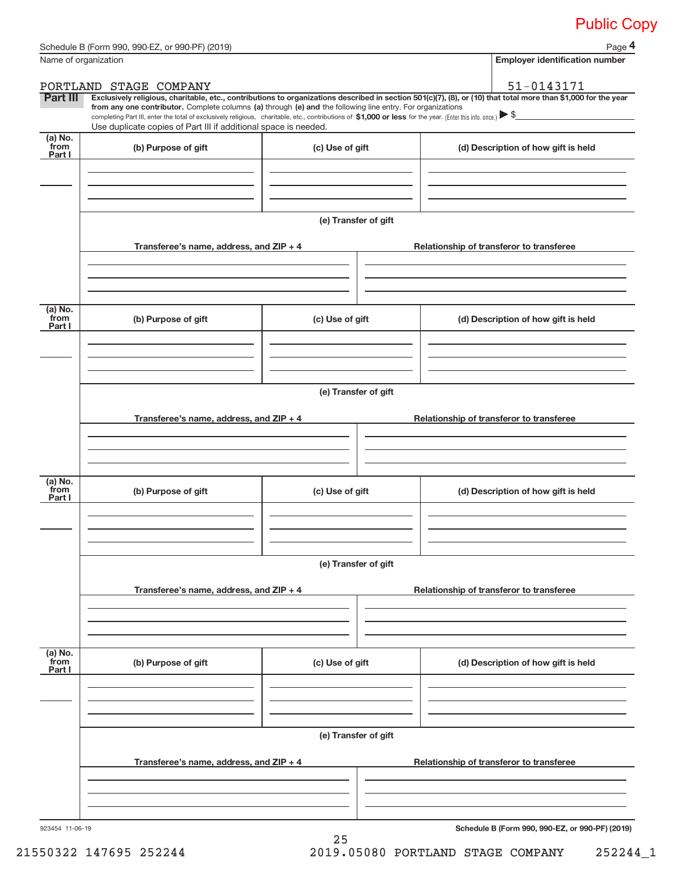|                           | Schedule B (Form 990, 990-EZ, or 990-PF) (2019)                                                                                                                               |                      | Page 4                                                                                                                                                                                                                                                                                                                                         |  |  |  |  |
|---------------------------|-------------------------------------------------------------------------------------------------------------------------------------------------------------------------------|----------------------|------------------------------------------------------------------------------------------------------------------------------------------------------------------------------------------------------------------------------------------------------------------------------------------------------------------------------------------------|--|--|--|--|
|                           | Name of organization                                                                                                                                                          |                      | <b>Employer identification number</b>                                                                                                                                                                                                                                                                                                          |  |  |  |  |
|                           | PORTLAND STAGE COMPANY                                                                                                                                                        |                      | 51-0143171                                                                                                                                                                                                                                                                                                                                     |  |  |  |  |
| Part III                  | from any one contributor. Complete columns (a) through (e) and the following line entry. For organizations<br>Use duplicate copies of Part III if additional space is needed. |                      | Exclusively religious, charitable, etc., contributions to organizations described in section 501(c)(7), (8), or (10) that total more than \$1,000 for the year<br>completing Part III, enter the total of exclusively religious, charitable, etc., contributions of \$1,000 or less for the year. (Enter this info. once.) $\triangleright$ \$ |  |  |  |  |
| (a) No.<br>from           | (b) Purpose of gift                                                                                                                                                           | (c) Use of gift      | (d) Description of how gift is held                                                                                                                                                                                                                                                                                                            |  |  |  |  |
| Part I                    |                                                                                                                                                                               |                      |                                                                                                                                                                                                                                                                                                                                                |  |  |  |  |
|                           |                                                                                                                                                                               | (e) Transfer of gift |                                                                                                                                                                                                                                                                                                                                                |  |  |  |  |
|                           | Transferee's name, address, and ZIP + 4                                                                                                                                       |                      | Relationship of transferor to transferee                                                                                                                                                                                                                                                                                                       |  |  |  |  |
| (a) No.<br>from<br>Part I | (b) Purpose of gift                                                                                                                                                           | (c) Use of gift      | (d) Description of how gift is held                                                                                                                                                                                                                                                                                                            |  |  |  |  |
|                           | Transferee's name, address, and ZIP + 4                                                                                                                                       | (e) Transfer of gift | Relationship of transferor to transferee                                                                                                                                                                                                                                                                                                       |  |  |  |  |
| (a) No.<br>from<br>Part I | (b) Purpose of gift                                                                                                                                                           | (c) Use of gift      | (d) Description of how gift is held                                                                                                                                                                                                                                                                                                            |  |  |  |  |
|                           |                                                                                                                                                                               |                      |                                                                                                                                                                                                                                                                                                                                                |  |  |  |  |
|                           | (e) Transfer of gift                                                                                                                                                          |                      |                                                                                                                                                                                                                                                                                                                                                |  |  |  |  |
|                           | Transferee's name, address, and ZIP + 4                                                                                                                                       |                      | Relationship of transferor to transferee                                                                                                                                                                                                                                                                                                       |  |  |  |  |
| (a) No.<br>from<br>Part I | (b) Purpose of gift                                                                                                                                                           | (c) Use of gift      | (d) Description of how gift is held                                                                                                                                                                                                                                                                                                            |  |  |  |  |
|                           |                                                                                                                                                                               | (e) Transfer of gift |                                                                                                                                                                                                                                                                                                                                                |  |  |  |  |
|                           | Transferee's name, address, and ZIP + 4                                                                                                                                       |                      | Relationship of transferor to transferee                                                                                                                                                                                                                                                                                                       |  |  |  |  |
| 923454 11-06-19           |                                                                                                                                                                               | 25                   | Schedule B (Form 990, 990-EZ, or 990-PF) (2019)                                                                                                                                                                                                                                                                                                |  |  |  |  |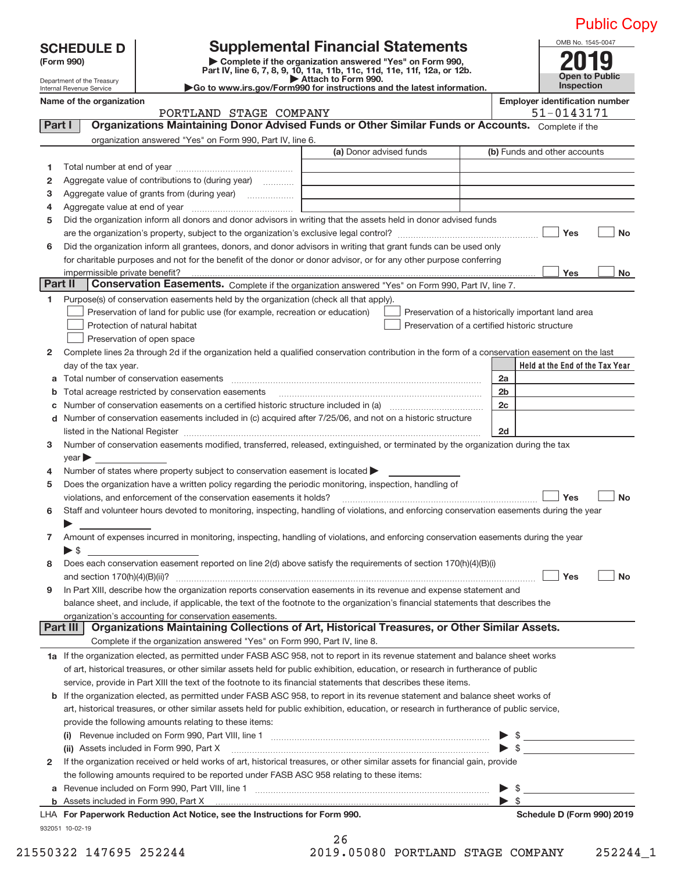|                                                               |                                                                                                                                                                                                                                                                                   |                                                                                           |                    | <b>Public Copy</b>                                  |  |  |
|---------------------------------------------------------------|-----------------------------------------------------------------------------------------------------------------------------------------------------------------------------------------------------------------------------------------------------------------------------------|-------------------------------------------------------------------------------------------|--------------------|-----------------------------------------------------|--|--|
| <b>SCHEDULE D</b><br>(Form 990)<br>Department of the Treasury | <b>Supplemental Financial Statements</b><br>Complete if the organization answered "Yes" on Form 990,<br>Part IV, line 6, 7, 8, 9, 10, 11a, 11b, 11c, 11d, 11e, 11f, 12a, or 12b.<br>Attach to Form 990.<br>Go to www.irs.gov/Form990 for instructions and the latest information. |                                                                                           |                    |                                                     |  |  |
| Internal Revenue Service<br>Name of the organization          |                                                                                                                                                                                                                                                                                   |                                                                                           |                    | Inspection<br><b>Employer identification number</b> |  |  |
|                                                               | PORTLAND STAGE COMPANY                                                                                                                                                                                                                                                            |                                                                                           |                    | 51-0143171                                          |  |  |
| Part I                                                        | Organizations Maintaining Donor Advised Funds or Other Similar Funds or Accounts. Complete if the                                                                                                                                                                                 |                                                                                           |                    |                                                     |  |  |
|                                                               | organization answered "Yes" on Form 990, Part IV, line 6.                                                                                                                                                                                                                         |                                                                                           |                    |                                                     |  |  |
|                                                               |                                                                                                                                                                                                                                                                                   | (a) Donor advised funds                                                                   |                    | (b) Funds and other accounts                        |  |  |
| 1                                                             |                                                                                                                                                                                                                                                                                   |                                                                                           |                    |                                                     |  |  |
| 2                                                             | Aggregate value of contributions to (during year)                                                                                                                                                                                                                                 | the control of the control of the control of the control of the control of the control of |                    |                                                     |  |  |
| з<br>4                                                        |                                                                                                                                                                                                                                                                                   |                                                                                           |                    |                                                     |  |  |
| 5                                                             | Did the organization inform all donors and donor advisors in writing that the assets held in donor advised funds                                                                                                                                                                  |                                                                                           |                    |                                                     |  |  |
|                                                               |                                                                                                                                                                                                                                                                                   |                                                                                           |                    | Yes<br><b>No</b>                                    |  |  |
| 6                                                             | Did the organization inform all grantees, donors, and donor advisors in writing that grant funds can be used only                                                                                                                                                                 |                                                                                           |                    |                                                     |  |  |
|                                                               | for charitable purposes and not for the benefit of the donor or donor advisor, or for any other purpose conferring                                                                                                                                                                |                                                                                           |                    |                                                     |  |  |
|                                                               |                                                                                                                                                                                                                                                                                   |                                                                                           |                    | Yes<br>No                                           |  |  |
| Part II                                                       | Conservation Easements. Complete if the organization answered "Yes" on Form 990, Part IV, line 7.                                                                                                                                                                                 |                                                                                           |                    |                                                     |  |  |
| 1                                                             | Purpose(s) of conservation easements held by the organization (check all that apply).                                                                                                                                                                                             |                                                                                           |                    |                                                     |  |  |
|                                                               | Preservation of land for public use (for example, recreation or education)                                                                                                                                                                                                        |                                                                                           |                    | Preservation of a historically important land area  |  |  |
|                                                               | Protection of natural habitat                                                                                                                                                                                                                                                     | Preservation of a certified historic structure                                            |                    |                                                     |  |  |
|                                                               | Preservation of open space                                                                                                                                                                                                                                                        |                                                                                           |                    |                                                     |  |  |
| 2                                                             | Complete lines 2a through 2d if the organization held a qualified conservation contribution in the form of a conservation easement on the last                                                                                                                                    |                                                                                           |                    |                                                     |  |  |
| day of the tax year.                                          |                                                                                                                                                                                                                                                                                   |                                                                                           |                    | Held at the End of the Tax Year                     |  |  |
|                                                               |                                                                                                                                                                                                                                                                                   |                                                                                           | 2a                 |                                                     |  |  |
| b                                                             | Total acreage restricted by conservation easements                                                                                                                                                                                                                                |                                                                                           | 2 <sub>b</sub>     |                                                     |  |  |
| с                                                             |                                                                                                                                                                                                                                                                                   |                                                                                           | 2c                 |                                                     |  |  |
|                                                               | d Number of conservation easements included in (c) acquired after 7/25/06, and not on a historic structure                                                                                                                                                                        |                                                                                           |                    |                                                     |  |  |
|                                                               | listed in the National Register [111] Marshall Register [11] Marshall Register [11] Marshall Register [11] Marshall Register [11] Marshall Register [11] Marshall Register [11] Marshall Register [11] Marshall Register [11]                                                     |                                                                                           | 2d                 |                                                     |  |  |
| 3<br>$\sqrt{2}$ year $\blacktriangleright$                    | Number of conservation easements modified, transferred, released, extinguished, or terminated by the organization during the tax                                                                                                                                                  |                                                                                           |                    |                                                     |  |  |
| 4                                                             | Number of states where property subject to conservation easement is located $\blacktriangleright$                                                                                                                                                                                 |                                                                                           |                    |                                                     |  |  |
| 5                                                             | Does the organization have a written policy regarding the periodic monitoring, inspection, handling of                                                                                                                                                                            |                                                                                           |                    |                                                     |  |  |
|                                                               | violations, and enforcement of the conservation easements it holds?                                                                                                                                                                                                               |                                                                                           |                    | <b>Yes</b><br>No                                    |  |  |
| 6                                                             | Staff and volunteer hours devoted to monitoring, inspecting, handling of violations, and enforcing conservation easements during the year                                                                                                                                         |                                                                                           |                    |                                                     |  |  |
|                                                               |                                                                                                                                                                                                                                                                                   |                                                                                           |                    |                                                     |  |  |
| 7<br>$\triangleright$ \$                                      | Amount of expenses incurred in monitoring, inspecting, handling of violations, and enforcing conservation easements during the year<br><u> 1989 - Johann Stein, fransk politik (</u>                                                                                              |                                                                                           |                    |                                                     |  |  |
| 8                                                             | Does each conservation easement reported on line 2(d) above satisfy the requirements of section 170(h)(4)(B)(i)                                                                                                                                                                   |                                                                                           |                    |                                                     |  |  |
|                                                               |                                                                                                                                                                                                                                                                                   |                                                                                           |                    | Yes<br>No                                           |  |  |
| 9                                                             | In Part XIII, describe how the organization reports conservation easements in its revenue and expense statement and                                                                                                                                                               |                                                                                           |                    |                                                     |  |  |
|                                                               | balance sheet, and include, if applicable, the text of the footnote to the organization's financial statements that describes the<br>organization's accounting for conservation easements.                                                                                        |                                                                                           |                    |                                                     |  |  |
| Part III                                                      | Organizations Maintaining Collections of Art, Historical Treasures, or Other Similar Assets.                                                                                                                                                                                      |                                                                                           |                    |                                                     |  |  |
|                                                               | Complete if the organization answered "Yes" on Form 990, Part IV, line 8.                                                                                                                                                                                                         |                                                                                           |                    |                                                     |  |  |
|                                                               | 1a If the organization elected, as permitted under FASB ASC 958, not to report in its revenue statement and balance sheet works                                                                                                                                                   |                                                                                           |                    |                                                     |  |  |
|                                                               | of art, historical treasures, or other similar assets held for public exhibition, education, or research in furtherance of public                                                                                                                                                 |                                                                                           |                    |                                                     |  |  |
|                                                               | service, provide in Part XIII the text of the footnote to its financial statements that describes these items.                                                                                                                                                                    |                                                                                           |                    |                                                     |  |  |
|                                                               | <b>b</b> If the organization elected, as permitted under FASB ASC 958, to report in its revenue statement and balance sheet works of                                                                                                                                              |                                                                                           |                    |                                                     |  |  |
|                                                               | art, historical treasures, or other similar assets held for public exhibition, education, or research in furtherance of public service,                                                                                                                                           |                                                                                           |                    |                                                     |  |  |
|                                                               | provide the following amounts relating to these items:                                                                                                                                                                                                                            |                                                                                           |                    |                                                     |  |  |
|                                                               |                                                                                                                                                                                                                                                                                   |                                                                                           |                    | $\triangleright$ \$                                 |  |  |
|                                                               | (ii) Assets included in Form 990, Part X [11] Marting and Martin Martin Martin Martin Martin Martin Martin Mar                                                                                                                                                                    |                                                                                           |                    | $\triangleright$ \$                                 |  |  |
|                                                               | If the organization received or held works of art, historical treasures, or other similar assets for financial gain, provide                                                                                                                                                      |                                                                                           |                    |                                                     |  |  |
| 2                                                             |                                                                                                                                                                                                                                                                                   |                                                                                           |                    |                                                     |  |  |
|                                                               |                                                                                                                                                                                                                                                                                   |                                                                                           |                    |                                                     |  |  |
| a                                                             | the following amounts required to be reported under FASB ASC 958 relating to these items:                                                                                                                                                                                         |                                                                                           |                    |                                                     |  |  |
|                                                               | Revenue included on Form 990, Part VIII, line 1 [2000] [2000] [2000] [2000] [2000] [2000] [2000] [2000] [2000                                                                                                                                                                     |                                                                                           | $\triangleright$ s |                                                     |  |  |

| 26 |          |
|----|----------|
|    | 10 NENRA |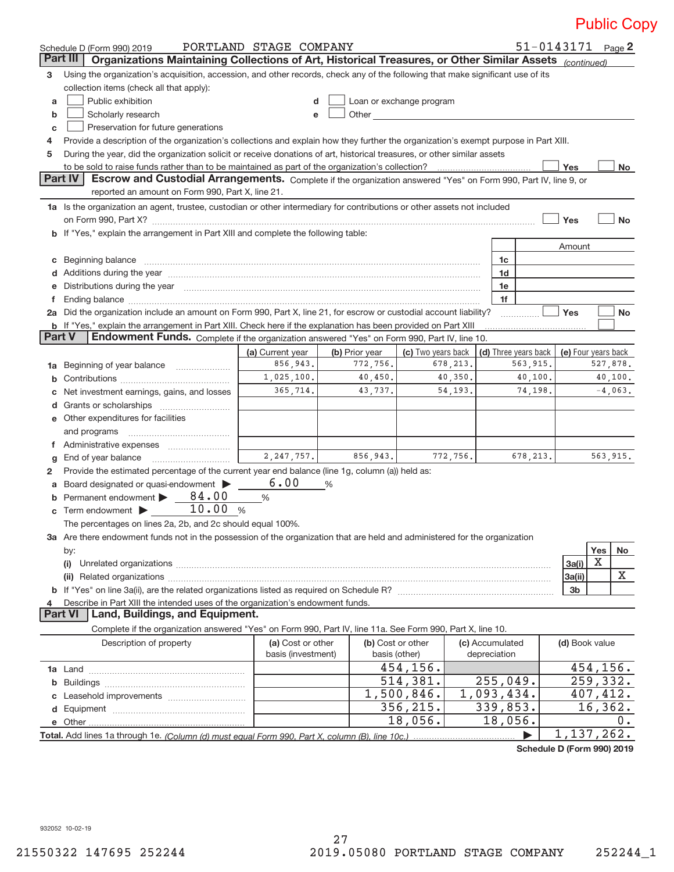|                     | Schedule D (Form 990) 2019                                                                                                                                                                                                     | PORTLAND STAGE COMPANY |                |                          |          |                                 |           |                | $51 - 0143171$ Page 2 |
|---------------------|--------------------------------------------------------------------------------------------------------------------------------------------------------------------------------------------------------------------------------|------------------------|----------------|--------------------------|----------|---------------------------------|-----------|----------------|-----------------------|
|                     | <b>Part III</b><br>Organizations Maintaining Collections of Art, Historical Treasures, or Other Similar Assets (continued)                                                                                                     |                        |                |                          |          |                                 |           |                |                       |
| 3                   | Using the organization's acquisition, accession, and other records, check any of the following that make significant use of its                                                                                                |                        |                |                          |          |                                 |           |                |                       |
|                     | collection items (check all that apply):                                                                                                                                                                                       |                        |                |                          |          |                                 |           |                |                       |
| a                   | Public exhibition                                                                                                                                                                                                              | d                      |                | Loan or exchange program |          |                                 |           |                |                       |
| b                   | Scholarly research<br>Other than the contract of the contract of the contract of the contract of the contract of the contract of the<br>e                                                                                      |                        |                |                          |          |                                 |           |                |                       |
| C                   | Preservation for future generations                                                                                                                                                                                            |                        |                |                          |          |                                 |           |                |                       |
| 4                   | Provide a description of the organization's collections and explain how they further the organization's exempt purpose in Part XIII.                                                                                           |                        |                |                          |          |                                 |           |                |                       |
| 5                   | During the year, did the organization solicit or receive donations of art, historical treasures, or other similar assets                                                                                                       |                        |                |                          |          |                                 |           |                |                       |
|                     | to be sold to raise funds rather than to be maintained as part of the organization's collection?                                                                                                                               |                        |                |                          |          |                                 |           | Yes            | No                    |
|                     | <b>Part IV</b><br>Escrow and Custodial Arrangements. Complete if the organization answered "Yes" on Form 990, Part IV, line 9, or                                                                                              |                        |                |                          |          |                                 |           |                |                       |
|                     | reported an amount on Form 990, Part X, line 21.                                                                                                                                                                               |                        |                |                          |          |                                 |           |                |                       |
|                     | 1a Is the organization an agent, trustee, custodian or other intermediary for contributions or other assets not included                                                                                                       |                        |                |                          |          |                                 |           |                |                       |
|                     |                                                                                                                                                                                                                                |                        |                |                          |          |                                 |           | Yes            | <b>No</b>             |
|                     | b If "Yes," explain the arrangement in Part XIII and complete the following table:                                                                                                                                             |                        |                |                          |          |                                 |           |                |                       |
|                     |                                                                                                                                                                                                                                |                        |                |                          |          |                                 |           | Amount         |                       |
|                     | c Beginning balance                                                                                                                                                                                                            |                        |                |                          |          | 1c                              |           |                |                       |
|                     |                                                                                                                                                                                                                                |                        |                |                          |          | 1d                              |           |                |                       |
| е                   | Distributions during the year manufactured and continuum control of the state of the control of the state of the state of the state of the state of the state of the state of the state of the state of the state of the state |                        |                |                          |          | 1e                              |           |                |                       |
| f                   |                                                                                                                                                                                                                                |                        |                |                          |          | 1f                              |           |                |                       |
|                     | 2a Did the organization include an amount on Form 990, Part X, line 21, for escrow or custodial account liability?                                                                                                             |                        |                |                          |          |                                 |           | Yes            | <b>No</b>             |
|                     | b If "Yes," explain the arrangement in Part XIII. Check here if the explanation has been provided on Part XIII                                                                                                                 |                        |                |                          |          |                                 |           |                |                       |
| Part V              | Endowment Funds. Complete if the organization answered "Yes" on Form 990, Part IV, line 10.                                                                                                                                    |                        |                |                          |          |                                 |           |                |                       |
|                     |                                                                                                                                                                                                                                | (a) Current year       | (b) Prior year | (c) Two years back       |          | (d) Three years back            |           |                | (e) Four years back   |
|                     | 1a Beginning of year balance                                                                                                                                                                                                   | 856,943.               | 772,756.       |                          | 678,213. |                                 | 563,915.  |                | 527,878.              |
|                     |                                                                                                                                                                                                                                | 1,025,100.             | 40,450.        |                          | 40,350.  |                                 | 40,100.   |                | 40,100.               |
| С                   | Net investment earnings, gains, and losses                                                                                                                                                                                     | 365,714.               | 43,737.        |                          | 54, 193. |                                 | 74,198.   |                | $-4,063$ .            |
| d                   |                                                                                                                                                                                                                                |                        |                |                          |          |                                 |           |                |                       |
|                     | <b>e</b> Other expenditures for facilities                                                                                                                                                                                     |                        |                |                          |          |                                 |           |                |                       |
|                     | and programs                                                                                                                                                                                                                   |                        |                |                          |          |                                 |           |                |                       |
|                     |                                                                                                                                                                                                                                |                        |                |                          |          |                                 |           |                |                       |
| g                   | End of year balance                                                                                                                                                                                                            | 2, 247, 757.           | 856,943.       |                          | 772,756. |                                 | 678, 213. |                | 563,915.              |
| 2                   | Provide the estimated percentage of the current year end balance (line 1g, column (a)) held as:                                                                                                                                |                        |                |                          |          |                                 |           |                |                       |
|                     | a Board designated or quasi-endowment >                                                                                                                                                                                        | 6.00                   | %              |                          |          |                                 |           |                |                       |
| b                   | 84.00<br>Permanent endowment                                                                                                                                                                                                   | %                      |                |                          |          |                                 |           |                |                       |
|                     | 10.00 %<br>$\mathbf c$ Term endowment $\blacktriangleright$                                                                                                                                                                    |                        |                |                          |          |                                 |           |                |                       |
|                     | The percentages on lines 2a, 2b, and 2c should equal 100%.                                                                                                                                                                     |                        |                |                          |          |                                 |           |                |                       |
|                     | 3a Are there endowment funds not in the possession of the organization that are held and administered for the organization                                                                                                     |                        |                |                          |          |                                 |           |                |                       |
|                     | by:                                                                                                                                                                                                                            |                        |                |                          |          |                                 |           |                | Yes<br>No             |
|                     |                                                                                                                                                                                                                                |                        |                |                          |          |                                 |           | 3a(i)          | Х                     |
|                     |                                                                                                                                                                                                                                |                        |                |                          |          |                                 |           | 3a(ii)         | X                     |
|                     |                                                                                                                                                                                                                                |                        |                |                          |          |                                 |           | 3b             |                       |
| 4<br><b>Part VI</b> | Describe in Part XIII the intended uses of the organization's endowment funds.<br>Land, Buildings, and Equipment.                                                                                                              |                        |                |                          |          |                                 |           |                |                       |
|                     |                                                                                                                                                                                                                                |                        |                |                          |          |                                 |           |                |                       |
|                     | Complete if the organization answered "Yes" on Form 990, Part IV, line 11a. See Form 990, Part X, line 10.                                                                                                                     |                        |                |                          |          |                                 |           |                |                       |
|                     | Description of property                                                                                                                                                                                                        | (a) Cost or other      |                | (b) Cost or other        |          | (c) Accumulated<br>depreciation |           | (d) Book value |                       |
|                     |                                                                                                                                                                                                                                | basis (investment)     | basis (other)  |                          |          |                                 |           |                |                       |
|                     |                                                                                                                                                                                                                                |                        |                | 454,156.                 |          |                                 |           |                | 454, 156.             |
|                     |                                                                                                                                                                                                                                |                        |                | 514,381.                 |          | 255,049.                        |           |                | 259,332.              |
|                     |                                                                                                                                                                                                                                |                        |                | 1,500,846.               |          | 1,093,434.                      |           |                | 407,412.              |
| d                   |                                                                                                                                                                                                                                |                        |                | 356, 215.                |          | 339,853.                        |           |                | 16, 362.              |
|                     | e Other                                                                                                                                                                                                                        |                        |                | 18,056.                  |          | 18,056.                         |           |                | 0.                    |
|                     |                                                                                                                                                                                                                                |                        |                |                          |          |                                 |           |                | 1,137,262.            |

**Schedule D (Form 990) 2019**

932052 10‐02‐19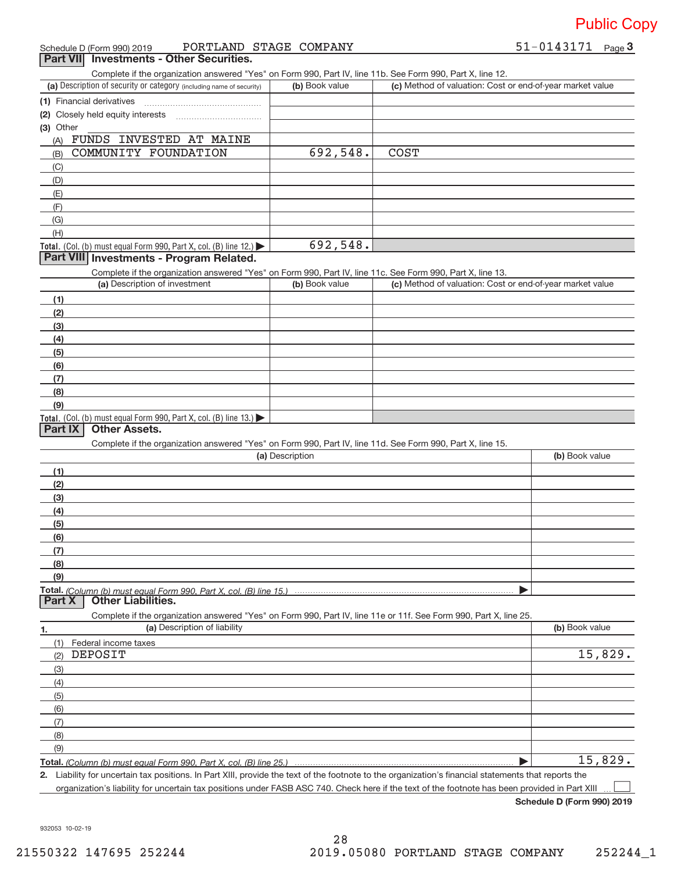|  | Schedule D (Form 990) 2019 | PORTLAND STAGE COMPANY |  |  | 51-0143171<br>Page $3$ |
|--|----------------------------|------------------------|--|--|------------------------|
|--|----------------------------|------------------------|--|--|------------------------|

**Part VII** Investments - Other Securities.

Complete if the organization answered "Yes" on Form 990, Part IV, line 11b. See Form 990, Part X, line 12.

| (a) Description of security or category (including name of security)                          | (b) Book value | (c) Method of valuation: Cost or end-of-year market value |
|-----------------------------------------------------------------------------------------------|----------------|-----------------------------------------------------------|
| (1) Financial derivatives                                                                     |                |                                                           |
| (2) Closely held equity interests                                                             |                |                                                           |
| (3) Other                                                                                     |                |                                                           |
| FUNDS INVESTED AT MAINE<br>(A)                                                                |                |                                                           |
| COMMUNITY FOUNDATION<br>(B)                                                                   | 692,548.       | <b>COST</b>                                               |
| (C)                                                                                           |                |                                                           |
| (D)                                                                                           |                |                                                           |
| (E)                                                                                           |                |                                                           |
| (F)                                                                                           |                |                                                           |
| (G)                                                                                           |                |                                                           |
| (H)                                                                                           |                |                                                           |
| <b>Total.</b> (Col. (b) must equal Form 990, Part X, col. (B) line 12.) $\blacktriangleright$ | 692,548.       |                                                           |

### **Part VIII Investments ‐ Program Related.**

Complete if the organization answered "Yes" on Form 990, Part IV, line 11c. See Form 990, Part X, line 13.

| (a) Description of investment                                                                 | (b) Book value | (c) Method of valuation: Cost or end-of-year market value |
|-----------------------------------------------------------------------------------------------|----------------|-----------------------------------------------------------|
| (1)                                                                                           |                |                                                           |
| (2)                                                                                           |                |                                                           |
| $\frac{1}{2}$                                                                                 |                |                                                           |
| (4)                                                                                           |                |                                                           |
| $\frac{1}{2}$ (5)                                                                             |                |                                                           |
| (6)                                                                                           |                |                                                           |
| (7)                                                                                           |                |                                                           |
| (8)                                                                                           |                |                                                           |
| (9)                                                                                           |                |                                                           |
| <b>Total.</b> (Col. (b) must equal Form 990, Part X, col. (B) line 13.) $\blacktriangleright$ |                |                                                           |

### **Part IX Other Assets.**

Complete if the organization answered "Yes" on Form 990, Part IV, line 11d. See Form 990, Part X, line 15.

| (a) Description | (b) Book value |
|-----------------|----------------|
|                 |                |
| (2)             |                |
| (3)             |                |
| (4)             |                |
| (5)             |                |
| (6)             |                |
|                 |                |
| (8)             |                |
| (9)             |                |
|                 |                |
|                 |                |

**1. (a)** Description of liability **and the contract of the contract of liability <b>(b)** Book value Complete if the organization answered "Yes" on Form 990, Part IV, line 11e or 11f. See Form 990, Part X, line 25. (1) Federal income taxes (2) (3) (4) (5) (6) (7) (8) (9) | DEPOSIT 15,829. 15,829.

**Total.**  *(Column (b) must equal Form 990, Part X, col. (B) line 25.)*

**2.** Liability for uncertain tax positions. In Part XIII, provide the text of the footnote to the organization's financial statements that reports the organization's liability for uncertain tax positions under FASB ASC 740. Check here if the text of the footnote has been provided in Part XIII  $\perp$ 

**Schedule D (Form 990) 2019**

932053 10‐02‐19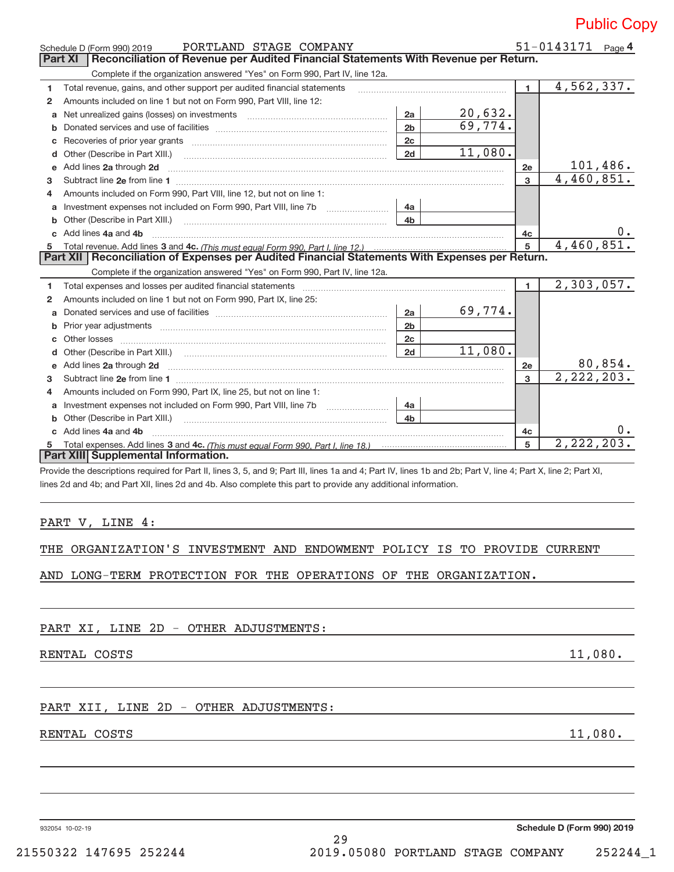|                |                                                                                                                                                                                                                               |                |                         |              | <b>PUDIIC CO</b>              |
|----------------|-------------------------------------------------------------------------------------------------------------------------------------------------------------------------------------------------------------------------------|----------------|-------------------------|--------------|-------------------------------|
|                | PORTLAND STAGE COMPANY<br>Schedule D (Form 990) 2019                                                                                                                                                                          |                |                         |              | 51-0143171 Page 4             |
| <b>Part XI</b> | Reconciliation of Revenue per Audited Financial Statements With Revenue per Return.                                                                                                                                           |                |                         |              |                               |
|                | Complete if the organization answered "Yes" on Form 990, Part IV, line 12a.                                                                                                                                                   |                |                         |              |                               |
| 1              | Total revenue, gains, and other support per audited financial statements                                                                                                                                                      |                |                         | $\mathbf{1}$ | 4,562,337.                    |
| 2              | Amounts included on line 1 but not on Form 990, Part VIII, line 12:                                                                                                                                                           |                |                         |              |                               |
| a              |                                                                                                                                                                                                                               | 2a             |                         |              |                               |
| b              |                                                                                                                                                                                                                               | 2 <sub>b</sub> | $\frac{20,632}{69,774}$ |              |                               |
| c              |                                                                                                                                                                                                                               | 2c             |                         |              |                               |
| d              | Other (Describe in Part XIII.)                                                                                                                                                                                                | 2d             | 11,080.                 |              |                               |
| е              | Add lines 2a through 2d                                                                                                                                                                                                       |                |                         | 2e           | $\frac{101,486.}{4,460,851.}$ |
| 3              | Subtract line 2e from line 1                                                                                                                                                                                                  |                |                         | 3            |                               |
| 4              | Amounts included on Form 990, Part VIII, line 12, but not on line 1:                                                                                                                                                          |                |                         |              |                               |
| a              | Investment expenses not included on Form 990, Part VIII, line 7b                                                                                                                                                              | 4a             |                         |              |                               |
| b              | Other (Describe in Part XIII.)                                                                                                                                                                                                | 4 <sub>b</sub> |                         |              |                               |
| C              | Add lines 4a and 4b                                                                                                                                                                                                           |                |                         | 4c           |                               |
| 5              |                                                                                                                                                                                                                               |                |                         | 5            | 4,460,851.                    |
|                | Reconciliation of Expenses per Audited Financial Statements With Expenses per Return.<br>Part XII                                                                                                                             |                |                         |              |                               |
|                | Complete if the organization answered "Yes" on Form 990, Part IV, line 12a.                                                                                                                                                   |                |                         |              |                               |
| 1              | Total expenses and losses per audited financial statements                                                                                                                                                                    |                |                         | $\mathbf{1}$ | 2,303,057.                    |
| $\mathbf{2}$   | Amounts included on line 1 but not on Form 990, Part IX, line 25:                                                                                                                                                             |                |                         |              |                               |
| a              |                                                                                                                                                                                                                               | 2a             | 69,774.                 |              |                               |
| b              | Prior year adjustments manufactured and contract and contract and contract and contract and contract and contract and contract and contract and contract and contract and contract and contract and contract and contract and | 2 <sub>b</sub> |                         |              |                               |
| c              | Other losses                                                                                                                                                                                                                  | 2c             |                         |              |                               |
| d              |                                                                                                                                                                                                                               | 2d             | 11,080.                 |              |                               |
|                | e Add lines 2a through 2d                                                                                                                                                                                                     |                |                         | 2e           | $\frac{80,854.}{2,222,203.}$  |
| 3              | Subtract line 2e from line 1                                                                                                                                                                                                  |                |                         | 3            |                               |
| 4              | Amounts included on Form 990, Part IX, line 25, but not on line 1:                                                                                                                                                            |                |                         |              |                               |
| a              |                                                                                                                                                                                                                               | 4a             |                         |              |                               |
| b              | Other (Describe in Part XIII.)                                                                                                                                                                                                | 4 <sub>b</sub> |                         |              |                               |
| c              | Add lines 4a and 4b                                                                                                                                                                                                           |                |                         | 4c           |                               |
| 5              |                                                                                                                                                                                                                               |                |                         | 5            | 2, 222, 203.                  |
|                | Part XIII Supplemental Information.                                                                                                                                                                                           |                |                         |              |                               |
|                | Provide the descriptions required for Part II, lines 3, 5, and 9; Part III, lines 1a and 4; Part IV, lines 1b and 2b; Part V, line 4; Part X, line 2; Part XI,                                                                |                |                         |              |                               |
|                | lines 2d and 4b; and Part XII, lines 2d and 4b. Also complete this part to provide any additional information.                                                                                                                |                |                         |              |                               |
|                |                                                                                                                                                                                                                               |                |                         |              |                               |
|                |                                                                                                                                                                                                                               |                |                         |              |                               |
|                | PART V, LINE 4:                                                                                                                                                                                                               |                |                         |              |                               |
|                |                                                                                                                                                                                                                               |                |                         |              |                               |
|                |                                                                                                                                                                                                                               |                |                         |              |                               |
|                | THE ORGANIZATION'S INVESTMENT AND ENDOWMENT POLICY IS TO PROVIDE CURRENT                                                                                                                                                      |                |                         |              |                               |
|                | AND LONG-TERM PROTECTION FOR THE OPERATIONS OF THE ORGANIZATION.                                                                                                                                                              |                |                         |              |                               |

PART XI, LINE 2D - OTHER ADJUSTMENTS:

RENTAL COSTS 11,080.

### PART XII, LINE 2D - OTHER ADJUSTMENTS:

### RENTAL COSTS 11,080.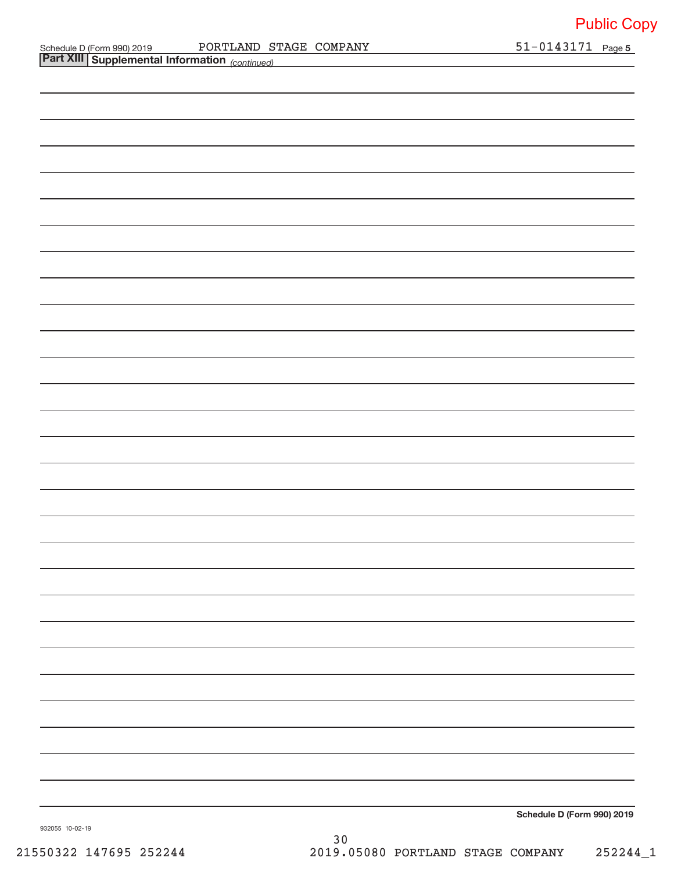| Schedule D (Form 990) 2019 |  |
|----------------------------|--|
| ______                     |  |

*(continued)* **Part XIII Supplemental Information**  Schedule D (Form 990) 2019 Page PORTLAND STAGE COMPANY 51‐0143171

**Schedule D (Form 990) 2019**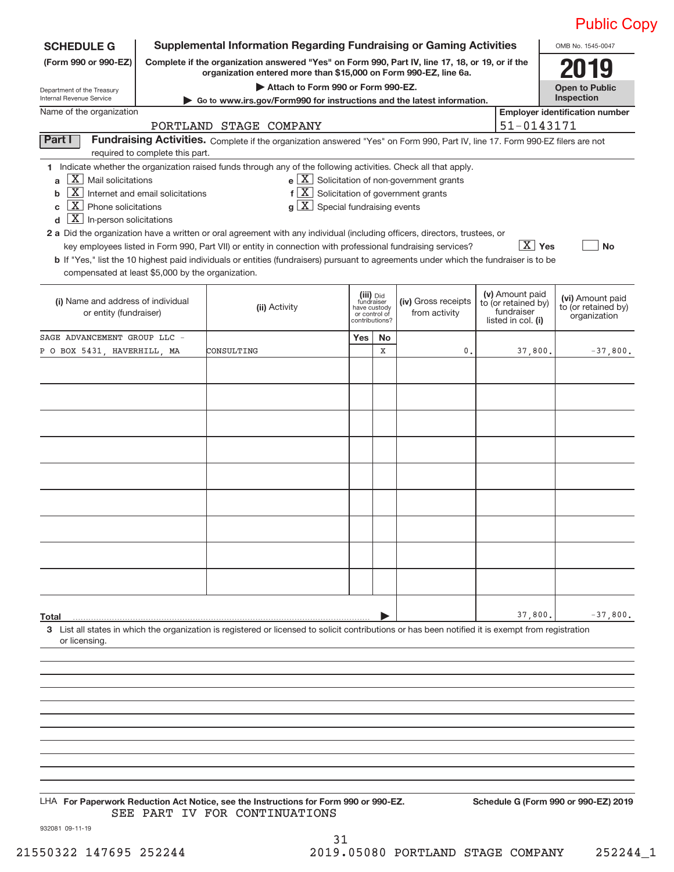|                                                                                                                                                                                     |                                                     |                                                                                                                                                                                                                                                                                                                                                                                                                                                                                                                                                                                   |                                                                            |             |                                                                                                                         |                                                                            |                 | <b>Public Copy</b>                                      |
|-------------------------------------------------------------------------------------------------------------------------------------------------------------------------------------|-----------------------------------------------------|-----------------------------------------------------------------------------------------------------------------------------------------------------------------------------------------------------------------------------------------------------------------------------------------------------------------------------------------------------------------------------------------------------------------------------------------------------------------------------------------------------------------------------------------------------------------------------------|----------------------------------------------------------------------------|-------------|-------------------------------------------------------------------------------------------------------------------------|----------------------------------------------------------------------------|-----------------|---------------------------------------------------------|
| <b>SCHEDULE G</b>                                                                                                                                                                   |                                                     | <b>Supplemental Information Regarding Fundraising or Gaming Activities</b>                                                                                                                                                                                                                                                                                                                                                                                                                                                                                                        |                                                                            |             |                                                                                                                         |                                                                            |                 | OMB No. 1545-0047                                       |
| (Form 990 or 990-EZ)                                                                                                                                                                |                                                     | Complete if the organization answered "Yes" on Form 990, Part IV, line 17, 18, or 19, or if the<br>organization entered more than \$15,000 on Form 990-EZ, line 6a.                                                                                                                                                                                                                                                                                                                                                                                                               |                                                                            |             |                                                                                                                         |                                                                            |                 |                                                         |
| Department of the Treasury<br>Internal Revenue Service                                                                                                                              |                                                     | Attach to Form 990 or Form 990-EZ.<br>► Go to www.irs.gov/Form990 for instructions and the latest information.                                                                                                                                                                                                                                                                                                                                                                                                                                                                    |                                                                            |             |                                                                                                                         |                                                                            |                 | <b>Open to Public</b><br>Inspection                     |
| Name of the organization                                                                                                                                                            |                                                     |                                                                                                                                                                                                                                                                                                                                                                                                                                                                                                                                                                                   |                                                                            |             |                                                                                                                         |                                                                            |                 | <b>Employer identification number</b>                   |
|                                                                                                                                                                                     |                                                     | PORTLAND STAGE COMPANY                                                                                                                                                                                                                                                                                                                                                                                                                                                                                                                                                            |                                                                            |             |                                                                                                                         |                                                                            | 51-0143171      |                                                         |
| Part I                                                                                                                                                                              | required to complete this part.                     | Fundraising Activities. Complete if the organization answered "Yes" on Form 990, Part IV, line 17. Form 990-EZ filers are not                                                                                                                                                                                                                                                                                                                                                                                                                                                     |                                                                            |             |                                                                                                                         |                                                                            |                 |                                                         |
| $ X $ Mail solicitations<br>a<br>$\boxed{\textbf{X}}$ Phone solicitations<br>C<br>$\boxed{\textbf{X}}$ In-person solicitations<br>compensated at least \$5,000 by the organization. | $\boxed{\text{X}}$ Internet and email solicitations | 1 Indicate whether the organization raised funds through any of the following activities. Check all that apply.<br>$g\left[\frac{\textbf{X}}{\textbf{X}}\right]$ Special fundraising events<br>2 a Did the organization have a written or oral agreement with any individual (including officers, directors, trustees, or<br>key employees listed in Form 990, Part VII) or entity in connection with professional fundraising services?<br>b If "Yes," list the 10 highest paid individuals or entities (fundraisers) pursuant to agreements under which the fundraiser is to be |                                                                            |             | $e$ $\boxed{X}$ Solicitation of non-government grants<br>$f\left[\overline{X}\right]$ Solicitation of government grants |                                                                            | $\boxed{X}$ Yes | <b>No</b>                                               |
| (i) Name and address of individual<br>or entity (fundraiser)                                                                                                                        |                                                     | (ii) Activity                                                                                                                                                                                                                                                                                                                                                                                                                                                                                                                                                                     | (iii) Did<br>fundraiser<br>have custody<br>or control of<br>contributions? |             | (iv) Gross receipts<br>from activity                                                                                    | (v) Amount paid<br>to (or retained by)<br>fundraiser<br>listed in col. (i) |                 | (vi) Amount paid<br>to (or retained by)<br>organization |
| SAGE ADVANCEMENT GROUP LLC -                                                                                                                                                        |                                                     |                                                                                                                                                                                                                                                                                                                                                                                                                                                                                                                                                                                   | Yes                                                                        | No          |                                                                                                                         |                                                                            |                 |                                                         |
| P O BOX 5431, HAVERHILL, MA                                                                                                                                                         |                                                     | CONSULTING                                                                                                                                                                                                                                                                                                                                                                                                                                                                                                                                                                        |                                                                            | $\mathbf X$ | 0.                                                                                                                      |                                                                            | 37,800.         | $-37,800.$                                              |
|                                                                                                                                                                                     |                                                     |                                                                                                                                                                                                                                                                                                                                                                                                                                                                                                                                                                                   |                                                                            |             |                                                                                                                         |                                                                            |                 |                                                         |
|                                                                                                                                                                                     |                                                     |                                                                                                                                                                                                                                                                                                                                                                                                                                                                                                                                                                                   |                                                                            |             |                                                                                                                         |                                                                            |                 |                                                         |
|                                                                                                                                                                                     |                                                     |                                                                                                                                                                                                                                                                                                                                                                                                                                                                                                                                                                                   |                                                                            |             |                                                                                                                         |                                                                            |                 |                                                         |
|                                                                                                                                                                                     |                                                     |                                                                                                                                                                                                                                                                                                                                                                                                                                                                                                                                                                                   |                                                                            |             |                                                                                                                         |                                                                            |                 |                                                         |
|                                                                                                                                                                                     |                                                     |                                                                                                                                                                                                                                                                                                                                                                                                                                                                                                                                                                                   |                                                                            |             |                                                                                                                         |                                                                            |                 |                                                         |
|                                                                                                                                                                                     |                                                     |                                                                                                                                                                                                                                                                                                                                                                                                                                                                                                                                                                                   |                                                                            |             |                                                                                                                         |                                                                            |                 |                                                         |
|                                                                                                                                                                                     |                                                     |                                                                                                                                                                                                                                                                                                                                                                                                                                                                                                                                                                                   |                                                                            |             |                                                                                                                         |                                                                            |                 |                                                         |
|                                                                                                                                                                                     |                                                     |                                                                                                                                                                                                                                                                                                                                                                                                                                                                                                                                                                                   |                                                                            |             |                                                                                                                         |                                                                            |                 |                                                         |
|                                                                                                                                                                                     |                                                     |                                                                                                                                                                                                                                                                                                                                                                                                                                                                                                                                                                                   |                                                                            |             |                                                                                                                         |                                                                            |                 |                                                         |
|                                                                                                                                                                                     |                                                     |                                                                                                                                                                                                                                                                                                                                                                                                                                                                                                                                                                                   |                                                                            |             |                                                                                                                         |                                                                            |                 |                                                         |
|                                                                                                                                                                                     |                                                     |                                                                                                                                                                                                                                                                                                                                                                                                                                                                                                                                                                                   |                                                                            |             |                                                                                                                         |                                                                            |                 |                                                         |
|                                                                                                                                                                                     |                                                     |                                                                                                                                                                                                                                                                                                                                                                                                                                                                                                                                                                                   |                                                                            |             |                                                                                                                         |                                                                            |                 |                                                         |
|                                                                                                                                                                                     |                                                     |                                                                                                                                                                                                                                                                                                                                                                                                                                                                                                                                                                                   |                                                                            |             |                                                                                                                         |                                                                            |                 |                                                         |
|                                                                                                                                                                                     |                                                     |                                                                                                                                                                                                                                                                                                                                                                                                                                                                                                                                                                                   |                                                                            |             |                                                                                                                         |                                                                            |                 |                                                         |
| Total                                                                                                                                                                               |                                                     |                                                                                                                                                                                                                                                                                                                                                                                                                                                                                                                                                                                   |                                                                            |             |                                                                                                                         |                                                                            | 37,800.         | $-37,800.$                                              |
| or licensing.                                                                                                                                                                       |                                                     | 3 List all states in which the organization is registered or licensed to solicit contributions or has been notified it is exempt from registration                                                                                                                                                                                                                                                                                                                                                                                                                                |                                                                            |             |                                                                                                                         |                                                                            |                 |                                                         |

**For Paperwork Reduction Act Notice, see the Instructions for Form 990 or 990‐EZ. Schedule G (Form 990 or 990‐EZ) 2019** LHA SEE PART IV FOR CONTINUATIONS

932081 09‐11‐19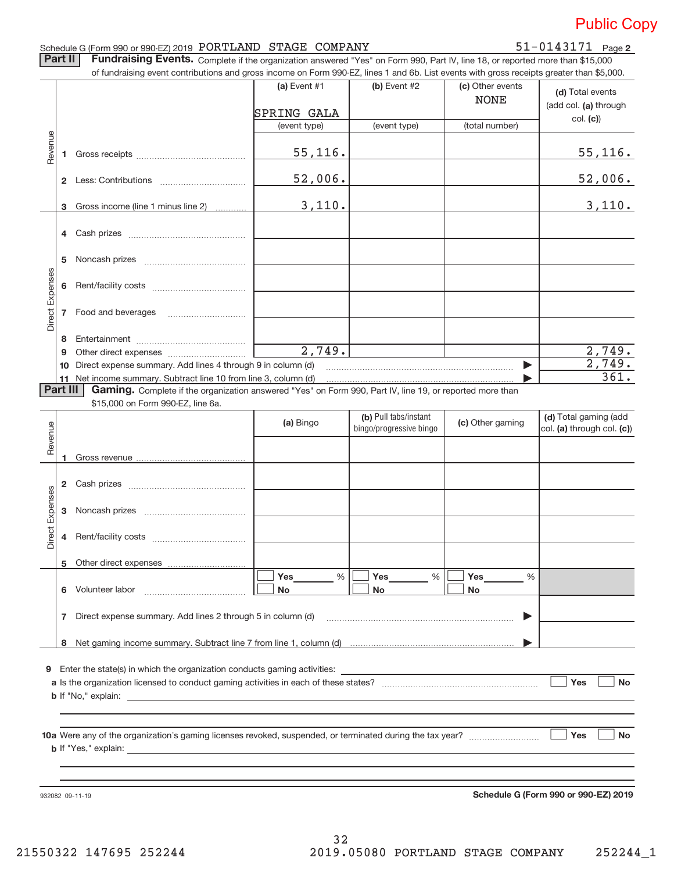### Schedule G (Form 990 or 990‐EZ) 2019  $\rm{PORTLAND}$   $\rm{STAGE}$   $\rm{COMPANY}$   $\rm{51-0143171}$   $\rm{Page}$

51-0143171 Page 2

Part II | Fundraising Events. Complete if the organization answered "Yes" on Form 990, Part IV, line 18, or reported more than \$15,000

|                 |          | of fundraising event contributions and gross income on Form 990-EZ, lines 1 and 6b. List events with gross receipts greater than \$5,000. |                |                                                  |                                 |                                                     |
|-----------------|----------|-------------------------------------------------------------------------------------------------------------------------------------------|----------------|--------------------------------------------------|---------------------------------|-----------------------------------------------------|
|                 |          |                                                                                                                                           | (a) Event #1   | (b) Event #2                                     | (c) Other events<br><b>NONE</b> | (d) Total events<br>(add col. (a) through           |
|                 |          |                                                                                                                                           | SPRING GALA    |                                                  |                                 | col. (c)                                            |
|                 |          |                                                                                                                                           | (event type)   | (event type)                                     | (total number)                  |                                                     |
| Revenue         |          |                                                                                                                                           | 55, 116.       |                                                  |                                 | <u>55,116.</u>                                      |
|                 |          |                                                                                                                                           | 52,006.        |                                                  |                                 | 52,006.                                             |
|                 |          | 3 Gross income (line 1 minus line 2)                                                                                                      | 3,110.         |                                                  |                                 | 3,110.                                              |
|                 |          |                                                                                                                                           |                |                                                  |                                 |                                                     |
|                 | 5.       |                                                                                                                                           |                |                                                  |                                 |                                                     |
| Direct Expenses |          |                                                                                                                                           |                |                                                  |                                 |                                                     |
|                 |          |                                                                                                                                           |                |                                                  |                                 |                                                     |
|                 | 8        |                                                                                                                                           |                |                                                  |                                 |                                                     |
|                 | 9        |                                                                                                                                           | 2,749.         |                                                  |                                 | 2,749.                                              |
|                 | 10       | Direct expense summary. Add lines 4 through 9 in column (d)                                                                               |                |                                                  |                                 | 2,749.                                              |
|                 |          | 11 Net income summary. Subtract line 10 from line 3, column (d)                                                                           |                |                                                  |                                 | 361.                                                |
|                 | Part III | Gaming. Complete if the organization answered "Yes" on Form 990, Part IV, line 19, or reported more than                                  |                |                                                  |                                 |                                                     |
|                 |          | \$15,000 on Form 990-EZ, line 6a.                                                                                                         |                |                                                  |                                 |                                                     |
| Revenue         |          |                                                                                                                                           | (a) Bingo      | (b) Pull tabs/instant<br>bingo/progressive bingo | (c) Other gaming                | (d) Total gaming (add<br>col. (a) through col. (c)) |
|                 |          |                                                                                                                                           |                |                                                  |                                 |                                                     |
|                 |          |                                                                                                                                           |                |                                                  |                                 |                                                     |
| Direct Expenses | 3        |                                                                                                                                           |                |                                                  |                                 |                                                     |
|                 |          |                                                                                                                                           |                |                                                  |                                 |                                                     |
|                 |          | 5 Other direct expenses                                                                                                                   |                |                                                  |                                 |                                                     |
|                 |          | 6 Volunteer labor                                                                                                                         | %<br>Yes<br>No | Yes<br>%<br><b>No</b>                            | Yes<br>%<br>No                  |                                                     |
|                 |          | 7 Direct expense summary. Add lines 2 through 5 in column (d)                                                                             |                |                                                  | ▶                               |                                                     |
|                 |          |                                                                                                                                           |                |                                                  |                                 |                                                     |
|                 |          |                                                                                                                                           |                |                                                  |                                 |                                                     |
|                 |          | 9 Enter the state(s) in which the organization conducts gaming activities:                                                                |                |                                                  |                                 |                                                     |
|                 |          |                                                                                                                                           |                |                                                  |                                 | Yes<br><b>No</b>                                    |
|                 |          |                                                                                                                                           |                |                                                  |                                 |                                                     |
|                 |          |                                                                                                                                           |                |                                                  |                                 |                                                     |
|                 |          |                                                                                                                                           |                |                                                  |                                 | Yes<br><b>No</b>                                    |
|                 |          |                                                                                                                                           |                |                                                  |                                 |                                                     |

932082 09‐11‐19

**Schedule G (Form 990 or 990‐EZ) 2019**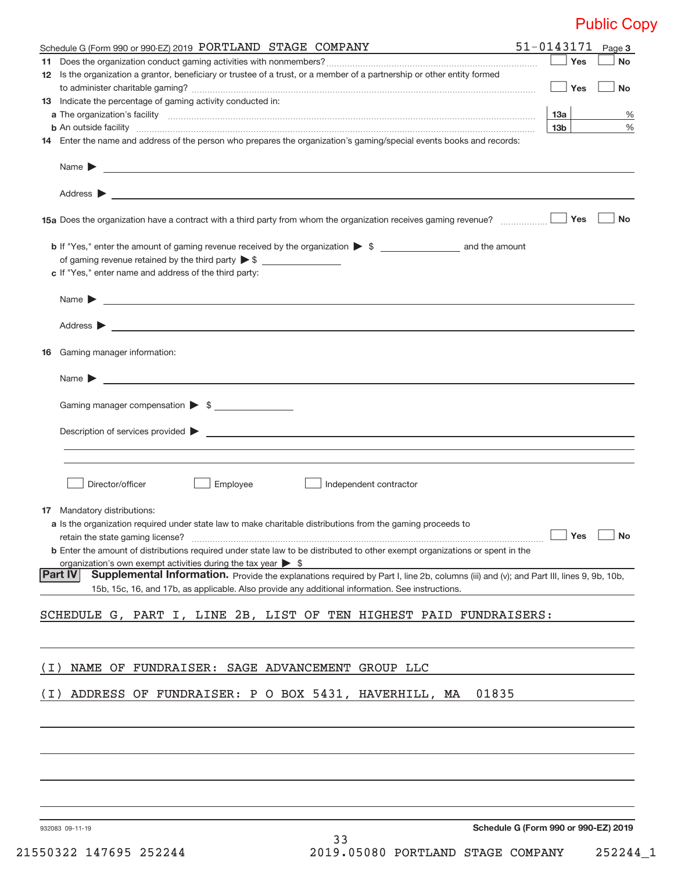|       | Schedule G (Form 990 or 990-EZ) 2019 PORTLAND STAGE COMPANY<br><u> 1989 - Johann Stein, mars an deus Amerikaansk kommunister (</u>                                                                                                                                    |                           |     | $51 - 0143171$ Page 3                |
|-------|-----------------------------------------------------------------------------------------------------------------------------------------------------------------------------------------------------------------------------------------------------------------------|---------------------------|-----|--------------------------------------|
|       |                                                                                                                                                                                                                                                                       |                           | Yes | <b>No</b>                            |
|       | 12 Is the organization a grantor, beneficiary or trustee of a trust, or a member of a partnership or other entity formed                                                                                                                                              |                           |     |                                      |
|       |                                                                                                                                                                                                                                                                       |                           | Yes | No                                   |
|       | 13 Indicate the percentage of gaming activity conducted in:                                                                                                                                                                                                           |                           |     |                                      |
|       |                                                                                                                                                                                                                                                                       | 13a                       |     | %                                    |
|       | <b>b</b> An outside facility <i>www.communicality www.communicality.communicality www.communicality www.communicality.com</i><br>14 Enter the name and address of the person who prepares the organization's gaming/special events books and records:                 | 13b                       |     | $\%$                                 |
|       |                                                                                                                                                                                                                                                                       |                           |     |                                      |
|       |                                                                                                                                                                                                                                                                       |                           |     |                                      |
|       | Address $\blacktriangleright$<br><u>state and the state of the state of the state of the state of the state of the state of the state of the state of the state of the state of the state of the state of the state of the state of the state of the state of the</u> |                           |     |                                      |
|       |                                                                                                                                                                                                                                                                       |                           | Yes | <b>No</b>                            |
|       |                                                                                                                                                                                                                                                                       |                           |     |                                      |
|       |                                                                                                                                                                                                                                                                       |                           |     |                                      |
|       | c If "Yes," enter name and address of the third party:                                                                                                                                                                                                                |                           |     |                                      |
|       | Name <b>Decision and Contract Contract Contract Contract Contract Contract Contract Contract Contract Contract Contract Contract Contract Contract Contract Contract Contract Contract Contract Contract Contract Contract Contr</b>                                  |                           |     |                                      |
|       |                                                                                                                                                                                                                                                                       |                           |     |                                      |
|       |                                                                                                                                                                                                                                                                       |                           |     |                                      |
|       | <b>16</b> Gaming manager information:                                                                                                                                                                                                                                 |                           |     |                                      |
|       | Name $\blacktriangleright$<br><u> 1989 - Johann Harry Harry Harry Harry Harry Harry Harry Harry Harry Harry Harry Harry Harry Harry Harry Harry</u>                                                                                                                   |                           |     |                                      |
|       | Gaming manager compensation > \$                                                                                                                                                                                                                                      |                           |     |                                      |
|       |                                                                                                                                                                                                                                                                       |                           |     |                                      |
|       |                                                                                                                                                                                                                                                                       |                           |     |                                      |
|       |                                                                                                                                                                                                                                                                       |                           |     |                                      |
|       | Director/officer<br>Employee<br>Independent contractor                                                                                                                                                                                                                |                           |     |                                      |
|       |                                                                                                                                                                                                                                                                       |                           |     |                                      |
|       | <b>17</b> Mandatory distributions:                                                                                                                                                                                                                                    |                           |     |                                      |
|       | a Is the organization required under state law to make charitable distributions from the gaming proceeds to                                                                                                                                                           |                           |     |                                      |
|       | retain the state gaming license?                                                                                                                                                                                                                                      | $\boxed{\phantom{1}}$ Yes |     | $\Box$ No                            |
|       | <b>b</b> Enter the amount of distributions required under state law to be distributed to other exempt organizations or spent in the                                                                                                                                   |                           |     |                                      |
|       | organization's own exempt activities during the tax year $\triangleright$ \$<br>Supplemental Information. Provide the explanations required by Part I, line 2b, columns (iii) and (v); and Part III, lines 9, 9b, 10b,<br><b>Part IV</b>                              |                           |     |                                      |
|       | 15b, 15c, 16, and 17b, as applicable. Also provide any additional information. See instructions.                                                                                                                                                                      |                           |     |                                      |
|       |                                                                                                                                                                                                                                                                       |                           |     |                                      |
|       | SCHEDULE G, PART I, LINE 2B, LIST OF TEN HIGHEST PAID FUNDRAISERS:                                                                                                                                                                                                    |                           |     |                                      |
|       |                                                                                                                                                                                                                                                                       |                           |     |                                      |
| ( I ) | NAME OF FUNDRAISER: SAGE ADVANCEMENT GROUP LLC                                                                                                                                                                                                                        |                           |     |                                      |
| ( I ) | ADDRESS OF FUNDRAISER: P O BOX 5431, HAVERHILL, MA<br>01835                                                                                                                                                                                                           |                           |     |                                      |
|       |                                                                                                                                                                                                                                                                       |                           |     |                                      |
|       |                                                                                                                                                                                                                                                                       |                           |     |                                      |
|       |                                                                                                                                                                                                                                                                       |                           |     |                                      |
|       |                                                                                                                                                                                                                                                                       |                           |     |                                      |
|       |                                                                                                                                                                                                                                                                       |                           |     |                                      |
|       |                                                                                                                                                                                                                                                                       |                           |     |                                      |
|       | 932083 09-11-19                                                                                                                                                                                                                                                       |                           |     | Schedule G (Form 990 or 990-EZ) 2019 |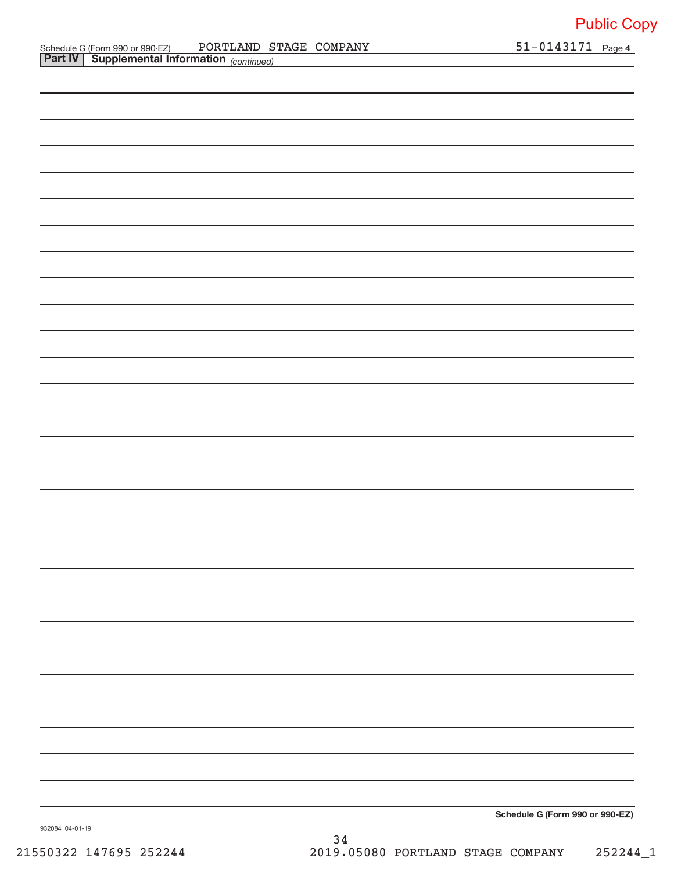51-0143171 Page 4

**Schedule G (Form 990 or 990‐EZ)**

932084 04‐01‐19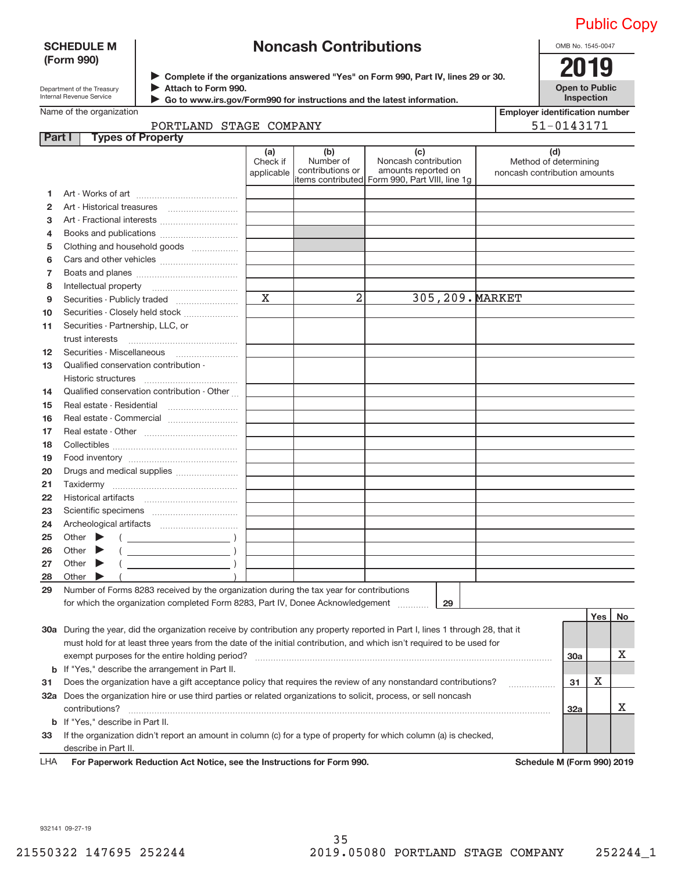### **SCHEDULE M (Form 990)**

## **Noncash Contributions**

Department of the Treasury Internal Revenue Service

▶ Complete if the organizations answered "Yes" on Form 990, Part IV, lines 29 or 30.<br>▶ Complete if the organizations answered "Yes" on Form 990, Part IV, lines 29 or 30. **Attach to Form 990.**  $\blacktriangleright$ 

**Open to Public Inspection**

OMB No. 1545‐0047

| Go to www.irs.gov/Form990 for instructions and the latest information. |
|------------------------------------------------------------------------|
|                                                                        |

|  | Name of the organization |
|--|--------------------------|
|  |                          |

| <b>Employer identification number</b> |
|---------------------------------------|
| E1 01 4 2 1 7 1                       |

| the organization |  |
|------------------|--|
|------------------|--|

|              | PORTLAND STAGE COMPANY                                                                                                                                                                                                                                                                                                                                                                                                                       |                               |                                      |                                                                                                      |                                                              | 51-0143171 |     |    |  |
|--------------|----------------------------------------------------------------------------------------------------------------------------------------------------------------------------------------------------------------------------------------------------------------------------------------------------------------------------------------------------------------------------------------------------------------------------------------------|-------------------------------|--------------------------------------|------------------------------------------------------------------------------------------------------|--------------------------------------------------------------|------------|-----|----|--|
|              | Part I<br><b>Types of Property</b>                                                                                                                                                                                                                                                                                                                                                                                                           |                               |                                      |                                                                                                      |                                                              |            |     |    |  |
|              |                                                                                                                                                                                                                                                                                                                                                                                                                                              | (a)<br>Check if<br>applicable | (b)<br>Number of<br>contributions or | (c)<br>Noncash contribution<br>amounts reported on<br>items contributed Form 990, Part VIII, line 1g | (d)<br>Method of determining<br>noncash contribution amounts |            |     |    |  |
| 1.           |                                                                                                                                                                                                                                                                                                                                                                                                                                              |                               |                                      |                                                                                                      |                                                              |            |     |    |  |
| $\mathbf{2}$ |                                                                                                                                                                                                                                                                                                                                                                                                                                              |                               |                                      |                                                                                                      |                                                              |            |     |    |  |
| 3            |                                                                                                                                                                                                                                                                                                                                                                                                                                              |                               |                                      |                                                                                                      |                                                              |            |     |    |  |
| 4            |                                                                                                                                                                                                                                                                                                                                                                                                                                              |                               |                                      |                                                                                                      |                                                              |            |     |    |  |
| 5            | Clothing and household goods                                                                                                                                                                                                                                                                                                                                                                                                                 |                               |                                      |                                                                                                      |                                                              |            |     |    |  |
| 6            |                                                                                                                                                                                                                                                                                                                                                                                                                                              |                               |                                      |                                                                                                      |                                                              |            |     |    |  |
| 7            |                                                                                                                                                                                                                                                                                                                                                                                                                                              |                               |                                      |                                                                                                      |                                                              |            |     |    |  |
| 8            |                                                                                                                                                                                                                                                                                                                                                                                                                                              |                               |                                      |                                                                                                      |                                                              |            |     |    |  |
| 9            |                                                                                                                                                                                                                                                                                                                                                                                                                                              | $\mathbf x$                   | 2                                    | 305, 209. MARKET                                                                                     |                                                              |            |     |    |  |
| 10           | Securities - Closely held stock                                                                                                                                                                                                                                                                                                                                                                                                              |                               |                                      |                                                                                                      |                                                              |            |     |    |  |
| 11           | Securities - Partnership, LLC, or                                                                                                                                                                                                                                                                                                                                                                                                            |                               |                                      |                                                                                                      |                                                              |            |     |    |  |
|              | trust interests                                                                                                                                                                                                                                                                                                                                                                                                                              |                               |                                      |                                                                                                      |                                                              |            |     |    |  |
| 12           |                                                                                                                                                                                                                                                                                                                                                                                                                                              |                               |                                      |                                                                                                      |                                                              |            |     |    |  |
| 13           | Qualified conservation contribution -                                                                                                                                                                                                                                                                                                                                                                                                        |                               |                                      |                                                                                                      |                                                              |            |     |    |  |
|              | Historic structures                                                                                                                                                                                                                                                                                                                                                                                                                          |                               |                                      |                                                                                                      |                                                              |            |     |    |  |
| 14           | Qualified conservation contribution - Other                                                                                                                                                                                                                                                                                                                                                                                                  |                               |                                      |                                                                                                      |                                                              |            |     |    |  |
| 15           | Real estate - Residential                                                                                                                                                                                                                                                                                                                                                                                                                    |                               |                                      |                                                                                                      |                                                              |            |     |    |  |
| 16           |                                                                                                                                                                                                                                                                                                                                                                                                                                              |                               |                                      |                                                                                                      |                                                              |            |     |    |  |
| 17           |                                                                                                                                                                                                                                                                                                                                                                                                                                              |                               |                                      |                                                                                                      |                                                              |            |     |    |  |
| 18           |                                                                                                                                                                                                                                                                                                                                                                                                                                              |                               |                                      |                                                                                                      |                                                              |            |     |    |  |
| 19           |                                                                                                                                                                                                                                                                                                                                                                                                                                              |                               |                                      |                                                                                                      |                                                              |            |     |    |  |
| 20           | Drugs and medical supplies                                                                                                                                                                                                                                                                                                                                                                                                                   |                               |                                      |                                                                                                      |                                                              |            |     |    |  |
| 21           | Taxidermy                                                                                                                                                                                                                                                                                                                                                                                                                                    |                               |                                      |                                                                                                      |                                                              |            |     |    |  |
| 22           |                                                                                                                                                                                                                                                                                                                                                                                                                                              |                               |                                      |                                                                                                      |                                                              |            |     |    |  |
| 23           |                                                                                                                                                                                                                                                                                                                                                                                                                                              |                               |                                      |                                                                                                      |                                                              |            |     |    |  |
| 24           |                                                                                                                                                                                                                                                                                                                                                                                                                                              |                               |                                      |                                                                                                      |                                                              |            |     |    |  |
| 25           | Other $\blacktriangleright$<br>$\left(\begin{array}{ccc}\n\frac{1}{2} & \frac{1}{2} & \frac{1}{2} & \frac{1}{2} & \frac{1}{2} & \frac{1}{2} & \frac{1}{2} & \frac{1}{2} & \frac{1}{2} & \frac{1}{2} & \frac{1}{2} & \frac{1}{2} & \frac{1}{2} & \frac{1}{2} & \frac{1}{2} & \frac{1}{2} & \frac{1}{2} & \frac{1}{2} & \frac{1}{2} & \frac{1}{2} & \frac{1}{2} & \frac{1}{2} & \frac{1}{2} & \frac{1}{2} & \frac{1}{2} & \frac{1}{2} & \frac$ |                               |                                      |                                                                                                      |                                                              |            |     |    |  |
| 26           | $\begin{picture}(150,10) \put(0,0){\line(1,0){10}} \put(15,0){\line(1,0){10}} \put(15,0){\line(1,0){10}} \put(15,0){\line(1,0){10}} \put(15,0){\line(1,0){10}} \put(15,0){\line(1,0){10}} \put(15,0){\line(1,0){10}} \put(15,0){\line(1,0){10}} \put(15,0){\line(1,0){10}} \put(15,0){\line(1,0){10}} \put(15,0){\line(1,0){10}} \put(15,0){\line($<br>Other $\blacktriangleright$                                                           |                               |                                      |                                                                                                      |                                                              |            |     |    |  |
| 27           | $\begin{picture}(150,10) \put(0,0){\line(1,0){10}} \put(15,0){\line(1,0){10}} \put(15,0){\line(1,0){10}} \put(15,0){\line(1,0){10}} \put(15,0){\line(1,0){10}} \put(15,0){\line(1,0){10}} \put(15,0){\line(1,0){10}} \put(15,0){\line(1,0){10}} \put(15,0){\line(1,0){10}} \put(15,0){\line(1,0){10}} \put(15,0){\line(1,0){10}} \put(15,0){\line($<br>Other $\blacktriangleright$                                                           |                               |                                      |                                                                                                      |                                                              |            |     |    |  |
| 28           | Other $\blacktriangleright$                                                                                                                                                                                                                                                                                                                                                                                                                  |                               |                                      |                                                                                                      |                                                              |            |     |    |  |
| 29           | Number of Forms 8283 received by the organization during the tax year for contributions                                                                                                                                                                                                                                                                                                                                                      |                               |                                      |                                                                                                      |                                                              |            |     |    |  |
|              | for which the organization completed Form 8283, Part IV, Donee Acknowledgement                                                                                                                                                                                                                                                                                                                                                               |                               |                                      | 29                                                                                                   |                                                              |            |     |    |  |
|              |                                                                                                                                                                                                                                                                                                                                                                                                                                              |                               |                                      |                                                                                                      |                                                              |            | Yes | No |  |
|              | 30a During the year, did the organization receive by contribution any property reported in Part I, lines 1 through 28, that it                                                                                                                                                                                                                                                                                                               |                               |                                      |                                                                                                      |                                                              |            |     |    |  |
|              | must hold for at least three years from the date of the initial contribution, and which isn't required to be used for                                                                                                                                                                                                                                                                                                                        |                               |                                      |                                                                                                      |                                                              |            |     |    |  |
|              |                                                                                                                                                                                                                                                                                                                                                                                                                                              |                               |                                      |                                                                                                      |                                                              | 30a        |     | х  |  |
|              | <b>b</b> If "Yes," describe the arrangement in Part II.                                                                                                                                                                                                                                                                                                                                                                                      |                               |                                      |                                                                                                      |                                                              |            |     |    |  |
| 31           | Does the organization have a gift acceptance policy that requires the review of any nonstandard contributions?                                                                                                                                                                                                                                                                                                                               |                               |                                      |                                                                                                      |                                                              | 31         | Х   |    |  |
|              | 32a Does the organization hire or use third parties or related organizations to solicit, process, or sell noncash                                                                                                                                                                                                                                                                                                                            |                               |                                      |                                                                                                      |                                                              |            |     |    |  |
|              | contributions?                                                                                                                                                                                                                                                                                                                                                                                                                               |                               |                                      |                                                                                                      |                                                              | 32a        |     | X  |  |
|              | <b>b</b> If "Yes," describe in Part II.                                                                                                                                                                                                                                                                                                                                                                                                      |                               |                                      |                                                                                                      |                                                              |            |     |    |  |

**33** If the organization didn't report an amount in column (c) for a type of property for which column (a) is checked, describe in Part II.

For Paperwork Reduction Act Notice, see the Instructions for Form 990. Schedule M (Form 990) 2019 LHA

932141 09‐27‐19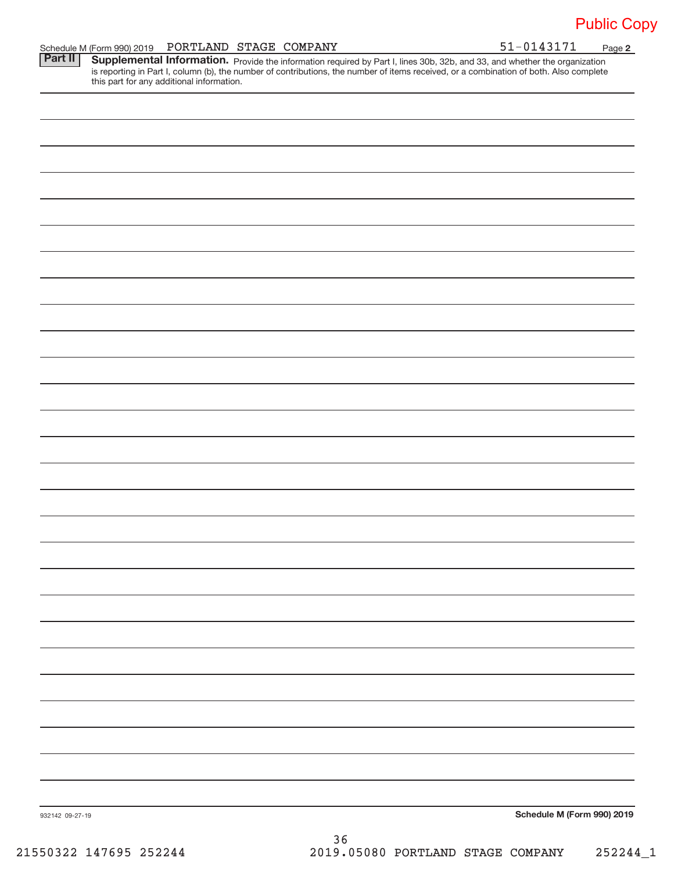|  | Schedule M (Form 990) 2019 PORTLAND STAGE COMPANY |  |  | 51-0143171 | Page |  |
|--|---------------------------------------------------|--|--|------------|------|--|
|--|---------------------------------------------------|--|--|------------|------|--|

**2** Provide the information required by Part I, lines 30b, 32b, and 33, and whether the organization is reporting in Part I, column (b), the number of contributions, the number of items received, or a combination of both. Also complete this part for any additional information. **Part II Supplemental Information.** 

| 932142 09-27-19 | Schedule M (Form 990) 2019 |
|-----------------|----------------------------|

36 21550322 147695 252244 2019.05080 PORTLAND STAGE COMPANY 252244\_1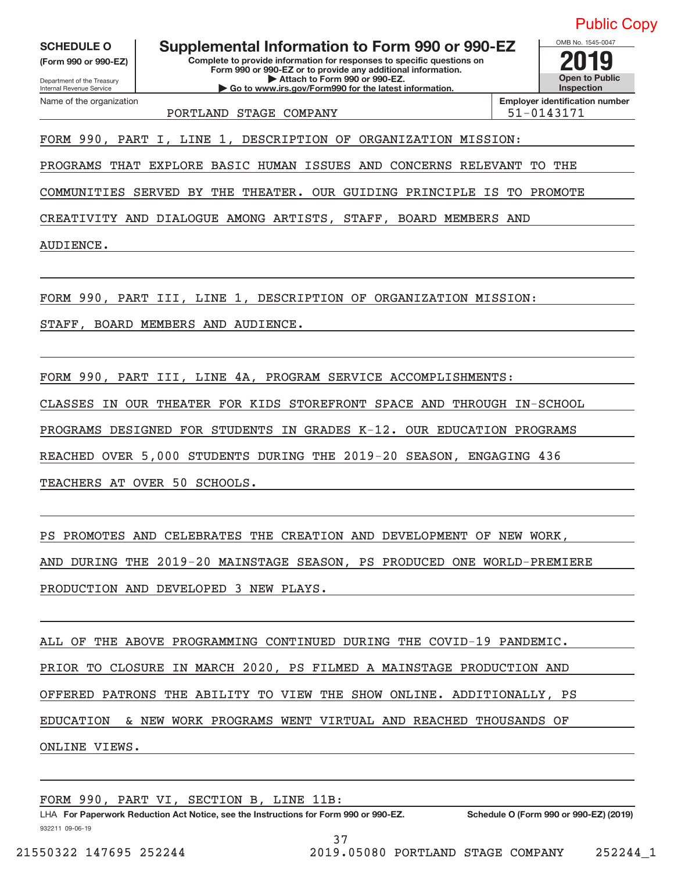**(Form 990 or 990‐EZ)**

Department of the Treasury Internal Revenue Service

Name of the organization

**Complete to provide information for responses to specific questions on Form 990 or 990‐EZ or to provide any additional information. | Attach to Form 990 or 990‐EZ. | Go to www.irs.gov/Form990 for the latest information.** SCHEDULE O **Supplemental Information to Form 990 or 990-EZ 2019** 

**Open to Public Inspection Employer identification number**

OMB No. 1545‐0047

PORTLAND STAGE COMPANY  $\vert$  51-0143171

FORM 990, PART I, LINE 1, DESCRIPTION OF ORGANIZATION MISSION:

PROGRAMS THAT EXPLORE BASIC HUMAN ISSUES AND CONCERNS RELEVANT TO THE

COMMUNITIES SERVED BY THE THEATER. OUR GUIDING PRINCIPLE IS TO PROMOTE

CREATIVITY AND DIALOGUE AMONG ARTISTS, STAFF, BOARD MEMBERS AND

AUDIENCE.

FORM 990, PART III, LINE 1, DESCRIPTION OF ORGANIZATION MISSION:

STAFF, BOARD MEMBERS AND AUDIENCE.

FORM 990, PART III, LINE 4A, PROGRAM SERVICE ACCOMPLISHMENTS: CLASSES IN OUR THEATER FOR KIDS STOREFRONT SPACE AND THROUGH IN‐SCHOOL PROGRAMS DESIGNED FOR STUDENTS IN GRADES K‐12. OUR EDUCATION PROGRAMS REACHED OVER 5,000 STUDENTS DURING THE 2019‐20 SEASON, ENGAGING 436 TEACHERS AT OVER 50 SCHOOLS.

PS PROMOTES AND CELEBRATES THE CREATION AND DEVELOPMENT OF NEW WORK,

AND DURING THE 2019‐20 MAINSTAGE SEASON, PS PRODUCED ONE WORLD‐PREMIERE

PRODUCTION AND DEVELOPED 3 NEW PLAYS.

ALL OF THE ABOVE PROGRAMMING CONTINUED DURING THE COVID‐19 PANDEMIC. PRIOR TO CLOSURE IN MARCH 2020, PS FILMED A MAINSTAGE PRODUCTION AND OFFERED PATRONS THE ABILITY TO VIEW THE SHOW ONLINE. ADDITIONALLY, PS EDUCATION & NEW WORK PROGRAMS WENT VIRTUAL AND REACHED THOUSANDS OF ONLINE VIEWS.

FORM 990, PART VI, SECTION B, LINE 11B: